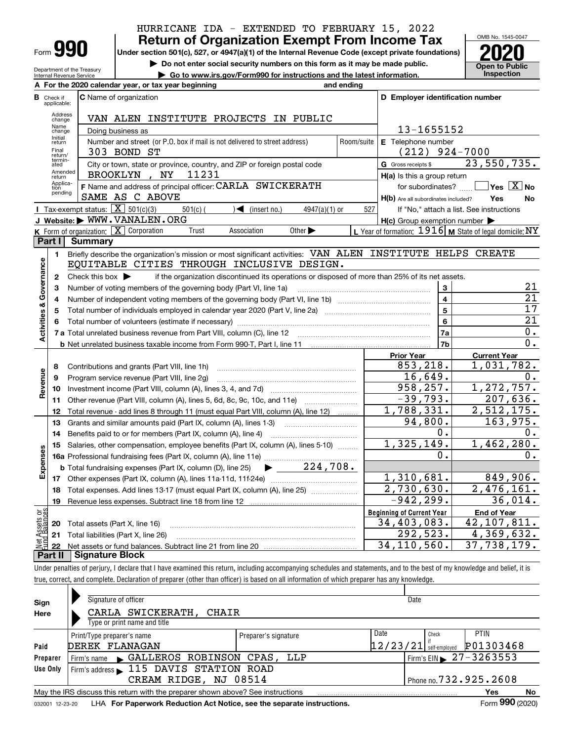| HURRICANE IDA - EXTENDED TO FEBRUARY 15, 2022        |  |  |  |  |
|------------------------------------------------------|--|--|--|--|
| <b>Return of Organization Exempt From Income Tax</b> |  |  |  |  |

**Under section 501(c), 527, or 4947(a)(1) of the Internal Revenue Code (except private foundations) 2020**

**| Do not enter social security numbers on this form as it may be made public.**

**| Go to www.irs.gov/Form990 for instructions and the latest information. Inspection**

Department of the Treasury Internal Revenue Service

Form **990**



|                         |                             | A For the 2020 calendar year, or tax year beginning                                                                                     | and ending |                                                     |                                                           |
|-------------------------|-----------------------------|-----------------------------------------------------------------------------------------------------------------------------------------|------------|-----------------------------------------------------|-----------------------------------------------------------|
| в                       | Check if<br>applicable:     | <b>C</b> Name of organization                                                                                                           |            | D Employer identification number                    |                                                           |
|                         | Address<br>change           | VAN ALEN INSTITUTE PROJECTS IN PUBLIC                                                                                                   |            |                                                     |                                                           |
|                         | Name<br>change              | Doing business as                                                                                                                       |            | 13-1655152                                          |                                                           |
|                         | Initial<br>return           | Number and street (or P.O. box if mail is not delivered to street address)                                                              | Room/suite | E Telephone number                                  |                                                           |
|                         | Final<br>return/            | 303 BOND ST                                                                                                                             |            | (212)                                               | 924-7000                                                  |
|                         | termin-<br>ated             | City or town, state or province, country, and ZIP or foreign postal code                                                                |            | G Gross receipts \$                                 | 23,550,735.                                               |
|                         | Amended<br>return           | BROOKLYN, NY<br>11231                                                                                                                   |            | H(a) Is this a group return                         |                                                           |
|                         | Applica-<br>tion<br>pending | F Name and address of principal officer: CARLA SWICKERATH                                                                               |            | for subordinates?                                   | $\sqrt{}$ Yes $\sqrt{}$ X $\sqrt{}$ No                    |
|                         |                             | SAME AS C ABOVE                                                                                                                         |            | H(b) Are all subordinates included?                 | <b>No</b><br>Yes                                          |
|                         |                             | Tax-exempt status: $\boxed{\mathbf{X}}$ 501(c)(3)<br>$501(c)$ (<br>$\sqrt{\frac{1}{1}}$ (insert no.)<br>$4947(a)(1)$ or                 | 527        |                                                     | If "No," attach a list. See instructions                  |
|                         |                             | J Website: WWW.VANALEN.ORG                                                                                                              |            | $H(c)$ Group exemption number $\blacktriangleright$ |                                                           |
|                         |                             | K Form of organization: $\boxed{\mathbf{X}}$ Corporation<br>Other $\blacktriangleright$<br>Trust<br>Association                         |            |                                                     | L Year of formation: $1916$ M State of legal domicile: NY |
|                         | Part I                      | <b>Summary</b>                                                                                                                          |            |                                                     |                                                           |
|                         | 1                           | Briefly describe the organization's mission or most significant activities: VAN ALEN INSTITUTE HELPS CREATE                             |            |                                                     |                                                           |
| Activities & Governance |                             | EQUITABLE CITIES THROUGH INCLUSIVE DESIGN.                                                                                              |            |                                                     |                                                           |
|                         | $\mathbf{2}$                | Check this box $\blacktriangleright$<br>if the organization discontinued its operations or disposed of more than 25% of its net assets. |            |                                                     | 21                                                        |
|                         | з                           | Number of voting members of the governing body (Part VI, line 1a)                                                                       |            | 3                                                   | $\overline{21}$                                           |
|                         | 4                           |                                                                                                                                         |            | $\overline{4}$<br>$\overline{\mathbf{5}}$           | 17                                                        |
|                         | 5                           |                                                                                                                                         |            | 6                                                   | 21                                                        |
|                         | 6                           |                                                                                                                                         |            | 7a                                                  | 0.                                                        |
|                         |                             |                                                                                                                                         |            | 7 <sub>b</sub>                                      | $\overline{0}$ .                                          |
|                         |                             |                                                                                                                                         |            | <b>Prior Year</b>                                   | <b>Current Year</b>                                       |
|                         | 8                           | Contributions and grants (Part VIII, line 1h)                                                                                           |            | 853,218.                                            | 1,031,782.                                                |
|                         | 9                           | Program service revenue (Part VIII, line 2g)                                                                                            |            | 16,649.                                             | 0.                                                        |
| Revenue                 | 10                          |                                                                                                                                         |            | 958, 257.                                           | 1, 272, 757.                                              |
|                         | 11                          | Other revenue (Part VIII, column (A), lines 5, 6d, 8c, 9c, 10c, and 11e)                                                                |            | $-39,793.$                                          | $\overline{207,636}$ .                                    |
|                         | 12                          | Total revenue - add lines 8 through 11 (must equal Part VIII, column (A), line 12)                                                      |            | 1,788,331.                                          | $\overline{2,512,175}$ .                                  |
|                         | 13                          | Grants and similar amounts paid (Part IX, column (A), lines 1-3)                                                                        |            | 94,800.                                             | 163,975.                                                  |
|                         | 14                          | Benefits paid to or for members (Part IX, column (A), line 4)                                                                           |            | 0.                                                  | 0.                                                        |
|                         | 15                          | Salaries, other compensation, employee benefits (Part IX, column (A), lines 5-10)                                                       |            | 1,325,149.                                          | 1,462,280.                                                |
| Expenses                |                             |                                                                                                                                         |            | 0.                                                  | $0$ .                                                     |
|                         |                             | $\blacktriangleright$ 224,708.<br><b>b</b> Total fundraising expenses (Part IX, column (D), line 25)                                    |            |                                                     |                                                           |
|                         |                             |                                                                                                                                         |            | 1,310,681.                                          | 849,906.                                                  |
|                         | 18                          | Total expenses. Add lines 13-17 (must equal Part IX, column (A), line 25)                                                               |            | 2,730,630.                                          | 2,476,161.                                                |
|                         | 19                          |                                                                                                                                         |            | $-942, 299.$                                        | 36,014.                                                   |
| កម្ព                    |                             |                                                                                                                                         |            | <b>Beginning of Current Year</b>                    | <b>End of Year</b>                                        |
| Assets<br>1 Balanc      |                             | 20 Total assets (Part X, line 16)                                                                                                       |            | 34,403,083.                                         | 42, 107, 811.                                             |
|                         |                             | 21 Total liabilities (Part X, line 26)                                                                                                  |            | 292,523.                                            | $\overline{4,369}$ , 632.                                 |
|                         |                             |                                                                                                                                         |            | 34, 110, 560.                                       | 37,738,179.                                               |
|                         | Part II                     | Signature Block                                                                                                                         |            |                                                     |                                                           |

Under penalties of perjury, I declare that I have examined this return, including accompanying schedules and statements, and to the best of my knowledge and belief, it is true, correct, and complete. Declaration of preparer (other than officer) is based on all information of which preparer has any knowledge.

| Sign<br>Here | Signature of officer<br>CARLA SWICKERATH, CHAIR<br>Type or print name and title              |                      | Date                             |       |                                              |  |  |  |  |
|--------------|----------------------------------------------------------------------------------------------|----------------------|----------------------------------|-------|----------------------------------------------|--|--|--|--|
| Paid         | Print/Type preparer's name<br>DEREK FLANAGAN                                                 | Preparer's signature | Date<br>$12/23/21$ self-employed | Check | PTIN<br>P01303468                            |  |  |  |  |
| Preparer     | Firm's name GALLEROS ROBINSON CPAS, LLP                                                      |                      |                                  |       | $\frac{1}{2}$ Firm's EIN $\geq 27 - 3263553$ |  |  |  |  |
| Use Only     | Firm's address > 115 DAVIS STATION ROAD                                                      |                      |                                  |       |                                              |  |  |  |  |
|              | CREAM RIDGE, NJ 08514                                                                        |                      |                                  |       | $1$ Phone no. $732.925.2608$                 |  |  |  |  |
|              | May the IRS discuss this return with the preparer shown above? See instructions<br>No<br>Yes |                      |                                  |       |                                              |  |  |  |  |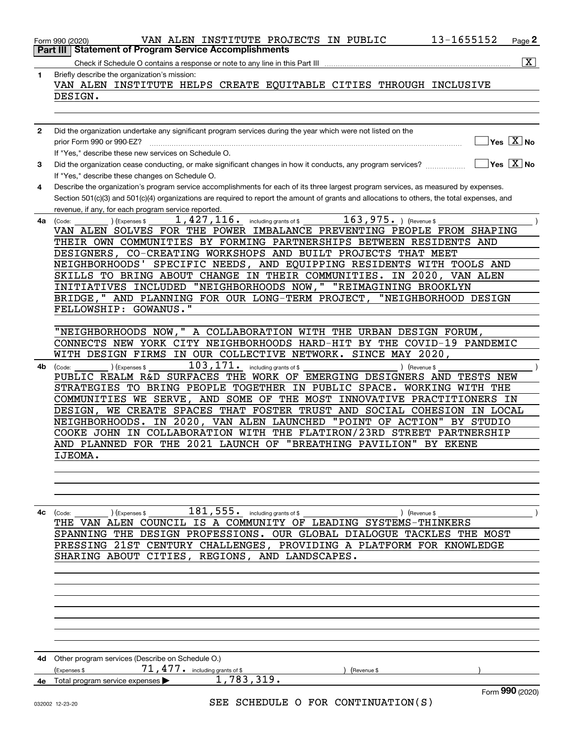| Part III | 13-1655152<br>VAN ALEN INSTITUTE PROJECTS IN PUBLIC<br>Form 990 (2020)<br><b>Statement of Program Service Accomplishments</b>                                                                             | Page 2                  |
|----------|-----------------------------------------------------------------------------------------------------------------------------------------------------------------------------------------------------------|-------------------------|
|          | Check if Schedule O contains a response or note to any line in this Part III                                                                                                                              | $\overline{\mathbf{x}}$ |
| 1        | Briefly describe the organization's mission:<br>VAN ALEN INSTITUTE HELPS CREATE EQUITABLE CITIES THROUGH INCLUSIVE                                                                                        |                         |
|          | DESIGN.                                                                                                                                                                                                   |                         |
|          |                                                                                                                                                                                                           |                         |
| 2        | Did the organization undertake any significant program services during the year which were not listed on the                                                                                              |                         |
|          | $Yes$ $X$ No<br>prior Form 990 or 990-EZ?                                                                                                                                                                 |                         |
|          | If "Yes," describe these new services on Schedule O.                                                                                                                                                      |                         |
| 3        | $\sqrt{}$ Yes $\sqrt{}$ X $\sqrt{}$ No<br>Did the organization cease conducting, or make significant changes in how it conducts, any program services?<br>If "Yes," describe these changes on Schedule O. |                         |
| 4        | Describe the organization's program service accomplishments for each of its three largest program services, as measured by expenses.                                                                      |                         |
|          | Section 501(c)(3) and 501(c)(4) organizations are required to report the amount of grants and allocations to others, the total expenses, and                                                              |                         |
|          | revenue, if any, for each program service reported.                                                                                                                                                       |                         |
| 4a       | $163,975$ . ) (Revenue \$<br>$1,427,116$ $\cdot$ including grants of \$<br>(Code:<br>Expenses \$<br>VAN ALEN SOLVES FOR THE POWER IMBALANCE PREVENTING PEOPLE FROM SHAPING                                |                         |
|          | THEIR OWN COMMUNITIES BY FORMING PARTNERSHIPS BETWEEN RESIDENTS AND                                                                                                                                       |                         |
|          | DESIGNERS, CO-CREATING WORKSHOPS AND BUILT PROJECTS THAT MEET                                                                                                                                             |                         |
|          | NEIGHBORHOODS' SPECIFIC NEEDS, AND EQUIPPING RESIDENTS WITH TOOLS AND                                                                                                                                     |                         |
|          | SKILLS TO BRING ABOUT CHANGE IN THEIR COMMUNITIES. IN 2020, VAN ALEN                                                                                                                                      |                         |
|          | INITIATIVES INCLUDED "NEIGHBORHOODS NOW," "REIMAGINING BROOKLYN<br>BRIDGE," AND PLANNING FOR OUR LONG-TERM PROJECT, "NEIGHBORHOOD DESIGN                                                                  |                         |
|          | FELLOWSHIP: GOWANUS."                                                                                                                                                                                     |                         |
|          |                                                                                                                                                                                                           |                         |
|          | "NEIGHBORHOODS NOW," A COLLABORATION WITH THE URBAN DESIGN FORUM,                                                                                                                                         |                         |
|          | CONNECTS NEW YORK CITY NEIGHBORHOODS HARD-HIT BY THE COVID-19 PANDEMIC                                                                                                                                    |                         |
| 4b       | WITH DESIGN FIRMS IN OUR COLLECTIVE NETWORK. SINCE MAY 2020,<br>103,171.<br>including grants of \$<br>(Expenses \$<br>) (Revenue \$<br>(Code:                                                             |                         |
|          | PUBLIC REALM R&D SURFACES THE WORK OF EMERGING DESIGNERS AND TESTS NEW                                                                                                                                    |                         |
|          | STRATEGIES TO BRING PEOPLE TOGETHER IN PUBLIC SPACE. WORKING WITH THE                                                                                                                                     |                         |
|          | COMMUNITIES WE SERVE, AND SOME OF THE MOST INNOVATIVE PRACTITIONERS IN                                                                                                                                    |                         |
|          | WE CREATE SPACES THAT FOSTER TRUST AND SOCIAL COHESION<br>DESIGN,<br>IN LOCAL                                                                                                                             |                         |
|          | "POINT OF ACTION"<br>NEIGHBORHOODS. IN 2020, VAN ALEN LAUNCHED<br>BY STUDIO<br>COOKE JOHN IN COLLABORATION WITH THE FLATIRON/23RD STREET PARTNERSHIP                                                      |                         |
|          | AND PLANNED FOR THE 2021 LAUNCH OF "BREATHING PAVILION" BY EKENE                                                                                                                                          |                         |
|          | IJEOMA.                                                                                                                                                                                                   |                         |
|          |                                                                                                                                                                                                           |                         |
|          |                                                                                                                                                                                                           |                         |
|          |                                                                                                                                                                                                           |                         |
| 4с       | $181, 555$ . including grants of \$<br>) (Revenue \$<br>(Code:<br>(Expenses \$                                                                                                                            |                         |
|          | THE VAN ALEN COUNCIL IS A COMMUNITY OF LEADING SYSTEMS-THINKERS                                                                                                                                           |                         |
|          | SPANNING THE DESIGN PROFESSIONS. OUR GLOBAL DIALOGUE TACKLES THE MOST                                                                                                                                     |                         |
|          | PRESSING 21ST CENTURY CHALLENGES, PROVIDING A PLATFORM FOR KNOWLEDGE                                                                                                                                      |                         |
|          | SHARING ABOUT CITIES, REGIONS, AND LANDSCAPES.                                                                                                                                                            |                         |
|          |                                                                                                                                                                                                           |                         |
|          |                                                                                                                                                                                                           |                         |
|          |                                                                                                                                                                                                           |                         |
|          |                                                                                                                                                                                                           |                         |
|          |                                                                                                                                                                                                           |                         |
|          |                                                                                                                                                                                                           |                         |
|          | 4d Other program services (Describe on Schedule O.)                                                                                                                                                       |                         |
|          | 71, 477. including grants of \$<br>(Expenses \$<br>Revenue \$                                                                                                                                             |                         |
| 4е       | 1,783,319.<br>Total program service expenses<br>Form 990 (2020)                                                                                                                                           |                         |
|          | SEE SCHEDULE O FOR CONTINUATION(S)<br>032002 12-23-20                                                                                                                                                     |                         |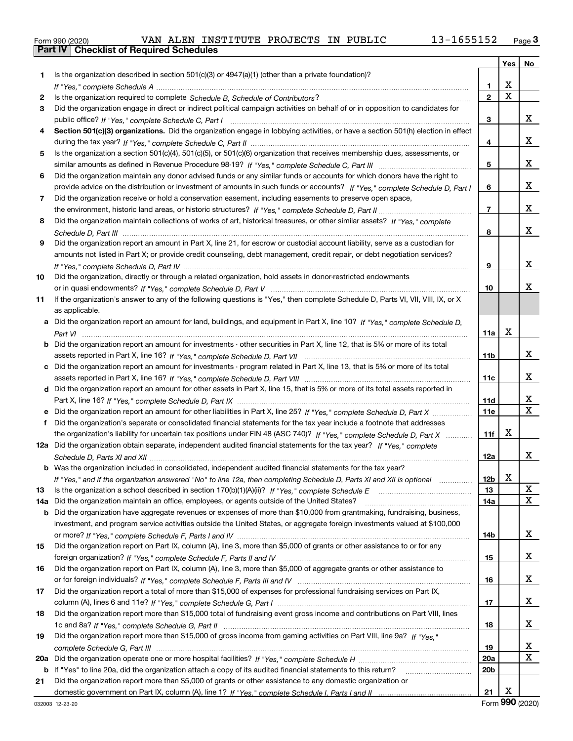|  | Form 990 (2020) |
|--|-----------------|

|     |                                                                                                                                       |                 | Yes   No    |              |
|-----|---------------------------------------------------------------------------------------------------------------------------------------|-----------------|-------------|--------------|
| 1   | Is the organization described in section $501(c)(3)$ or $4947(a)(1)$ (other than a private foundation)?                               |                 |             |              |
|     |                                                                                                                                       | 1.              | X           |              |
| 2   |                                                                                                                                       | $\mathbf{2}$    | $\mathbf X$ |              |
| 3   | Did the organization engage in direct or indirect political campaign activities on behalf of or in opposition to candidates for       |                 |             |              |
|     |                                                                                                                                       | 3               |             | x            |
| 4   | Section 501(c)(3) organizations. Did the organization engage in lobbying activities, or have a section 501(h) election in effect      |                 |             |              |
|     |                                                                                                                                       | 4               |             | x            |
| 5   | Is the organization a section 501(c)(4), 501(c)(5), or 501(c)(6) organization that receives membership dues, assessments, or          |                 |             |              |
|     |                                                                                                                                       | 5               |             | x            |
| 6   | Did the organization maintain any donor advised funds or any similar funds or accounts for which donors have the right to             |                 |             |              |
|     | provide advice on the distribution or investment of amounts in such funds or accounts? If "Yes," complete Schedule D, Part I          | 6               |             | x            |
| 7   | Did the organization receive or hold a conservation easement, including easements to preserve open space,                             |                 |             |              |
|     |                                                                                                                                       | $\overline{7}$  |             | x            |
| 8   | Did the organization maintain collections of works of art, historical treasures, or other similar assets? If "Yes," complete          |                 |             |              |
|     |                                                                                                                                       | 8               |             | x            |
| 9   | Did the organization report an amount in Part X, line 21, for escrow or custodial account liability, serve as a custodian for         |                 |             |              |
|     | amounts not listed in Part X; or provide credit counseling, debt management, credit repair, or debt negotiation services?             |                 |             |              |
|     |                                                                                                                                       | 9               |             | x            |
| 10  | Did the organization, directly or through a related organization, hold assets in donor-restricted endowments                          |                 |             |              |
|     |                                                                                                                                       | 10              |             | x            |
| 11  | If the organization's answer to any of the following questions is "Yes," then complete Schedule D, Parts VI, VII, VIII, IX, or X      |                 |             |              |
|     | as applicable.                                                                                                                        |                 |             |              |
| a   | Did the organization report an amount for land, buildings, and equipment in Part X, line 10? If "Yes," complete Schedule D.           |                 | X           |              |
|     |                                                                                                                                       | 11a             |             |              |
|     | <b>b</b> Did the organization report an amount for investments - other securities in Part X, line 12, that is 5% or more of its total |                 |             | x            |
|     |                                                                                                                                       | 11b             |             |              |
|     | c Did the organization report an amount for investments - program related in Part X, line 13, that is 5% or more of its total         |                 |             | x            |
|     | d Did the organization report an amount for other assets in Part X, line 15, that is 5% or more of its total assets reported in       | 11c             |             |              |
|     |                                                                                                                                       | 11d             |             | x            |
|     | Did the organization report an amount for other liabilities in Part X, line 25? If "Yes," complete Schedule D, Part X                 | <b>11e</b>      |             | $\mathbf{X}$ |
| f   | Did the organization's separate or consolidated financial statements for the tax year include a footnote that addresses               |                 |             |              |
|     | the organization's liability for uncertain tax positions under FIN 48 (ASC 740)? If "Yes," complete Schedule D, Part X                | 11f             | X           |              |
|     | 12a Did the organization obtain separate, independent audited financial statements for the tax year? If "Yes," complete               |                 |             |              |
|     |                                                                                                                                       | 12a             |             | x            |
|     | <b>b</b> Was the organization included in consolidated, independent audited financial statements for the tax year?                    |                 |             |              |
|     | If "Yes," and if the organization answered "No" to line 12a, then completing Schedule D, Parts XI and XII is optional                 | 12 <sub>b</sub> | X           |              |
| 13  |                                                                                                                                       | 13              |             | X            |
| 14a | Did the organization maintain an office, employees, or agents outside of the United States?                                           | 14a             |             | x            |
| b   | Did the organization have aggregate revenues or expenses of more than \$10,000 from grantmaking, fundraising, business,               |                 |             |              |
|     | investment, and program service activities outside the United States, or aggregate foreign investments valued at \$100,000            |                 |             |              |
|     |                                                                                                                                       | 14b             |             | x            |
| 15  | Did the organization report on Part IX, column (A), line 3, more than \$5,000 of grants or other assistance to or for any             |                 |             |              |
|     |                                                                                                                                       | 15              |             | x            |
| 16  | Did the organization report on Part IX, column (A), line 3, more than \$5,000 of aggregate grants or other assistance to              |                 |             |              |
|     |                                                                                                                                       | 16              |             | x            |
| 17  | Did the organization report a total of more than \$15,000 of expenses for professional fundraising services on Part IX,               |                 |             |              |
|     |                                                                                                                                       | 17              |             | x            |
| 18  | Did the organization report more than \$15,000 total of fundraising event gross income and contributions on Part VIII, lines          |                 |             |              |
|     |                                                                                                                                       | 18              |             | x            |
| 19  | Did the organization report more than \$15,000 of gross income from gaming activities on Part VIII, line 9a? If "Yes."                |                 |             |              |
|     |                                                                                                                                       | 19              |             | x            |
| 20a |                                                                                                                                       | 20a             |             | X            |
|     | b If "Yes" to line 20a, did the organization attach a copy of its audited financial statements to this return?                        | 20 <sub>b</sub> |             |              |
| 21  | Did the organization report more than \$5,000 of grants or other assistance to any domestic organization or                           |                 |             |              |
|     |                                                                                                                                       | 21              | X           |              |

Form (2020) **990**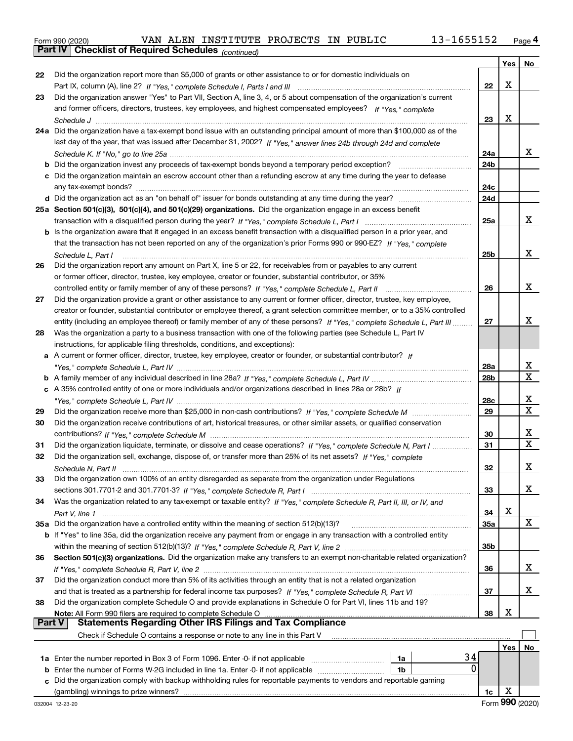|  | Form 990 (2020) |
|--|-----------------|
|  |                 |

*(continued)*

|               |                                                                                                                              |                 | Yes | No          |
|---------------|------------------------------------------------------------------------------------------------------------------------------|-----------------|-----|-------------|
| 22            | Did the organization report more than \$5,000 of grants or other assistance to or for domestic individuals on                |                 |     |             |
|               |                                                                                                                              | 22              | X   |             |
| 23            | Did the organization answer "Yes" to Part VII, Section A, line 3, 4, or 5 about compensation of the organization's current   |                 |     |             |
|               | and former officers, directors, trustees, key employees, and highest compensated employees? If "Yes," complete               |                 |     |             |
|               |                                                                                                                              | 23              | X   |             |
|               | 24a Did the organization have a tax-exempt bond issue with an outstanding principal amount of more than \$100,000 as of the  |                 |     |             |
|               | last day of the year, that was issued after December 31, 2002? If "Yes," answer lines 24b through 24d and complete           |                 |     |             |
|               |                                                                                                                              | 24a             |     | x           |
|               | <b>b</b> Did the organization invest any proceeds of tax-exempt bonds beyond a temporary period exception?                   | 24b             |     |             |
|               | c Did the organization maintain an escrow account other than a refunding escrow at any time during the year to defease       |                 |     |             |
|               | any tax-exempt bonds?                                                                                                        | 24c             |     |             |
|               |                                                                                                                              | 24d             |     |             |
|               | 25a Section 501(c)(3), 501(c)(4), and 501(c)(29) organizations. Did the organization engage in an excess benefit             |                 |     |             |
|               |                                                                                                                              | 25a             |     | x           |
|               | b Is the organization aware that it engaged in an excess benefit transaction with a disqualified person in a prior year, and |                 |     |             |
|               | that the transaction has not been reported on any of the organization's prior Forms 990 or 990-EZ? If "Yes," complete        |                 |     |             |
|               | Schedule L, Part I                                                                                                           | 25b             |     | x           |
| 26            | Did the organization report any amount on Part X, line 5 or 22, for receivables from or payables to any current              |                 |     |             |
|               | or former officer, director, trustee, key employee, creator or founder, substantial contributor, or 35%                      |                 |     |             |
|               | controlled entity or family member of any of these persons? If "Yes," complete Schedule L, Part II                           | 26              |     | х           |
| 27            | Did the organization provide a grant or other assistance to any current or former officer, director, trustee, key employee,  |                 |     |             |
|               | creator or founder, substantial contributor or employee thereof, a grant selection committee member, or to a 35% controlled  |                 |     |             |
|               | entity (including an employee thereof) or family member of any of these persons? If "Yes," complete Schedule L, Part III     | 27              |     | x           |
| 28            | Was the organization a party to a business transaction with one of the following parties (see Schedule L, Part IV            |                 |     |             |
|               | instructions, for applicable filing thresholds, conditions, and exceptions):                                                 |                 |     |             |
| a             | A current or former officer, director, trustee, key employee, creator or founder, or substantial contributor? If             |                 |     |             |
|               |                                                                                                                              | 28a             |     | x           |
|               |                                                                                                                              | 28 <sub>b</sub> |     | $\mathbf x$ |
|               | c A 35% controlled entity of one or more individuals and/or organizations described in lines 28a or 28b? If                  |                 |     |             |
|               |                                                                                                                              | 28c             |     | x           |
| 29            |                                                                                                                              | 29              |     | $\mathbf X$ |
| 30            | Did the organization receive contributions of art, historical treasures, or other similar assets, or qualified conservation  |                 |     |             |
|               |                                                                                                                              | 30              |     | x           |
| 31            | Did the organization liquidate, terminate, or dissolve and cease operations? If "Yes," complete Schedule N, Part I           | 31              |     | $\mathbf x$ |
| 32            | Did the organization sell, exchange, dispose of, or transfer more than 25% of its net assets? If "Yes," complete             |                 |     |             |
|               |                                                                                                                              | 32              |     | х           |
|               | Did the organization own 100% of an entity disregarded as separate from the organization under Regulations                   |                 |     |             |
|               |                                                                                                                              | 33              |     | х           |
| 34            | Was the organization related to any tax-exempt or taxable entity? If "Yes," complete Schedule R, Part II, III, or IV, and    |                 |     |             |
|               |                                                                                                                              | 34              | х   |             |
|               | 35a Did the organization have a controlled entity within the meaning of section 512(b)(13)?                                  | <b>35a</b>      |     | X           |
|               | b If "Yes" to line 35a, did the organization receive any payment from or engage in any transaction with a controlled entity  |                 |     |             |
|               |                                                                                                                              | 35b             |     |             |
| 36            | Section 501(c)(3) organizations. Did the organization make any transfers to an exempt non-charitable related organization?   |                 |     |             |
|               |                                                                                                                              | 36              |     | x           |
| 37            | Did the organization conduct more than 5% of its activities through an entity that is not a related organization             |                 |     |             |
|               |                                                                                                                              | 37              |     | x           |
| 38            | Did the organization complete Schedule O and provide explanations in Schedule O for Part VI, lines 11b and 19?               |                 |     |             |
|               |                                                                                                                              | 38              | х   |             |
| <b>Part V</b> | <b>Statements Regarding Other IRS Filings and Tax Compliance</b>                                                             |                 |     |             |
|               | Check if Schedule O contains a response or note to any line in this Part V                                                   |                 |     |             |
|               |                                                                                                                              |                 | Yes | No          |
|               | 34<br>1a                                                                                                                     |                 |     |             |
|               | 0<br><b>b</b> Enter the number of Forms W-2G included in line 1a. Enter -0- if not applicable<br>1b                          |                 |     |             |
|               | c Did the organization comply with backup withholding rules for reportable payments to vendors and reportable gaming         |                 |     |             |
|               |                                                                                                                              | 1c              | х   |             |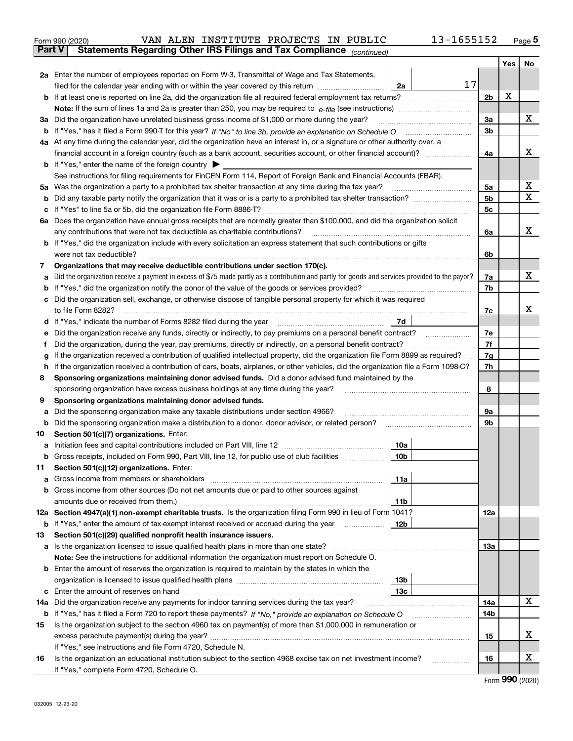| Form 990 (2020) |  | VAN ALEN INSTITUTE PROJECTS IN PUBLIC                                                          |  | 13-1655152 | Page 5 |
|-----------------|--|------------------------------------------------------------------------------------------------|--|------------|--------|
|                 |  | <b>Part V</b> Statements Regarding Other IRS Filings and Tax Compliance <sub>(continued)</sub> |  |            |        |

|     |                                                                                                                                                                               |                | Yes | No          |  |  |
|-----|-------------------------------------------------------------------------------------------------------------------------------------------------------------------------------|----------------|-----|-------------|--|--|
|     | 2a Enter the number of employees reported on Form W-3, Transmittal of Wage and Tax Statements,                                                                                |                |     |             |  |  |
|     | 17<br>filed for the calendar year ending with or within the year covered by this return<br>2a                                                                                 |                |     |             |  |  |
|     |                                                                                                                                                                               | 2 <sub>b</sub> | X   |             |  |  |
|     |                                                                                                                                                                               |                |     |             |  |  |
|     | 3a Did the organization have unrelated business gross income of \$1,000 or more during the year?                                                                              | 3a             |     | х           |  |  |
| b   |                                                                                                                                                                               | 3b             |     |             |  |  |
|     | 4a At any time during the calendar year, did the organization have an interest in, or a signature or other authority over, a                                                  |                |     |             |  |  |
|     |                                                                                                                                                                               | 4a             |     | x           |  |  |
|     | <b>b</b> If "Yes," enter the name of the foreign country $\blacktriangleright$                                                                                                |                |     |             |  |  |
|     | See instructions for filing requirements for FinCEN Form 114, Report of Foreign Bank and Financial Accounts (FBAR).                                                           |                |     |             |  |  |
|     | 5a Was the organization a party to a prohibited tax shelter transaction at any time during the tax year?                                                                      | 5a             |     | х           |  |  |
| b   | Did any taxable party notify the organization that it was or is a party to a prohibited tax shelter transaction?                                                              | 5b             |     | $\mathbf x$ |  |  |
|     |                                                                                                                                                                               | 5c             |     |             |  |  |
| 6а  | Does the organization have annual gross receipts that are normally greater than \$100,000, and did the organization solicit                                                   |                |     |             |  |  |
|     | any contributions that were not tax deductible as charitable contributions?                                                                                                   | 6a             |     | x           |  |  |
| b   | If "Yes," did the organization include with every solicitation an express statement that such contributions or gifts                                                          |                |     |             |  |  |
|     | were not tax deductible?                                                                                                                                                      |                |     |             |  |  |
| 7   | Organizations that may receive deductible contributions under section 170(c).                                                                                                 |                |     | x           |  |  |
|     | Did the organization receive a payment in excess of \$75 made partly as a contribution and partly for goods and services provided to the payor?                               | 7a             |     |             |  |  |
| b   | If "Yes," did the organization notify the donor of the value of the goods or services provided?                                                                               | 7b             |     |             |  |  |
|     | Did the organization sell, exchange, or otherwise dispose of tangible personal property for which it was required                                                             | 7c             |     | x           |  |  |
| d   | 7d                                                                                                                                                                            |                |     |             |  |  |
|     | Did the organization receive any funds, directly or indirectly, to pay premiums on a personal benefit contract?                                                               | 7e             |     |             |  |  |
|     | Did the organization, during the year, pay premiums, directly or indirectly, on a personal benefit contract?                                                                  | 7f             |     |             |  |  |
|     | If the organization received a contribution of qualified intellectual property, did the organization file Form 8899 as required?                                              | 7g             |     |             |  |  |
| h.  | If the organization received a contribution of cars, boats, airplanes, or other vehicles, did the organization file a Form 1098-C?                                            | 7h             |     |             |  |  |
| 8   | Sponsoring organizations maintaining donor advised funds. Did a donor advised fund maintained by the                                                                          |                |     |             |  |  |
|     | sponsoring organization have excess business holdings at any time during the year?                                                                                            |                |     |             |  |  |
| 9   | Sponsoring organizations maintaining donor advised funds.                                                                                                                     |                |     |             |  |  |
| а   | Did the sponsoring organization make any taxable distributions under section 4966?                                                                                            | 9а             |     |             |  |  |
| b   | Did the sponsoring organization make a distribution to a donor, donor advisor, or related person?                                                                             | 9b             |     |             |  |  |
| 10  | Section 501(c)(7) organizations. Enter:                                                                                                                                       |                |     |             |  |  |
| а   | 10a                                                                                                                                                                           |                |     |             |  |  |
|     | 10 <sub>b</sub><br>Gross receipts, included on Form 990, Part VIII, line 12, for public use of club facilities                                                                |                |     |             |  |  |
| 11  | Section 501(c)(12) organizations. Enter:                                                                                                                                      |                |     |             |  |  |
|     | 11a                                                                                                                                                                           |                |     |             |  |  |
| b   | Gross income from other sources (Do not net amounts due or paid to other sources against                                                                                      |                |     |             |  |  |
|     | amounts due or received from them.)<br>11b                                                                                                                                    |                |     |             |  |  |
|     | 12a Section 4947(a)(1) non-exempt charitable trusts. Is the organization filing Form 990 in lieu of Form 1041?                                                                | 12a            |     |             |  |  |
| b   | If "Yes," enter the amount of tax-exempt interest received or accrued during the year<br>12b                                                                                  |                |     |             |  |  |
| 13  | Section 501(c)(29) qualified nonprofit health insurance issuers.                                                                                                              |                |     |             |  |  |
| a   | Is the organization licensed to issue qualified health plans in more than one state?                                                                                          | 13а            |     |             |  |  |
|     | Note: See the instructions for additional information the organization must report on Schedule O.                                                                             |                |     |             |  |  |
|     | <b>b</b> Enter the amount of reserves the organization is required to maintain by the states in which the                                                                     |                |     |             |  |  |
|     | 13b<br>organization is licensed to issue qualified health plans [111] [11] contains an interior in the season of produ                                                        |                |     |             |  |  |
| с   | Enter the amount of reserves on hand<br>13с                                                                                                                                   |                |     |             |  |  |
| 14a | Did the organization receive any payments for indoor tanning services during the tax year?                                                                                    | 14a            |     | x           |  |  |
| b   |                                                                                                                                                                               | 14b            |     |             |  |  |
| 15  | Is the organization subject to the section 4960 tax on payment(s) of more than \$1,000,000 in remuneration or                                                                 |                |     | х           |  |  |
|     |                                                                                                                                                                               | 15             |     |             |  |  |
|     | If "Yes," see instructions and file Form 4720, Schedule N.<br>Is the organization an educational institution subject to the section 4968 excise tax on net investment income? | 16             |     | х           |  |  |
| 16  | If "Yes," complete Form 4720, Schedule O.                                                                                                                                     |                |     |             |  |  |
|     |                                                                                                                                                                               |                |     |             |  |  |

Form (2020) **990**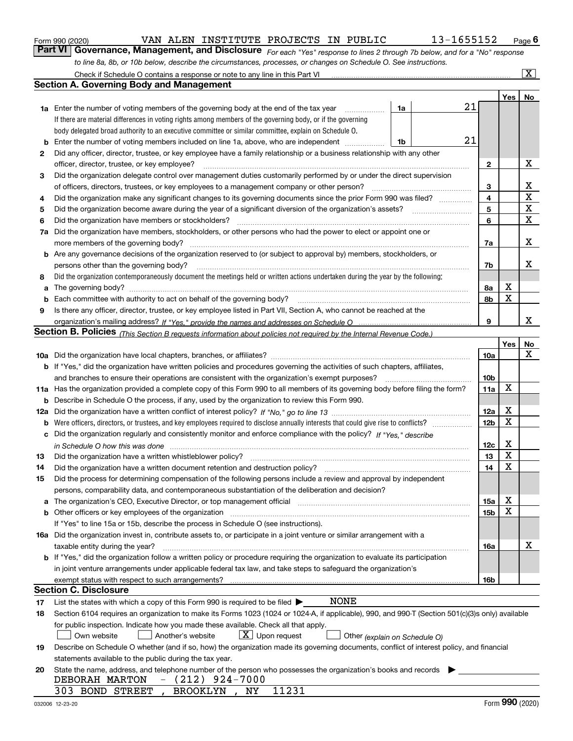|  | Form 990 (2020) |
|--|-----------------|
|  |                 |

*For each "Yes" response to lines 2 through 7b below, and for a "No" response to line 8a, 8b, or 10b below, describe the circumstances, processes, or changes on Schedule O. See instructions.* Form 990 (2020) **Container State WAN ALEN INSTITUTE PROJECTS IN PUBLIC** 13-1655152 Page 6<br>**Part VI Governance, Management, and Disclosure** For each "Yes" response to lines 2 through 7b below, and for a "No" response Check if Schedule O contains a response or note to any line in this Part VI

|    | Check if Schedule O contains a response or note to any line in this Part VI                                                                                           |                               |                 |     | $\boxed{\text{X}}$ |  |
|----|-----------------------------------------------------------------------------------------------------------------------------------------------------------------------|-------------------------------|-----------------|-----|--------------------|--|
|    | Section A. Governing Body and Management                                                                                                                              |                               |                 |     |                    |  |
|    |                                                                                                                                                                       |                               |                 | Yes | No                 |  |
|    | 1a Enter the number of voting members of the governing body at the end of the tax year                                                                                | 1a                            | 21              |     |                    |  |
|    | If there are material differences in voting rights among members of the governing body, or if the governing                                                           |                               |                 |     |                    |  |
|    | body delegated broad authority to an executive committee or similar committee, explain on Schedule O.                                                                 |                               |                 |     |                    |  |
| b  | Enter the number of voting members included on line 1a, above, who are independent                                                                                    | 1b                            | 21              |     |                    |  |
| 2  | Did any officer, director, trustee, or key employee have a family relationship or a business relationship with any other                                              |                               |                 |     |                    |  |
|    | officer, director, trustee, or key employee?                                                                                                                          |                               | 2               |     | х                  |  |
| 3  | Did the organization delegate control over management duties customarily performed by or under the direct supervision                                                 |                               |                 |     |                    |  |
|    | of officers, directors, trustees, or key employees to a management company or other person?                                                                           |                               | 3               |     | х                  |  |
| 4  | Did the organization make any significant changes to its governing documents since the prior Form 990 was filed?                                                      |                               |                 |     |                    |  |
| 5  |                                                                                                                                                                       |                               | 5               |     | $\mathbf X$<br>X   |  |
| 6  | Did the organization have members or stockholders?                                                                                                                    |                               | 6               |     | $\mathbf X$        |  |
| 7a | Did the organization have members, stockholders, or other persons who had the power to elect or appoint one or                                                        |                               |                 |     |                    |  |
|    | more members of the governing body?                                                                                                                                   |                               | 7a              |     | х                  |  |
|    | <b>b</b> Are any governance decisions of the organization reserved to (or subject to approval by) members, stockholders, or                                           |                               |                 |     |                    |  |
|    | persons other than the governing body?                                                                                                                                |                               | 7b              |     | х                  |  |
| 8  | Did the organization contemporaneously document the meetings held or written actions undertaken during the year by the following:                                     |                               |                 |     |                    |  |
| a  |                                                                                                                                                                       |                               | 8a              | Х   |                    |  |
| b  |                                                                                                                                                                       |                               | 8b              | X   |                    |  |
| 9  | Is there any officer, director, trustee, or key employee listed in Part VII, Section A, who cannot be reached at the                                                  |                               |                 |     |                    |  |
|    |                                                                                                                                                                       |                               | 9               |     | x                  |  |
|    | <b>Section B. Policies</b> (This Section B requests information about policies not required by the Internal Revenue Code.)                                            |                               |                 |     |                    |  |
|    |                                                                                                                                                                       |                               |                 | Yes | No                 |  |
|    |                                                                                                                                                                       |                               | 10a             |     | x                  |  |
|    | <b>b</b> If "Yes," did the organization have written policies and procedures governing the activities of such chapters, affiliates,                                   |                               |                 |     |                    |  |
|    | and branches to ensure their operations are consistent with the organization's exempt purposes?                                                                       |                               | 10 <sub>b</sub> |     |                    |  |
|    | 11a Has the organization provided a complete copy of this Form 990 to all members of its governing body before filing the form?                                       |                               | 11a             | X   |                    |  |
| b  | Describe in Schedule O the process, if any, used by the organization to review this Form 990.                                                                         |                               |                 |     |                    |  |
|    |                                                                                                                                                                       |                               | 12a             | х   |                    |  |
| b  |                                                                                                                                                                       |                               |                 |     |                    |  |
| c  | Did the organization regularly and consistently monitor and enforce compliance with the policy? If "Yes." describe                                                    |                               | 12 <sub>b</sub> | X   |                    |  |
|    | in Schedule O how this was done www.communication.com/www.communications.com/www.communications.com/                                                                  |                               | 12c             | х   |                    |  |
| 13 | Did the organization have a written whistleblower policy?                                                                                                             |                               | 13              | X   |                    |  |
| 14 | Did the organization have a written document retention and destruction policy?                                                                                        |                               | 14              | X   |                    |  |
| 15 | Did the process for determining compensation of the following persons include a review and approval by independent                                                    |                               |                 |     |                    |  |
|    | persons, comparability data, and contemporaneous substantiation of the deliberation and decision?                                                                     |                               |                 |     |                    |  |
| a  | The organization's CEO, Executive Director, or top management official manufactured content of the organization's CEO, Executive Director, or top management official |                               | 15a             | х   |                    |  |
|    | <b>b</b> Other officers or key employees of the organization                                                                                                          |                               | 15b             | х   |                    |  |
|    | If "Yes" to line 15a or 15b, describe the process in Schedule O (see instructions).                                                                                   |                               |                 |     |                    |  |
|    | 16a Did the organization invest in, contribute assets to, or participate in a joint venture or similar arrangement with a                                             |                               |                 |     |                    |  |
|    | taxable entity during the year?                                                                                                                                       |                               | 16a             |     | х                  |  |
|    | b If "Yes," did the organization follow a written policy or procedure requiring the organization to evaluate its participation                                        |                               |                 |     |                    |  |
|    | in joint venture arrangements under applicable federal tax law, and take steps to safeguard the organization's                                                        |                               |                 |     |                    |  |
|    | exempt status with respect to such arrangements?                                                                                                                      |                               | 16b             |     |                    |  |
|    | Section C. Disclosure                                                                                                                                                 |                               |                 |     |                    |  |
| 17 | NONE<br>List the states with which a copy of this Form 990 is required to be filed $\blacktriangleright$                                                              |                               |                 |     |                    |  |
| 18 | Section 6104 requires an organization to make its Forms 1023 (1024 or 1024-A, if applicable), 990, and 990-T (Section 501(c)(3)s only) available                      |                               |                 |     |                    |  |
|    | for public inspection. Indicate how you made these available. Check all that apply.                                                                                   |                               |                 |     |                    |  |
|    | $X$ Upon request<br>Another's website<br>Own website                                                                                                                  | Other (explain on Schedule O) |                 |     |                    |  |
| 19 | Describe on Schedule O whether (and if so, how) the organization made its governing documents, conflict of interest policy, and financial                             |                               |                 |     |                    |  |
|    | statements available to the public during the tax year.                                                                                                               |                               |                 |     |                    |  |
| 20 | State the name, address, and telephone number of the person who possesses the organization's books and records                                                        |                               |                 |     |                    |  |
|    | $(212)$ 924-7000<br>DEBORAH MARTON                                                                                                                                    |                               |                 |     |                    |  |
|    | 11231<br>303 BOND STREET<br><b>BROOKLYN</b><br>NY                                                                                                                     |                               |                 |     |                    |  |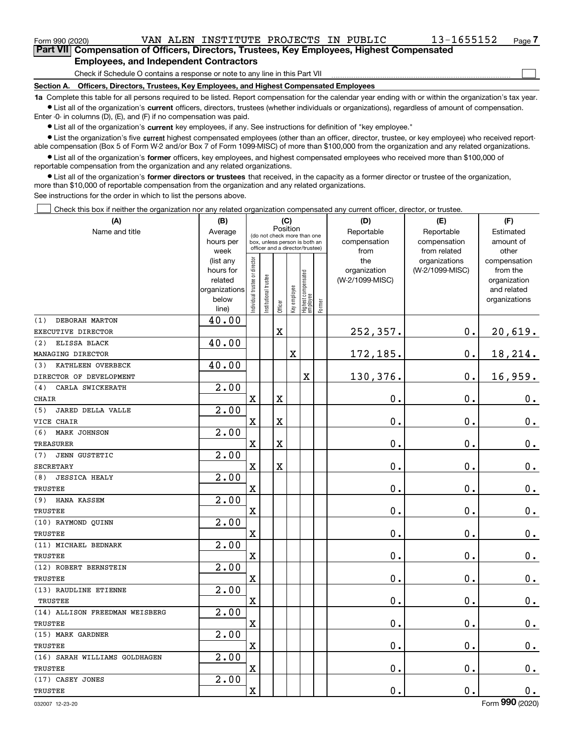$\mathcal{L}^{\text{max}}$ 

| Form 990 (2020)                                                                            |                                               |  |  | VAN ALEN INSTITUTE PROJECTS IN PUBLIC |  |  |  | 13-1655152 | Page 7 |  |
|--------------------------------------------------------------------------------------------|-----------------------------------------------|--|--|---------------------------------------|--|--|--|------------|--------|--|
| Part VII Compensation of Officers, Directors, Trustees, Key Employees, Highest Compensated |                                               |  |  |                                       |  |  |  |            |        |  |
|                                                                                            | <b>Employees, and Independent Contractors</b> |  |  |                                       |  |  |  |            |        |  |

Check if Schedule O contains a response or note to any line in this Part VII

**Section A. Officers, Directors, Trustees, Key Employees, and Highest Compensated Employees**

**1a**  Complete this table for all persons required to be listed. Report compensation for the calendar year ending with or within the organization's tax year. **•** List all of the organization's current officers, directors, trustees (whether individuals or organizations), regardless of amount of compensation.

Enter -0- in columns (D), (E), and (F) if no compensation was paid.

 $\bullet$  List all of the organization's  $\,$ current key employees, if any. See instructions for definition of "key employee."

**•** List the organization's five current highest compensated employees (other than an officer, director, trustee, or key employee) who received reportable compensation (Box 5 of Form W-2 and/or Box 7 of Form 1099-MISC) of more than \$100,000 from the organization and any related organizations.

**•** List all of the organization's former officers, key employees, and highest compensated employees who received more than \$100,000 of reportable compensation from the organization and any related organizations.

**former directors or trustees**  ¥ List all of the organization's that received, in the capacity as a former director or trustee of the organization, more than \$10,000 of reportable compensation from the organization and any related organizations.

See instructions for the order in which to list the persons above.

Check this box if neither the organization nor any related organization compensated any current officer, director, or trustee.  $\mathcal{L}^{\text{max}}$ 

| Position<br>Reportable<br>Name and title<br>Average<br>Estimated<br>(do not check more than one<br>compensation<br>hours per<br>compensation<br>amount of<br>box, unless person is both an<br>officer and a director/trustee)<br>week<br>from related<br>other<br>from<br>ndividual trustee or director<br>the<br>organizations<br>compensation<br>(list any<br>(W-2/1099-MISC)<br>hours for<br>organization<br>from the<br>Highest compensated<br> employee<br>nstitutional trustee<br>related<br>(W-2/1099-MISC)<br>organization<br>Key employee<br>organizations<br>and related<br>below<br>organizations<br>Former<br>Officer<br>line)<br>40.00<br>DEBORAH MARTON<br>(1)<br>$0$ .<br>$\mathbf X$<br>252,357.<br>EXECUTIVE DIRECTOR<br>40.00<br>(2)<br>ELISSA BLACK<br>172,185.<br>$\mathbf 0$ .<br>$\mathbf X$<br>MANAGING DIRECTOR<br>40.00<br>KATHLEEN OVERBECK<br>(3)<br>130,376.<br>$0$ .<br>16,959.<br>X<br>DIRECTOR OF DEVELOPMENT<br>2.00<br>CARLA SWICKERATH<br>(4)<br>$\mathbf 0$ .<br>$\mathbf x$<br>X<br>0.<br>$\mathbf 0$ .<br>CHAIR<br>2.00<br><b>JARED DELLA VALLE</b><br>(5)<br>0.<br>$\mathbf 0$ .<br>$0_{.}$<br>$\mathbf x$<br>X<br>VICE CHAIR<br>2.00<br>MARK JOHNSON<br>(6)<br>0.<br>$\mathbf 0$ .<br>X<br>X<br>0.<br><b>TREASURER</b><br>2.00<br><b>JENN GUSTETIC</b><br>(7)<br>$\mathbf 0$ .<br>0.<br><b>SECRETARY</b><br>$\mathbf X$<br>X<br>0.<br>2.00<br>(8)<br><b>JESSICA HEALY</b><br>0.<br>0.<br>$0_{\cdot}$<br>X<br><b>TRUSTEE</b><br>2.00<br>HANA KASSEM<br>(9)<br>$\mathbf 0$ .<br>$\mathbf 0$ .<br>$0_{\cdot}$<br>X<br>TRUSTEE<br>2.00<br>(10) RAYMOND QUINN<br>$\mathbf 0$ .<br>$\mathbf 0$ .<br>$\mathbf 0$ .<br>$\mathbf X$<br>TRUSTEE<br>$\overline{2.00}$<br>(11) MICHAEL BEDNARK<br>$\mathbf 0$ .<br>$\mathbf X$<br>0.<br><b>TRUSTEE</b><br>2.00<br>(12) ROBERT BERNSTEIN<br>0.<br>X<br>$\mathbf 0$ .<br>TRUSTEE<br>$\overline{2.00}$<br>(13) RAUDLINE ETIENNE<br>$\mathbf X$<br>$\mathbf 0$ .<br>$\mathbf 0$ .<br>TRUSTEE<br>2.00<br>(14) ALLISON FREEDMAN WEISBERG<br>0.<br>$\mathbf 0$ .<br>X<br>TRUSTEE<br>2.00<br>(15) MARK GARDNER<br>$\mathbf 0$ .<br>$\mathbf 0$ .<br>$\mathbf X$<br><b>TRUSTEE</b><br>2.00<br>(16) SARAH WILLIAMS GOLDHAGEN<br>0.<br>$\mathbf 0$ .<br>X<br><b>TRUSTEE</b> | (A) | (B) |  | (C) |  |  | (D)        | (E) | (F)           |
|---------------------------------------------------------------------------------------------------------------------------------------------------------------------------------------------------------------------------------------------------------------------------------------------------------------------------------------------------------------------------------------------------------------------------------------------------------------------------------------------------------------------------------------------------------------------------------------------------------------------------------------------------------------------------------------------------------------------------------------------------------------------------------------------------------------------------------------------------------------------------------------------------------------------------------------------------------------------------------------------------------------------------------------------------------------------------------------------------------------------------------------------------------------------------------------------------------------------------------------------------------------------------------------------------------------------------------------------------------------------------------------------------------------------------------------------------------------------------------------------------------------------------------------------------------------------------------------------------------------------------------------------------------------------------------------------------------------------------------------------------------------------------------------------------------------------------------------------------------------------------------------------------------------------------------------------------------------------------------------------------------------------------------------------------------------------------------------------------------------------------------------------------------------------------------------------------------------------------------------------|-----|-----|--|-----|--|--|------------|-----|---------------|
|                                                                                                                                                                                                                                                                                                                                                                                                                                                                                                                                                                                                                                                                                                                                                                                                                                                                                                                                                                                                                                                                                                                                                                                                                                                                                                                                                                                                                                                                                                                                                                                                                                                                                                                                                                                                                                                                                                                                                                                                                                                                                                                                                                                                                                             |     |     |  |     |  |  | Reportable |     |               |
|                                                                                                                                                                                                                                                                                                                                                                                                                                                                                                                                                                                                                                                                                                                                                                                                                                                                                                                                                                                                                                                                                                                                                                                                                                                                                                                                                                                                                                                                                                                                                                                                                                                                                                                                                                                                                                                                                                                                                                                                                                                                                                                                                                                                                                             |     |     |  |     |  |  |            |     |               |
|                                                                                                                                                                                                                                                                                                                                                                                                                                                                                                                                                                                                                                                                                                                                                                                                                                                                                                                                                                                                                                                                                                                                                                                                                                                                                                                                                                                                                                                                                                                                                                                                                                                                                                                                                                                                                                                                                                                                                                                                                                                                                                                                                                                                                                             |     |     |  |     |  |  |            |     |               |
|                                                                                                                                                                                                                                                                                                                                                                                                                                                                                                                                                                                                                                                                                                                                                                                                                                                                                                                                                                                                                                                                                                                                                                                                                                                                                                                                                                                                                                                                                                                                                                                                                                                                                                                                                                                                                                                                                                                                                                                                                                                                                                                                                                                                                                             |     |     |  |     |  |  |            |     |               |
|                                                                                                                                                                                                                                                                                                                                                                                                                                                                                                                                                                                                                                                                                                                                                                                                                                                                                                                                                                                                                                                                                                                                                                                                                                                                                                                                                                                                                                                                                                                                                                                                                                                                                                                                                                                                                                                                                                                                                                                                                                                                                                                                                                                                                                             |     |     |  |     |  |  |            |     |               |
|                                                                                                                                                                                                                                                                                                                                                                                                                                                                                                                                                                                                                                                                                                                                                                                                                                                                                                                                                                                                                                                                                                                                                                                                                                                                                                                                                                                                                                                                                                                                                                                                                                                                                                                                                                                                                                                                                                                                                                                                                                                                                                                                                                                                                                             |     |     |  |     |  |  |            |     |               |
|                                                                                                                                                                                                                                                                                                                                                                                                                                                                                                                                                                                                                                                                                                                                                                                                                                                                                                                                                                                                                                                                                                                                                                                                                                                                                                                                                                                                                                                                                                                                                                                                                                                                                                                                                                                                                                                                                                                                                                                                                                                                                                                                                                                                                                             |     |     |  |     |  |  |            |     |               |
|                                                                                                                                                                                                                                                                                                                                                                                                                                                                                                                                                                                                                                                                                                                                                                                                                                                                                                                                                                                                                                                                                                                                                                                                                                                                                                                                                                                                                                                                                                                                                                                                                                                                                                                                                                                                                                                                                                                                                                                                                                                                                                                                                                                                                                             |     |     |  |     |  |  |            |     |               |
|                                                                                                                                                                                                                                                                                                                                                                                                                                                                                                                                                                                                                                                                                                                                                                                                                                                                                                                                                                                                                                                                                                                                                                                                                                                                                                                                                                                                                                                                                                                                                                                                                                                                                                                                                                                                                                                                                                                                                                                                                                                                                                                                                                                                                                             |     |     |  |     |  |  |            |     |               |
|                                                                                                                                                                                                                                                                                                                                                                                                                                                                                                                                                                                                                                                                                                                                                                                                                                                                                                                                                                                                                                                                                                                                                                                                                                                                                                                                                                                                                                                                                                                                                                                                                                                                                                                                                                                                                                                                                                                                                                                                                                                                                                                                                                                                                                             |     |     |  |     |  |  |            |     | 20,619.       |
|                                                                                                                                                                                                                                                                                                                                                                                                                                                                                                                                                                                                                                                                                                                                                                                                                                                                                                                                                                                                                                                                                                                                                                                                                                                                                                                                                                                                                                                                                                                                                                                                                                                                                                                                                                                                                                                                                                                                                                                                                                                                                                                                                                                                                                             |     |     |  |     |  |  |            |     |               |
|                                                                                                                                                                                                                                                                                                                                                                                                                                                                                                                                                                                                                                                                                                                                                                                                                                                                                                                                                                                                                                                                                                                                                                                                                                                                                                                                                                                                                                                                                                                                                                                                                                                                                                                                                                                                                                                                                                                                                                                                                                                                                                                                                                                                                                             |     |     |  |     |  |  |            |     | 18,214.       |
|                                                                                                                                                                                                                                                                                                                                                                                                                                                                                                                                                                                                                                                                                                                                                                                                                                                                                                                                                                                                                                                                                                                                                                                                                                                                                                                                                                                                                                                                                                                                                                                                                                                                                                                                                                                                                                                                                                                                                                                                                                                                                                                                                                                                                                             |     |     |  |     |  |  |            |     |               |
|                                                                                                                                                                                                                                                                                                                                                                                                                                                                                                                                                                                                                                                                                                                                                                                                                                                                                                                                                                                                                                                                                                                                                                                                                                                                                                                                                                                                                                                                                                                                                                                                                                                                                                                                                                                                                                                                                                                                                                                                                                                                                                                                                                                                                                             |     |     |  |     |  |  |            |     |               |
|                                                                                                                                                                                                                                                                                                                                                                                                                                                                                                                                                                                                                                                                                                                                                                                                                                                                                                                                                                                                                                                                                                                                                                                                                                                                                                                                                                                                                                                                                                                                                                                                                                                                                                                                                                                                                                                                                                                                                                                                                                                                                                                                                                                                                                             |     |     |  |     |  |  |            |     |               |
|                                                                                                                                                                                                                                                                                                                                                                                                                                                                                                                                                                                                                                                                                                                                                                                                                                                                                                                                                                                                                                                                                                                                                                                                                                                                                                                                                                                                                                                                                                                                                                                                                                                                                                                                                                                                                                                                                                                                                                                                                                                                                                                                                                                                                                             |     |     |  |     |  |  |            |     |               |
|                                                                                                                                                                                                                                                                                                                                                                                                                                                                                                                                                                                                                                                                                                                                                                                                                                                                                                                                                                                                                                                                                                                                                                                                                                                                                                                                                                                                                                                                                                                                                                                                                                                                                                                                                                                                                                                                                                                                                                                                                                                                                                                                                                                                                                             |     |     |  |     |  |  |            |     |               |
|                                                                                                                                                                                                                                                                                                                                                                                                                                                                                                                                                                                                                                                                                                                                                                                                                                                                                                                                                                                                                                                                                                                                                                                                                                                                                                                                                                                                                                                                                                                                                                                                                                                                                                                                                                                                                                                                                                                                                                                                                                                                                                                                                                                                                                             |     |     |  |     |  |  |            |     |               |
|                                                                                                                                                                                                                                                                                                                                                                                                                                                                                                                                                                                                                                                                                                                                                                                                                                                                                                                                                                                                                                                                                                                                                                                                                                                                                                                                                                                                                                                                                                                                                                                                                                                                                                                                                                                                                                                                                                                                                                                                                                                                                                                                                                                                                                             |     |     |  |     |  |  |            |     |               |
|                                                                                                                                                                                                                                                                                                                                                                                                                                                                                                                                                                                                                                                                                                                                                                                                                                                                                                                                                                                                                                                                                                                                                                                                                                                                                                                                                                                                                                                                                                                                                                                                                                                                                                                                                                                                                                                                                                                                                                                                                                                                                                                                                                                                                                             |     |     |  |     |  |  |            |     |               |
|                                                                                                                                                                                                                                                                                                                                                                                                                                                                                                                                                                                                                                                                                                                                                                                                                                                                                                                                                                                                                                                                                                                                                                                                                                                                                                                                                                                                                                                                                                                                                                                                                                                                                                                                                                                                                                                                                                                                                                                                                                                                                                                                                                                                                                             |     |     |  |     |  |  |            |     |               |
|                                                                                                                                                                                                                                                                                                                                                                                                                                                                                                                                                                                                                                                                                                                                                                                                                                                                                                                                                                                                                                                                                                                                                                                                                                                                                                                                                                                                                                                                                                                                                                                                                                                                                                                                                                                                                                                                                                                                                                                                                                                                                                                                                                                                                                             |     |     |  |     |  |  |            |     |               |
|                                                                                                                                                                                                                                                                                                                                                                                                                                                                                                                                                                                                                                                                                                                                                                                                                                                                                                                                                                                                                                                                                                                                                                                                                                                                                                                                                                                                                                                                                                                                                                                                                                                                                                                                                                                                                                                                                                                                                                                                                                                                                                                                                                                                                                             |     |     |  |     |  |  |            |     |               |
|                                                                                                                                                                                                                                                                                                                                                                                                                                                                                                                                                                                                                                                                                                                                                                                                                                                                                                                                                                                                                                                                                                                                                                                                                                                                                                                                                                                                                                                                                                                                                                                                                                                                                                                                                                                                                                                                                                                                                                                                                                                                                                                                                                                                                                             |     |     |  |     |  |  |            |     |               |
|                                                                                                                                                                                                                                                                                                                                                                                                                                                                                                                                                                                                                                                                                                                                                                                                                                                                                                                                                                                                                                                                                                                                                                                                                                                                                                                                                                                                                                                                                                                                                                                                                                                                                                                                                                                                                                                                                                                                                                                                                                                                                                                                                                                                                                             |     |     |  |     |  |  |            |     |               |
|                                                                                                                                                                                                                                                                                                                                                                                                                                                                                                                                                                                                                                                                                                                                                                                                                                                                                                                                                                                                                                                                                                                                                                                                                                                                                                                                                                                                                                                                                                                                                                                                                                                                                                                                                                                                                                                                                                                                                                                                                                                                                                                                                                                                                                             |     |     |  |     |  |  |            |     |               |
|                                                                                                                                                                                                                                                                                                                                                                                                                                                                                                                                                                                                                                                                                                                                                                                                                                                                                                                                                                                                                                                                                                                                                                                                                                                                                                                                                                                                                                                                                                                                                                                                                                                                                                                                                                                                                                                                                                                                                                                                                                                                                                                                                                                                                                             |     |     |  |     |  |  |            |     |               |
|                                                                                                                                                                                                                                                                                                                                                                                                                                                                                                                                                                                                                                                                                                                                                                                                                                                                                                                                                                                                                                                                                                                                                                                                                                                                                                                                                                                                                                                                                                                                                                                                                                                                                                                                                                                                                                                                                                                                                                                                                                                                                                                                                                                                                                             |     |     |  |     |  |  |            |     |               |
|                                                                                                                                                                                                                                                                                                                                                                                                                                                                                                                                                                                                                                                                                                                                                                                                                                                                                                                                                                                                                                                                                                                                                                                                                                                                                                                                                                                                                                                                                                                                                                                                                                                                                                                                                                                                                                                                                                                                                                                                                                                                                                                                                                                                                                             |     |     |  |     |  |  |            |     |               |
|                                                                                                                                                                                                                                                                                                                                                                                                                                                                                                                                                                                                                                                                                                                                                                                                                                                                                                                                                                                                                                                                                                                                                                                                                                                                                                                                                                                                                                                                                                                                                                                                                                                                                                                                                                                                                                                                                                                                                                                                                                                                                                                                                                                                                                             |     |     |  |     |  |  |            |     | $\mathbf 0$ . |
|                                                                                                                                                                                                                                                                                                                                                                                                                                                                                                                                                                                                                                                                                                                                                                                                                                                                                                                                                                                                                                                                                                                                                                                                                                                                                                                                                                                                                                                                                                                                                                                                                                                                                                                                                                                                                                                                                                                                                                                                                                                                                                                                                                                                                                             |     |     |  |     |  |  |            |     |               |
|                                                                                                                                                                                                                                                                                                                                                                                                                                                                                                                                                                                                                                                                                                                                                                                                                                                                                                                                                                                                                                                                                                                                                                                                                                                                                                                                                                                                                                                                                                                                                                                                                                                                                                                                                                                                                                                                                                                                                                                                                                                                                                                                                                                                                                             |     |     |  |     |  |  |            |     | $0_{.}$       |
|                                                                                                                                                                                                                                                                                                                                                                                                                                                                                                                                                                                                                                                                                                                                                                                                                                                                                                                                                                                                                                                                                                                                                                                                                                                                                                                                                                                                                                                                                                                                                                                                                                                                                                                                                                                                                                                                                                                                                                                                                                                                                                                                                                                                                                             |     |     |  |     |  |  |            |     |               |
|                                                                                                                                                                                                                                                                                                                                                                                                                                                                                                                                                                                                                                                                                                                                                                                                                                                                                                                                                                                                                                                                                                                                                                                                                                                                                                                                                                                                                                                                                                                                                                                                                                                                                                                                                                                                                                                                                                                                                                                                                                                                                                                                                                                                                                             |     |     |  |     |  |  |            |     | $0_{.}$       |
|                                                                                                                                                                                                                                                                                                                                                                                                                                                                                                                                                                                                                                                                                                                                                                                                                                                                                                                                                                                                                                                                                                                                                                                                                                                                                                                                                                                                                                                                                                                                                                                                                                                                                                                                                                                                                                                                                                                                                                                                                                                                                                                                                                                                                                             |     |     |  |     |  |  |            |     |               |
|                                                                                                                                                                                                                                                                                                                                                                                                                                                                                                                                                                                                                                                                                                                                                                                                                                                                                                                                                                                                                                                                                                                                                                                                                                                                                                                                                                                                                                                                                                                                                                                                                                                                                                                                                                                                                                                                                                                                                                                                                                                                                                                                                                                                                                             |     |     |  |     |  |  |            |     | $\mathbf 0$ . |
|                                                                                                                                                                                                                                                                                                                                                                                                                                                                                                                                                                                                                                                                                                                                                                                                                                                                                                                                                                                                                                                                                                                                                                                                                                                                                                                                                                                                                                                                                                                                                                                                                                                                                                                                                                                                                                                                                                                                                                                                                                                                                                                                                                                                                                             |     |     |  |     |  |  |            |     |               |
|                                                                                                                                                                                                                                                                                                                                                                                                                                                                                                                                                                                                                                                                                                                                                                                                                                                                                                                                                                                                                                                                                                                                                                                                                                                                                                                                                                                                                                                                                                                                                                                                                                                                                                                                                                                                                                                                                                                                                                                                                                                                                                                                                                                                                                             |     |     |  |     |  |  |            |     | $0_{.}$       |
|                                                                                                                                                                                                                                                                                                                                                                                                                                                                                                                                                                                                                                                                                                                                                                                                                                                                                                                                                                                                                                                                                                                                                                                                                                                                                                                                                                                                                                                                                                                                                                                                                                                                                                                                                                                                                                                                                                                                                                                                                                                                                                                                                                                                                                             |     |     |  |     |  |  |            |     |               |
|                                                                                                                                                                                                                                                                                                                                                                                                                                                                                                                                                                                                                                                                                                                                                                                                                                                                                                                                                                                                                                                                                                                                                                                                                                                                                                                                                                                                                                                                                                                                                                                                                                                                                                                                                                                                                                                                                                                                                                                                                                                                                                                                                                                                                                             |     |     |  |     |  |  |            |     | $\mathbf 0$ . |
| $\overline{2.00}$<br>(17) CASEY JONES                                                                                                                                                                                                                                                                                                                                                                                                                                                                                                                                                                                                                                                                                                                                                                                                                                                                                                                                                                                                                                                                                                                                                                                                                                                                                                                                                                                                                                                                                                                                                                                                                                                                                                                                                                                                                                                                                                                                                                                                                                                                                                                                                                                                       |     |     |  |     |  |  |            |     |               |
| $\rm X$<br>0.<br>0.<br>TRUSTEE                                                                                                                                                                                                                                                                                                                                                                                                                                                                                                                                                                                                                                                                                                                                                                                                                                                                                                                                                                                                                                                                                                                                                                                                                                                                                                                                                                                                                                                                                                                                                                                                                                                                                                                                                                                                                                                                                                                                                                                                                                                                                                                                                                                                              |     |     |  |     |  |  |            |     | $\mathbf 0$ . |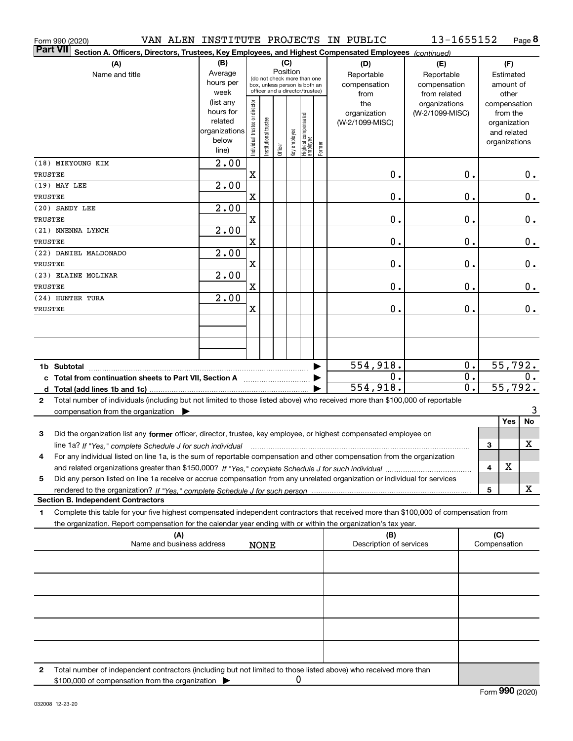| Form 990 (2020)                                                                                                                              |                        |                                |                       |          |              |                                                                  |        | VAN ALEN INSTITUTE PROJECTS IN PUBLIC | 13-1655152      |                  |              | Page 8                   |                  |
|----------------------------------------------------------------------------------------------------------------------------------------------|------------------------|--------------------------------|-----------------------|----------|--------------|------------------------------------------------------------------|--------|---------------------------------------|-----------------|------------------|--------------|--------------------------|------------------|
| <b>Part VII</b><br>Section A. Officers, Directors, Trustees, Key Employees, and Highest Compensated Employees (continued)                    |                        |                                |                       |          |              |                                                                  |        |                                       |                 |                  |              |                          |                  |
| (A)                                                                                                                                          | (B)                    |                                |                       |          | (C)          |                                                                  |        | (D)                                   | (E)             |                  |              | (F)                      |                  |
| Name and title                                                                                                                               | Average                |                                |                       | Position |              | (do not check more than one                                      |        | Reportable                            | Reportable      |                  |              | Estimated                |                  |
|                                                                                                                                              | hours per              |                                |                       |          |              | box, unless person is both an<br>officer and a director/trustee) |        | compensation                          | compensation    |                  |              | amount of                |                  |
|                                                                                                                                              | week                   |                                |                       |          |              |                                                                  |        | from                                  | from related    |                  |              | other                    |                  |
|                                                                                                                                              | (list any<br>hours for |                                |                       |          |              |                                                                  |        | the                                   | organizations   |                  |              | compensation             |                  |
|                                                                                                                                              | related                |                                |                       |          |              |                                                                  |        | organization<br>(W-2/1099-MISC)       | (W-2/1099-MISC) |                  |              | from the<br>organization |                  |
|                                                                                                                                              | organizations          |                                |                       |          |              |                                                                  |        |                                       |                 |                  |              | and related              |                  |
|                                                                                                                                              | below                  | Individual trustee or director | Institutional trustee |          | Key employee |                                                                  |        |                                       |                 |                  |              | organizations            |                  |
|                                                                                                                                              | line)                  |                                |                       | Officer  |              | Highest compensated<br>  employee                                | Former |                                       |                 |                  |              |                          |                  |
| (18) MIKYOUNG KIM                                                                                                                            | 2.00                   |                                |                       |          |              |                                                                  |        |                                       |                 |                  |              |                          |                  |
| TRUSTEE                                                                                                                                      |                        | $\mathbf X$                    |                       |          |              |                                                                  |        | 0.                                    |                 | 0.               |              |                          | 0.               |
| $(19)$ MAY LEE                                                                                                                               | 2.00                   |                                |                       |          |              |                                                                  |        |                                       |                 |                  |              |                          |                  |
| TRUSTEE                                                                                                                                      |                        | X                              |                       |          |              |                                                                  |        | $0$ .                                 |                 | 0.               |              |                          | 0.               |
| (20) SANDY LEE                                                                                                                               | 2.00                   |                                |                       |          |              |                                                                  |        |                                       |                 |                  |              |                          |                  |
| TRUSTEE                                                                                                                                      |                        | X                              |                       |          |              |                                                                  |        | $0$ .                                 |                 | 0.               |              |                          | 0.               |
| (21) NNENNA LYNCH                                                                                                                            | 2.00                   |                                |                       |          |              |                                                                  |        |                                       |                 |                  |              |                          |                  |
| TRUSTEE                                                                                                                                      |                        | X                              |                       |          |              |                                                                  |        | 0.                                    |                 | 0.               |              |                          | 0.               |
| (22) DANIEL MALDONADO                                                                                                                        | 2.00                   |                                |                       |          |              |                                                                  |        |                                       |                 |                  |              |                          |                  |
| TRUSTEE                                                                                                                                      | 2.00                   | X                              |                       |          |              |                                                                  |        | 0.                                    |                 | 0.               |              |                          | 0.               |
| (23) ELAINE MOLINAR<br><b>TRUSTEE</b>                                                                                                        |                        | X                              |                       |          |              |                                                                  |        | 0.                                    |                 | 0.               |              |                          |                  |
| (24) HUNTER TURA                                                                                                                             | 2.00                   |                                |                       |          |              |                                                                  |        |                                       |                 |                  |              |                          | 0.               |
| TRUSTEE                                                                                                                                      |                        | X                              |                       |          |              |                                                                  |        | 0.                                    |                 | 0.               |              |                          | 0.               |
|                                                                                                                                              |                        |                                |                       |          |              |                                                                  |        |                                       |                 |                  |              |                          |                  |
|                                                                                                                                              |                        |                                |                       |          |              |                                                                  |        |                                       |                 |                  |              |                          |                  |
|                                                                                                                                              |                        |                                |                       |          |              |                                                                  |        |                                       |                 |                  |              |                          |                  |
|                                                                                                                                              |                        |                                |                       |          |              |                                                                  |        |                                       |                 |                  |              |                          |                  |
| 1b Subtotal                                                                                                                                  |                        |                                |                       |          |              |                                                                  |        | 554,918.                              |                 | $0$ .            |              | 55,792.                  |                  |
|                                                                                                                                              |                        |                                |                       |          |              |                                                                  |        | 0.                                    |                 | $\overline{0}$ . |              |                          | $\overline{0}$ . |
|                                                                                                                                              |                        |                                |                       |          |              |                                                                  |        | 554,918.                              |                 | $\overline{0}$ . |              | 55,792.                  |                  |
| Total number of individuals (including but not limited to those listed above) who received more than \$100,000 of reportable<br>$\mathbf{2}$ |                        |                                |                       |          |              |                                                                  |        |                                       |                 |                  |              |                          |                  |
| compensation from the organization                                                                                                           |                        |                                |                       |          |              |                                                                  |        |                                       |                 |                  |              |                          | 3                |
|                                                                                                                                              |                        |                                |                       |          |              |                                                                  |        |                                       |                 |                  |              | Yes                      | No               |
| 3<br>Did the organization list any former officer, director, trustee, key employee, or highest compensated employee on                       |                        |                                |                       |          |              |                                                                  |        |                                       |                 |                  |              |                          |                  |
| line 1a? If "Yes," complete Schedule J for such individual manufactured contained and the Ves," complete Schedule J for such individual      |                        |                                |                       |          |              |                                                                  |        |                                       |                 |                  | 3            | X                        |                  |
| For any individual listed on line 1a, is the sum of reportable compensation and other compensation from the organization                     |                        |                                |                       |          |              |                                                                  |        |                                       |                 |                  |              |                          |                  |
|                                                                                                                                              |                        |                                |                       |          |              |                                                                  |        |                                       |                 |                  | 4            | X                        |                  |
| Did any person listed on line 1a receive or accrue compensation from any unrelated organization or individual for services<br>5              |                        |                                |                       |          |              |                                                                  |        |                                       |                 |                  |              |                          |                  |
|                                                                                                                                              |                        |                                |                       |          |              |                                                                  |        |                                       |                 |                  | 5            | х                        |                  |
| <b>Section B. Independent Contractors</b>                                                                                                    |                        |                                |                       |          |              |                                                                  |        |                                       |                 |                  |              |                          |                  |
| Complete this table for your five highest compensated independent contractors that received more than \$100,000 of compensation from<br>1    |                        |                                |                       |          |              |                                                                  |        |                                       |                 |                  |              |                          |                  |
| the organization. Report compensation for the calendar year ending with or within the organization's tax year.                               |                        |                                |                       |          |              |                                                                  |        |                                       |                 |                  | (C)          |                          |                  |
| (A)<br>Name and business address                                                                                                             |                        |                                | <b>NONE</b>           |          |              |                                                                  |        | (B)<br>Description of services        |                 |                  | Compensation |                          |                  |
|                                                                                                                                              |                        |                                |                       |          |              |                                                                  |        |                                       |                 |                  |              |                          |                  |
|                                                                                                                                              |                        |                                |                       |          |              |                                                                  |        |                                       |                 |                  |              |                          |                  |
|                                                                                                                                              |                        |                                |                       |          |              |                                                                  |        |                                       |                 |                  |              |                          |                  |
|                                                                                                                                              |                        |                                |                       |          |              |                                                                  |        |                                       |                 |                  |              |                          |                  |
|                                                                                                                                              |                        |                                |                       |          |              |                                                                  |        |                                       |                 |                  |              |                          |                  |
|                                                                                                                                              |                        |                                |                       |          |              |                                                                  |        |                                       |                 |                  |              |                          |                  |
|                                                                                                                                              |                        |                                |                       |          |              |                                                                  |        |                                       |                 |                  |              |                          |                  |
| Total number of independent contractors (including but not limited to those listed above) who received more than<br>2                        |                        |                                |                       |          |              |                                                                  |        |                                       |                 |                  |              |                          |                  |

\$100,000 of compensation from the organization 0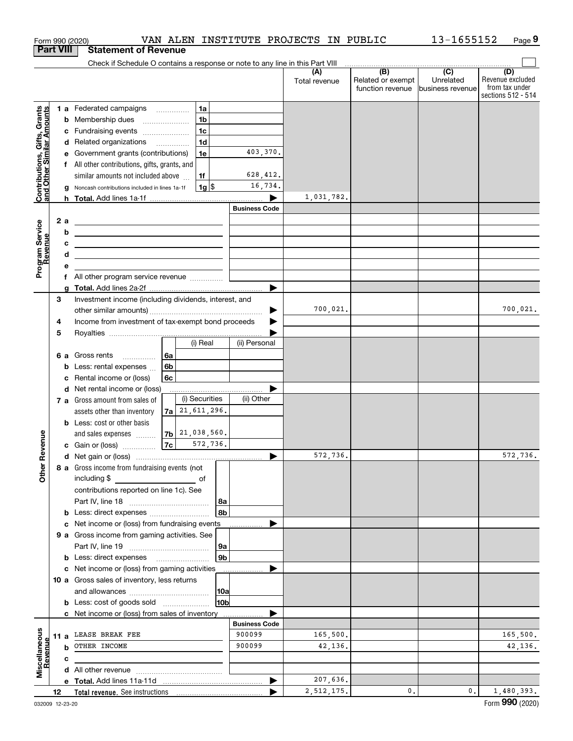|                                                           |                                                         |                                                       | Form 990 (2020)                                                                                                        |                |                    |                 |                      | VAN ALEN INSTITUTE PROJECTS IN PUBLIC |                                                                                                                                                                                                                                                                                                                                                                                                                                                                                   | 13-1655152                    | Page 9                                                          |
|-----------------------------------------------------------|---------------------------------------------------------|-------------------------------------------------------|------------------------------------------------------------------------------------------------------------------------|----------------|--------------------|-----------------|----------------------|---------------------------------------|-----------------------------------------------------------------------------------------------------------------------------------------------------------------------------------------------------------------------------------------------------------------------------------------------------------------------------------------------------------------------------------------------------------------------------------------------------------------------------------|-------------------------------|-----------------------------------------------------------------|
| <b>Part VIII</b>                                          |                                                         |                                                       | <b>Statement of Revenue</b>                                                                                            |                |                    |                 |                      |                                       |                                                                                                                                                                                                                                                                                                                                                                                                                                                                                   |                               |                                                                 |
|                                                           |                                                         |                                                       | Check if Schedule O contains a response or note to any line in this Part VIII                                          |                |                    |                 |                      |                                       | $\begin{array}{c c c c c c} \hline \textbf{(B)} & \textbf{(C)} & \textbf{(D)} & \textbf{(E)} & \textbf{(E)} & \textbf{(E)} & \textbf{(E)} & \textbf{(E)} & \textbf{(E)} & \textbf{(E)} & \textbf{(E)} & \textbf{(E)} & \textbf{(E)} & \textbf{(E)} & \textbf{(E)} & \textbf{(E)} & \textbf{(E)} & \textbf{(E)} & \textbf{(E)} & \textbf{(E)} & \textbf{(E)} & \textbf{(E)} & \textbf{(E)} & \textbf{(E)} & \textbf{(E)} & \textbf{(E)} & \textbf{(E)} & \textbf{(E)} & \textbf{($ |                               |                                                                 |
|                                                           |                                                         |                                                       |                                                                                                                        |                |                    |                 |                      | (A)<br>Total revenue                  | Related or exempt<br>function revenue                                                                                                                                                                                                                                                                                                                                                                                                                                             | Unrelated<br>business revenue | (D)<br>Revenue excluded<br>from tax under<br>sections 512 - 514 |
|                                                           |                                                         |                                                       | 1 a Federated campaigns                                                                                                |                | 1a                 |                 |                      |                                       |                                                                                                                                                                                                                                                                                                                                                                                                                                                                                   |                               |                                                                 |
| Contributions, Gifts, Grants<br>and Other Similar Amounts |                                                         |                                                       | <b>b</b> Membership dues                                                                                               |                | 1 <sub>b</sub>     |                 |                      |                                       |                                                                                                                                                                                                                                                                                                                                                                                                                                                                                   |                               |                                                                 |
|                                                           |                                                         | с                                                     | Fundraising events                                                                                                     |                | 1 <sub>c</sub>     |                 |                      |                                       |                                                                                                                                                                                                                                                                                                                                                                                                                                                                                   |                               |                                                                 |
|                                                           |                                                         |                                                       | d Related organizations                                                                                                |                | 1 <sub>d</sub>     |                 |                      |                                       |                                                                                                                                                                                                                                                                                                                                                                                                                                                                                   |                               |                                                                 |
|                                                           |                                                         | е                                                     | Government grants (contributions)                                                                                      |                | 1e                 |                 | 403,370.             |                                       |                                                                                                                                                                                                                                                                                                                                                                                                                                                                                   |                               |                                                                 |
|                                                           |                                                         |                                                       | f All other contributions, gifts, grants, and                                                                          |                |                    |                 |                      |                                       |                                                                                                                                                                                                                                                                                                                                                                                                                                                                                   |                               |                                                                 |
|                                                           |                                                         |                                                       | similar amounts not included above                                                                                     |                | 1f                 |                 | 628,412.             |                                       |                                                                                                                                                                                                                                                                                                                                                                                                                                                                                   |                               |                                                                 |
|                                                           |                                                         | g                                                     | Noncash contributions included in lines 1a-1f                                                                          |                | $1g$ \$            |                 | 16,734.              |                                       |                                                                                                                                                                                                                                                                                                                                                                                                                                                                                   |                               |                                                                 |
|                                                           |                                                         |                                                       |                                                                                                                        |                |                    |                 |                      | 1,031,782.                            |                                                                                                                                                                                                                                                                                                                                                                                                                                                                                   |                               |                                                                 |
|                                                           |                                                         |                                                       |                                                                                                                        |                |                    |                 | <b>Business Code</b> |                                       |                                                                                                                                                                                                                                                                                                                                                                                                                                                                                   |                               |                                                                 |
|                                                           |                                                         | 2a                                                    | <u> 1989 - Johann Harry Harry Harry Harry Harry Harry Harry Harry Harry Harry Harry Harry Harry Harry Harry Harry</u>  |                |                    |                 |                      |                                       |                                                                                                                                                                                                                                                                                                                                                                                                                                                                                   |                               |                                                                 |
| Program Service<br>Revenue                                |                                                         | b                                                     | <u> 1989 - Andrea Stadt Britain, amerikansk politik (</u>                                                              |                |                    |                 |                      |                                       |                                                                                                                                                                                                                                                                                                                                                                                                                                                                                   |                               |                                                                 |
|                                                           |                                                         | c                                                     | <u> Alexander (Alexander Alexander Alexander Alexander Alexander Alexander Alexander Alexander Alexander Alexander</u> |                |                    |                 |                      |                                       |                                                                                                                                                                                                                                                                                                                                                                                                                                                                                   |                               |                                                                 |
|                                                           |                                                         | d                                                     | <u> 1989 - Johann Barn, amerikansk politiker (</u>                                                                     |                |                    |                 |                      |                                       |                                                                                                                                                                                                                                                                                                                                                                                                                                                                                   |                               |                                                                 |
|                                                           |                                                         | е                                                     |                                                                                                                        |                |                    |                 |                      |                                       |                                                                                                                                                                                                                                                                                                                                                                                                                                                                                   |                               |                                                                 |
|                                                           |                                                         |                                                       |                                                                                                                        |                |                    |                 |                      |                                       |                                                                                                                                                                                                                                                                                                                                                                                                                                                                                   |                               |                                                                 |
|                                                           |                                                         | g                                                     |                                                                                                                        |                |                    |                 |                      |                                       |                                                                                                                                                                                                                                                                                                                                                                                                                                                                                   |                               |                                                                 |
|                                                           | 3                                                       |                                                       | Investment income (including dividends, interest, and                                                                  |                |                    |                 |                      |                                       |                                                                                                                                                                                                                                                                                                                                                                                                                                                                                   |                               |                                                                 |
|                                                           |                                                         |                                                       |                                                                                                                        |                |                    |                 |                      | 700,021.                              |                                                                                                                                                                                                                                                                                                                                                                                                                                                                                   |                               | 700,021.                                                        |
|                                                           | Income from investment of tax-exempt bond proceeds<br>4 |                                                       |                                                                                                                        |                |                    |                 |                      |                                       |                                                                                                                                                                                                                                                                                                                                                                                                                                                                                   |                               |                                                                 |
|                                                           | 5                                                       |                                                       |                                                                                                                        |                |                    |                 |                      |                                       |                                                                                                                                                                                                                                                                                                                                                                                                                                                                                   |                               |                                                                 |
|                                                           |                                                         |                                                       |                                                                                                                        |                |                    |                 | (ii) Personal        |                                       |                                                                                                                                                                                                                                                                                                                                                                                                                                                                                   |                               |                                                                 |
|                                                           |                                                         |                                                       | 6 a Gross rents                                                                                                        | (i) Real<br>6a |                    |                 |                      |                                       |                                                                                                                                                                                                                                                                                                                                                                                                                                                                                   |                               |                                                                 |
|                                                           |                                                         | b                                                     | Less: rental expenses                                                                                                  | 6b             |                    |                 |                      |                                       |                                                                                                                                                                                                                                                                                                                                                                                                                                                                                   |                               |                                                                 |
|                                                           |                                                         | с                                                     | Rental income or (loss)                                                                                                | 6с             |                    |                 |                      |                                       |                                                                                                                                                                                                                                                                                                                                                                                                                                                                                   |                               |                                                                 |
|                                                           |                                                         |                                                       | d Net rental income or (loss)                                                                                          |                |                    |                 |                      |                                       |                                                                                                                                                                                                                                                                                                                                                                                                                                                                                   |                               |                                                                 |
|                                                           |                                                         |                                                       | 7 a Gross amount from sales of                                                                                         |                | (i) Securities     |                 | (ii) Other           |                                       |                                                                                                                                                                                                                                                                                                                                                                                                                                                                                   |                               |                                                                 |
|                                                           |                                                         |                                                       | assets other than inventory                                                                                            |                | $7a$ 21, 611, 296. |                 |                      |                                       |                                                                                                                                                                                                                                                                                                                                                                                                                                                                                   |                               |                                                                 |
|                                                           |                                                         |                                                       | <b>b</b> Less: cost or other basis                                                                                     |                |                    |                 |                      |                                       |                                                                                                                                                                                                                                                                                                                                                                                                                                                                                   |                               |                                                                 |
|                                                           |                                                         |                                                       | and sales expenses                                                                                                     |                | $7b$ $21,038,560.$ |                 |                      |                                       |                                                                                                                                                                                                                                                                                                                                                                                                                                                                                   |                               |                                                                 |
| evenue                                                    |                                                         |                                                       | c Gain or (loss)                                                                                                       |                | 7c                 | 572,736.        |                      |                                       |                                                                                                                                                                                                                                                                                                                                                                                                                                                                                   |                               |                                                                 |
|                                                           |                                                         |                                                       |                                                                                                                        |                |                    |                 |                      | 572,736.                              |                                                                                                                                                                                                                                                                                                                                                                                                                                                                                   |                               | 572,736.                                                        |
| œ                                                         |                                                         |                                                       | 8 a Gross income from fundraising events (not                                                                          |                |                    |                 |                      |                                       |                                                                                                                                                                                                                                                                                                                                                                                                                                                                                   |                               |                                                                 |
| Other                                                     |                                                         |                                                       | including \$<br><u>of</u> of                                                                                           |                |                    |                 |                      |                                       |                                                                                                                                                                                                                                                                                                                                                                                                                                                                                   |                               |                                                                 |
|                                                           |                                                         |                                                       | contributions reported on line 1c). See                                                                                |                |                    |                 |                      |                                       |                                                                                                                                                                                                                                                                                                                                                                                                                                                                                   |                               |                                                                 |
|                                                           |                                                         |                                                       |                                                                                                                        |                |                    | 8a              |                      |                                       |                                                                                                                                                                                                                                                                                                                                                                                                                                                                                   |                               |                                                                 |
|                                                           |                                                         |                                                       | <b>b</b> Less: direct expenses <i></i>                                                                                 |                |                    | 8b              |                      |                                       |                                                                                                                                                                                                                                                                                                                                                                                                                                                                                   |                               |                                                                 |
|                                                           |                                                         |                                                       | c Net income or (loss) from fundraising events                                                                         |                |                    |                 |                      |                                       |                                                                                                                                                                                                                                                                                                                                                                                                                                                                                   |                               |                                                                 |
|                                                           |                                                         |                                                       | 9 a Gross income from gaming activities. See                                                                           |                |                    |                 |                      |                                       |                                                                                                                                                                                                                                                                                                                                                                                                                                                                                   |                               |                                                                 |
|                                                           |                                                         |                                                       |                                                                                                                        |                |                    | 9a              |                      |                                       |                                                                                                                                                                                                                                                                                                                                                                                                                                                                                   |                               |                                                                 |
|                                                           |                                                         |                                                       | <b>b</b> Less: direct expenses <b>manually</b>                                                                         |                |                    | 9 <sub>b</sub>  |                      |                                       |                                                                                                                                                                                                                                                                                                                                                                                                                                                                                   |                               |                                                                 |
|                                                           |                                                         |                                                       | c Net income or (loss) from gaming activities                                                                          |                |                    |                 |                      |                                       |                                                                                                                                                                                                                                                                                                                                                                                                                                                                                   |                               |                                                                 |
|                                                           |                                                         |                                                       | 10 a Gross sales of inventory, less returns                                                                            |                |                    |                 |                      |                                       |                                                                                                                                                                                                                                                                                                                                                                                                                                                                                   |                               |                                                                 |
|                                                           |                                                         |                                                       |                                                                                                                        |                |                    | 10a             |                      |                                       |                                                                                                                                                                                                                                                                                                                                                                                                                                                                                   |                               |                                                                 |
|                                                           |                                                         |                                                       | <b>b</b> Less: cost of goods sold                                                                                      |                |                    | 10 <sub>b</sub> |                      |                                       |                                                                                                                                                                                                                                                                                                                                                                                                                                                                                   |                               |                                                                 |
|                                                           |                                                         | <b>c</b> Net income or (loss) from sales of inventory |                                                                                                                        |                |                    |                 |                      |                                       |                                                                                                                                                                                                                                                                                                                                                                                                                                                                                   |                               |                                                                 |
|                                                           |                                                         |                                                       |                                                                                                                        |                |                    |                 | <b>Business Code</b> |                                       |                                                                                                                                                                                                                                                                                                                                                                                                                                                                                   |                               |                                                                 |
|                                                           |                                                         |                                                       | 11 a LEASE BREAK FEE                                                                                                   |                |                    |                 | 900099               | 165,500.                              |                                                                                                                                                                                                                                                                                                                                                                                                                                                                                   |                               | 165,500.                                                        |
| evenue                                                    |                                                         |                                                       | <b>b</b> OTHER INCOME                                                                                                  |                |                    |                 | 900099               | 42,136.                               |                                                                                                                                                                                                                                                                                                                                                                                                                                                                                   |                               | 42,136.                                                         |
|                                                           |                                                         | с                                                     |                                                                                                                        |                |                    |                 |                      |                                       |                                                                                                                                                                                                                                                                                                                                                                                                                                                                                   |                               |                                                                 |
| Miscellaneous<br>Bevenue                                  |                                                         |                                                       |                                                                                                                        |                |                    |                 |                      |                                       |                                                                                                                                                                                                                                                                                                                                                                                                                                                                                   |                               |                                                                 |
|                                                           |                                                         |                                                       |                                                                                                                        |                |                    |                 | ▶                    | 207,636.                              |                                                                                                                                                                                                                                                                                                                                                                                                                                                                                   |                               |                                                                 |
|                                                           | 12                                                      |                                                       |                                                                                                                        |                |                    |                 |                      | 2,512,175.                            | 0.                                                                                                                                                                                                                                                                                                                                                                                                                                                                                | 0.                            | 1,480,393.                                                      |
|                                                           |                                                         |                                                       |                                                                                                                        |                |                    |                 |                      |                                       |                                                                                                                                                                                                                                                                                                                                                                                                                                                                                   |                               |                                                                 |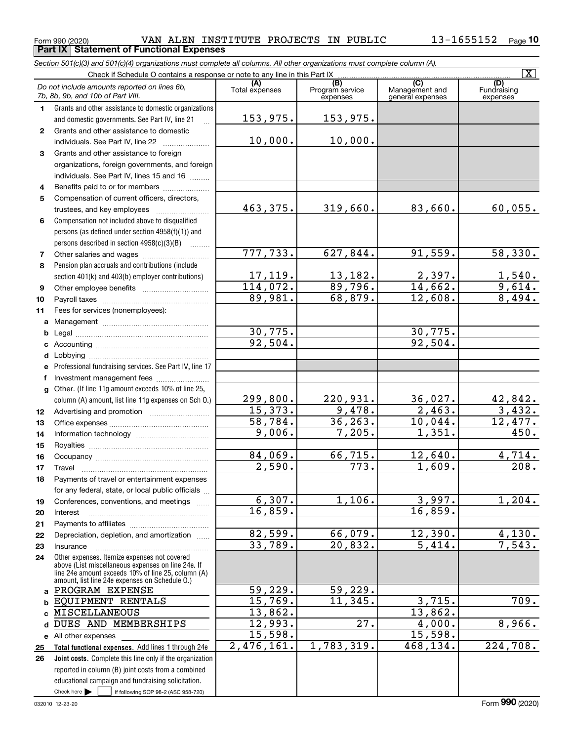Form 990 (2020) Page **Part IX Statement of Functional Expenses** VAN ALEN INSTITUTE PROJECTS IN PUBLIC 13-1655152

|              | Section 501(c)(3) and 501(c)(4) organizations must complete all columns. All other organizations must complete column (A).                                                                                 |                |                        |                      | $\overline{\mathtt{x}}$ |
|--------------|------------------------------------------------------------------------------------------------------------------------------------------------------------------------------------------------------------|----------------|------------------------|----------------------|-------------------------|
|              | Check if Schedule O contains a response or note to any line in this Part IX                                                                                                                                | (A)            |                        | (C)                  | (D)                     |
|              | Do not include amounts reported on lines 6b,<br>7b, 8b, 9b, and 10b of Part VIII.                                                                                                                          | Total expenses | (B)<br>Program service | Management and       | Fundraising             |
|              |                                                                                                                                                                                                            |                | expenses               | general expenses     | expenses                |
| 1.           | Grants and other assistance to domestic organizations                                                                                                                                                      | 153,975.       | 153,975.               |                      |                         |
| $\mathbf{2}$ | and domestic governments. See Part IV, line 21<br>Grants and other assistance to domestic                                                                                                                  |                |                        |                      |                         |
|              | individuals. See Part IV, line 22                                                                                                                                                                          | 10,000.        | 10,000.                |                      |                         |
| 3            | Grants and other assistance to foreign                                                                                                                                                                     |                |                        |                      |                         |
|              | organizations, foreign governments, and foreign                                                                                                                                                            |                |                        |                      |                         |
|              | individuals. See Part IV, lines 15 and 16                                                                                                                                                                  |                |                        |                      |                         |
| 4            | Benefits paid to or for members                                                                                                                                                                            |                |                        |                      |                         |
| 5            | Compensation of current officers, directors,                                                                                                                                                               |                |                        |                      |                         |
|              | trustees, and key employees                                                                                                                                                                                | 463,375.       | 319,660.               | 83,660.              | 60,055.                 |
| 6            | Compensation not included above to disqualified                                                                                                                                                            |                |                        |                      |                         |
|              | persons (as defined under section 4958(f)(1)) and                                                                                                                                                          |                |                        |                      |                         |
|              | persons described in section 4958(c)(3)(B)<br>.                                                                                                                                                            |                |                        |                      |                         |
| 7            |                                                                                                                                                                                                            | 777,733.       | 627,844.               | 91,559.              | 58,330.                 |
| 8            | Pension plan accruals and contributions (include                                                                                                                                                           |                |                        |                      |                         |
|              | section 401(k) and 403(b) employer contributions)                                                                                                                                                          | 17,119.        | 13,182.                | 2,397.               |                         |
| 9            |                                                                                                                                                                                                            | 114,072.       | 89,796.                | 14,662.              | $\frac{1,540}{9,614}$   |
| 10           |                                                                                                                                                                                                            | 89,981.        | 68,879.                | 12,608.              | 8,494.                  |
| 11           | Fees for services (nonemployees):                                                                                                                                                                          |                |                        |                      |                         |
|              |                                                                                                                                                                                                            |                |                        |                      |                         |
| b            |                                                                                                                                                                                                            | 30,775.        |                        | 30,775.              |                         |
| c            |                                                                                                                                                                                                            | 92,504.        |                        | 92,504.              |                         |
| d            |                                                                                                                                                                                                            |                |                        |                      |                         |
| e            | Professional fundraising services. See Part IV, line 17                                                                                                                                                    |                |                        |                      |                         |
| f            | Investment management fees                                                                                                                                                                                 |                |                        |                      |                         |
| $\mathbf{q}$ | Other. (If line 11g amount exceeds 10% of line 25,                                                                                                                                                         |                |                        |                      |                         |
|              | column (A) amount, list line 11g expenses on Sch O.)                                                                                                                                                       | 299,800.       | 220,931.               | 36,027.              | 42,842.                 |
| 12           |                                                                                                                                                                                                            | 15,373.        | 9,478.                 | $\overline{2,463}$ . | 3,432.                  |
| 13           |                                                                                                                                                                                                            | 58,784.        | 36, 263.               | 10,044.              | 12,477.                 |
| 14           |                                                                                                                                                                                                            | 9,006.         | 7,205.                 | 1,351.               | 450.                    |
| 15           |                                                                                                                                                                                                            |                |                        |                      |                         |
| 16           |                                                                                                                                                                                                            | 84,069.        | 66,715.                | 12,640.              | 4,714.                  |
| 17           |                                                                                                                                                                                                            | 2,590.         | 773.                   | 1,609.               | 208.                    |
| 18           | Payments of travel or entertainment expenses                                                                                                                                                               |                |                        |                      |                         |
|              | for any federal, state, or local public officials                                                                                                                                                          |                |                        |                      |                         |
| 19           | Conferences, conventions, and meetings                                                                                                                                                                     | 6,307.         | 1,106.                 | 3,997.               | 1,204.                  |
| 20           | Interest                                                                                                                                                                                                   | 16,859.        |                        | 16,859.              |                         |
| 21           |                                                                                                                                                                                                            |                |                        |                      |                         |
| 22           | Depreciation, depletion, and amortization                                                                                                                                                                  | 82,599.        | 66,079.                | 12,390.              | 4,130.                  |
| 23           | Insurance                                                                                                                                                                                                  | 33,789.        | 20,832.                | 5,414.               | 7,543.                  |
| 24           | Other expenses. Itemize expenses not covered<br>above (List miscellaneous expenses on line 24e. If<br>line 24e amount exceeds 10% of line 25, column (A)<br>amount, list line 24e expenses on Schedule O.) |                |                        |                      |                         |
|              | PROGRAM EXPENSE                                                                                                                                                                                            | 59,229.        | 59,229.                |                      |                         |
| b            | EQUIPMENT RENTALS                                                                                                                                                                                          | 15,769.        | 11,345.                | 3,715.               | 709.                    |
|              | <b>MISCELLANEOUS</b>                                                                                                                                                                                       | 13,862.        |                        | 13,862.              |                         |
| d            | DUES AND MEMBERSHIPS                                                                                                                                                                                       | 12,993.        | 27.                    | 4,000.               | 8,966.                  |
|              | e All other expenses                                                                                                                                                                                       | 15,598.        |                        | 15,598.              |                         |
| 25           | Total functional expenses. Add lines 1 through 24e                                                                                                                                                         | 2,476,161.     | 1,783,319.             | 468,134.             | 224,708.                |
| 26           | Joint costs. Complete this line only if the organization                                                                                                                                                   |                |                        |                      |                         |
|              | reported in column (B) joint costs from a combined                                                                                                                                                         |                |                        |                      |                         |
|              | educational campaign and fundraising solicitation.                                                                                                                                                         |                |                        |                      |                         |

Check here  $\blacktriangleright$ 

Check here  $\bullet$  if following SOP 98-2 (ASC 958-720)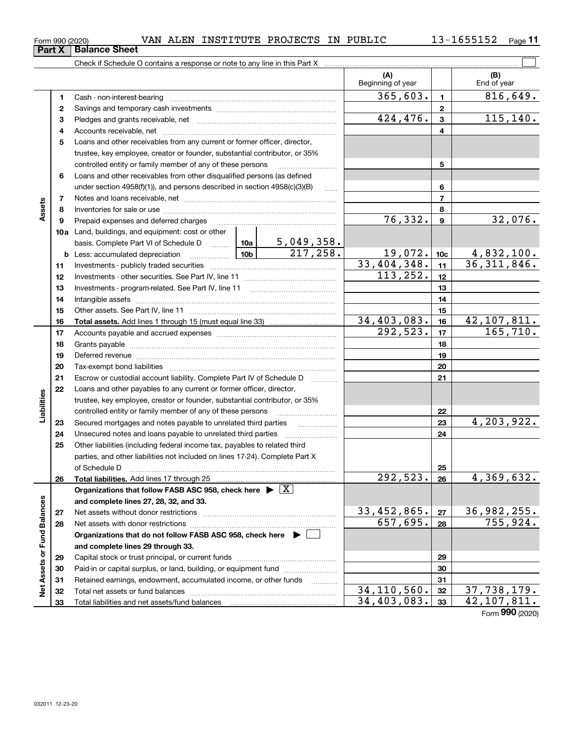$\mathcal{L}^{\text{max}}$ 

| Form 990 (2020) |                 | VAN | ALEN | INSTITUTE | PROJECTS | IN | PUBLIC | .655152 | $P$ age |
|-----------------|-----------------|-----|------|-----------|----------|----|--------|---------|---------|
| PartV           | : Ralance Sheet |     |      |           |          |    |        |         |         |

Check if Schedule O contains a response or note to any line in this Part X

|                             |          |                                                                                                                                                                                                                                | (A)<br>Beginning of year |                 | (B)<br>End of year             |
|-----------------------------|----------|--------------------------------------------------------------------------------------------------------------------------------------------------------------------------------------------------------------------------------|--------------------------|-----------------|--------------------------------|
|                             | 1        |                                                                                                                                                                                                                                | 365,603.                 | $\mathbf{1}$    | 816, 649.                      |
|                             | 2        |                                                                                                                                                                                                                                |                          | $\mathbf{2}$    |                                |
|                             | 3        |                                                                                                                                                                                                                                | 424, 476.                | $\overline{3}$  | 115, 140.                      |
|                             | 4        |                                                                                                                                                                                                                                |                          | 4               |                                |
|                             | 5        | Loans and other receivables from any current or former officer, director,                                                                                                                                                      |                          |                 |                                |
|                             |          | trustee, key employee, creator or founder, substantial contributor, or 35%                                                                                                                                                     |                          |                 |                                |
|                             |          | controlled entity or family member of any of these persons                                                                                                                                                                     |                          | 5               |                                |
|                             | 6        | Loans and other receivables from other disqualified persons (as defined                                                                                                                                                        |                          |                 |                                |
|                             |          | under section $4958(f)(1)$ , and persons described in section $4958(c)(3)(B)$<br>$\sim$                                                                                                                                        |                          | 6               |                                |
|                             | 7        |                                                                                                                                                                                                                                |                          | $\overline{7}$  |                                |
| Assets                      | 8        |                                                                                                                                                                                                                                |                          | 8               |                                |
|                             | 9        | Prepaid expenses and deferred charges                                                                                                                                                                                          | 76, 332.                 | $\mathbf{9}$    | 32,076.                        |
|                             |          | 10a Land, buildings, and equipment: cost or other                                                                                                                                                                              |                          |                 |                                |
|                             |          | basis. Complete Part VI of Schedule D  10a   5, 049, 358.                                                                                                                                                                      |                          |                 |                                |
|                             | b        | 217,258.<br>$\begin{array}{ c c c c c }\n\hline\n\hline\n\textbf{10b} & \textbf{10b}\n\end{array}$<br>Less: accumulated depreciation                                                                                           | 19,072.                  | 10 <sub>c</sub> | $\frac{4,832,100}{36,311,846}$ |
|                             | 11       |                                                                                                                                                                                                                                | 33,404,348.              | 11              |                                |
|                             | 12       |                                                                                                                                                                                                                                | 113, 252.                | 12              |                                |
|                             | 13       |                                                                                                                                                                                                                                |                          | 13              |                                |
|                             | 14       |                                                                                                                                                                                                                                |                          | 14              |                                |
|                             | 15       |                                                                                                                                                                                                                                |                          | 15              |                                |
|                             | 16       |                                                                                                                                                                                                                                | 34,403,083.<br>292,523.  | 16<br>17        | 42, 107, 811.<br>165, 710.     |
|                             | 17       |                                                                                                                                                                                                                                |                          | 18              |                                |
|                             | 18<br>19 |                                                                                                                                                                                                                                |                          | 19              |                                |
|                             | 20       | Deferred revenue manual contracts and contracts are contracted and contract and contract are contracted and contract are contracted and contract are contracted and contract are contracted and contract are contracted and co |                          | 20              |                                |
|                             | 21       | Escrow or custodial account liability. Complete Part IV of Schedule D                                                                                                                                                          |                          | 21              |                                |
|                             | 22       | 1.1.1.1.1.1.1.1.1<br>Loans and other payables to any current or former officer, director,                                                                                                                                      |                          |                 |                                |
|                             |          | trustee, key employee, creator or founder, substantial contributor, or 35%                                                                                                                                                     |                          |                 |                                |
| Liabilities                 |          | controlled entity or family member of any of these persons                                                                                                                                                                     |                          | 22              |                                |
|                             | 23       | Secured mortgages and notes payable to unrelated third parties                                                                                                                                                                 |                          | 23              | 4,203,922.                     |
|                             | 24       |                                                                                                                                                                                                                                |                          | 24              |                                |
|                             | 25       | Other liabilities (including federal income tax, payables to related third                                                                                                                                                     |                          |                 |                                |
|                             |          | parties, and other liabilities not included on lines 17-24). Complete Part X                                                                                                                                                   |                          |                 |                                |
|                             |          | of Schedule D                                                                                                                                                                                                                  |                          | 25              |                                |
|                             | 26       |                                                                                                                                                                                                                                | 292,523.                 | 26              | 4,369,632.                     |
|                             |          | Organizations that follow FASB ASC 958, check here $\blacktriangleright \boxed{X}$                                                                                                                                             |                          |                 |                                |
|                             |          | and complete lines 27, 28, 32, and 33.                                                                                                                                                                                         |                          |                 |                                |
|                             | 27       |                                                                                                                                                                                                                                | 33,452,865.              | 27              | 36,982,255.                    |
|                             | 28       |                                                                                                                                                                                                                                | 657,695.                 | 28              | 755,924.                       |
|                             |          | Organizations that do not follow FASB ASC 958, check here $\blacktriangleright$                                                                                                                                                |                          |                 |                                |
|                             |          | and complete lines 29 through 33.                                                                                                                                                                                              |                          |                 |                                |
|                             | 29       |                                                                                                                                                                                                                                |                          | 29<br>30        |                                |
| Net Assets or Fund Balances | 30<br>31 | Paid-in or capital surplus, or land, building, or equipment fund<br>Retained earnings, endowment, accumulated income, or other funds                                                                                           |                          | 31              |                                |
|                             | 32       |                                                                                                                                                                                                                                | 34, 110, 560.            | 32              | 37,738,179.                    |
|                             | 33       |                                                                                                                                                                                                                                | 34,403,083.              | 33              | 42, 107, 811.                  |

Form (2020) **990**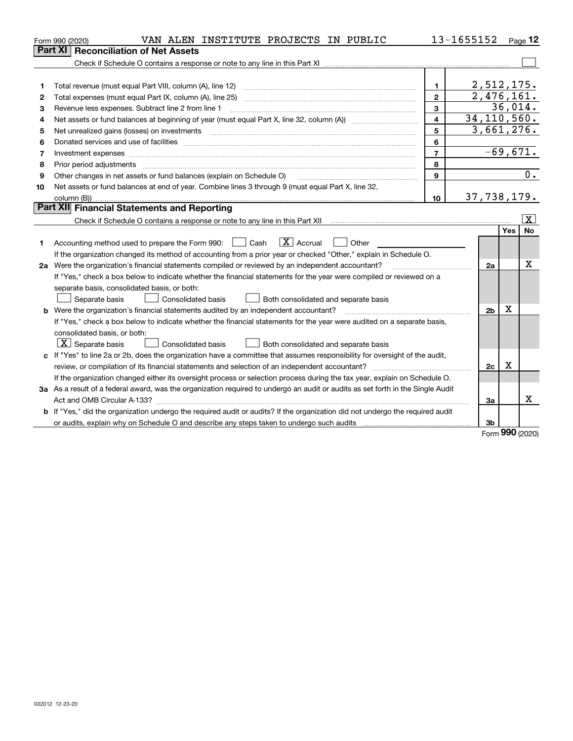|    | VAN ALEN INSTITUTE PROJECTS IN PUBLIC<br>Form 990 (2020)                                                                                                                                                                       |                | 13-1655152     |            | Page $12$               |
|----|--------------------------------------------------------------------------------------------------------------------------------------------------------------------------------------------------------------------------------|----------------|----------------|------------|-------------------------|
|    | <b>Part XI</b><br><b>Reconciliation of Net Assets</b>                                                                                                                                                                          |                |                |            |                         |
|    |                                                                                                                                                                                                                                |                |                |            |                         |
|    |                                                                                                                                                                                                                                |                |                |            |                         |
| 1  |                                                                                                                                                                                                                                | 1.             | 2,512,175.     |            |                         |
| 2  |                                                                                                                                                                                                                                | $\mathbf{2}$   | 2,476,161.     |            |                         |
| З  | Revenue less expenses. Subtract line 2 from line 1                                                                                                                                                                             | $\mathbf{3}$   |                | 36,014.    |                         |
| 4  |                                                                                                                                                                                                                                | $\overline{4}$ | 34, 110, 560.  |            |                         |
| 5  | Net unrealized gains (losses) on investments [11] matter contracts and the state of the state of the state of the state of the state of the state of the state of the state of the state of the state of the state of the stat | 5              | 3,661,276.     |            |                         |
| 6  | Donated services and use of facilities [111] matter contracts and the facilities in the matter of facilities [11] matter contracts and use of facilities [11] matter contracts and the service of the service of the service o | 6              |                |            |                         |
| 7  |                                                                                                                                                                                                                                | $\overline{7}$ |                | $-69,671.$ |                         |
| 8  | Prior period adjustments material contents and content of the content of the content of the content of the content of the content of the content of the content of the content of the content of the content of the content of | 8              |                |            |                         |
| 9  | Other changes in net assets or fund balances (explain on Schedule O)                                                                                                                                                           | 9              |                |            | $\overline{0}$ .        |
| 10 | Net assets or fund balances at end of year. Combine lines 3 through 9 (must equal Part X, line 32,                                                                                                                             |                |                |            |                         |
|    |                                                                                                                                                                                                                                | 10             | 37,738,179.    |            |                         |
|    | Part XII Financial Statements and Reporting                                                                                                                                                                                    |                |                |            |                         |
|    |                                                                                                                                                                                                                                |                |                |            | $\overline{\mathbf{x}}$ |
|    |                                                                                                                                                                                                                                |                |                | <b>Yes</b> | <b>No</b>               |
| 1  | $\boxed{\text{X}}$ Accrual<br>Accounting method used to prepare the Form 990: <u>I</u> Cash<br>Other<br>$\pm$ $\pm$                                                                                                            |                |                |            |                         |
|    | If the organization changed its method of accounting from a prior year or checked "Other," explain in Schedule O.                                                                                                              |                |                |            |                         |
|    | 2a Were the organization's financial statements compiled or reviewed by an independent accountant?                                                                                                                             |                | 2a             |            | Χ                       |
|    | If "Yes," check a box below to indicate whether the financial statements for the year were compiled or reviewed on a                                                                                                           |                |                |            |                         |
|    | separate basis, consolidated basis, or both:                                                                                                                                                                                   |                |                |            |                         |
|    | Both consolidated and separate basis<br>Separate basis<br>Consolidated basis                                                                                                                                                   |                |                |            |                         |
|    | <b>b</b> Were the organization's financial statements audited by an independent accountant?                                                                                                                                    |                | 2 <sub>b</sub> | х          |                         |
|    | If "Yes," check a box below to indicate whether the financial statements for the year were audited on a separate basis,                                                                                                        |                |                |            |                         |
|    | consolidated basis, or both:                                                                                                                                                                                                   |                |                |            |                         |
|    | $ \mathbf{X} $ Separate basis<br><b>Consolidated basis</b><br>Both consolidated and separate basis                                                                                                                             |                |                |            |                         |
|    | c If "Yes" to line 2a or 2b, does the organization have a committee that assumes responsibility for oversight of the audit,                                                                                                    |                |                |            |                         |
|    |                                                                                                                                                                                                                                |                | 2c             | х          |                         |
|    | If the organization changed either its oversight process or selection process during the tax year, explain on Schedule O.                                                                                                      |                |                |            |                         |
|    | 3a As a result of a federal award, was the organization required to undergo an audit or audits as set forth in the Single Audit                                                                                                |                |                |            |                         |
|    |                                                                                                                                                                                                                                |                | 3a             |            | x                       |
|    | <b>b</b> If "Yes," did the organization undergo the required audit or audits? If the organization did not undergo the required audit                                                                                           |                |                |            |                         |
|    | or audits, explain why on Schedule O and describe any steps taken to undergo such audits matures and the content                                                                                                               |                | 3b             | <b>200</b> |                         |

Form (2020) **990**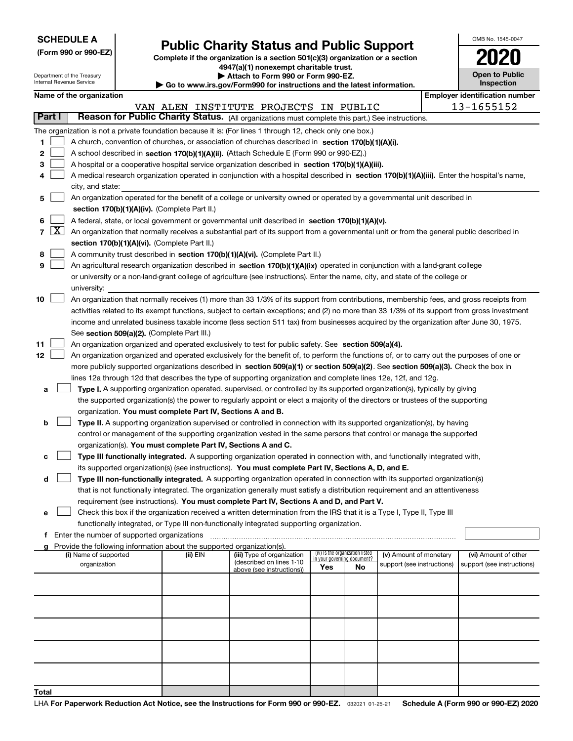| <b>SCHEDULE A</b> |  |  |  |  |  |  |
|-------------------|--|--|--|--|--|--|
|-------------------|--|--|--|--|--|--|

Department of the Treasury

| (Form 990 or 990-EZ) |  |  |  |  |
|----------------------|--|--|--|--|
|----------------------|--|--|--|--|

# **Public Charity Status and Public Support**

**Complete if the organization is a section 501(c)(3) organization or a section 4947(a)(1) nonexempt charitable trust. | Attach to Form 990 or Form 990-EZ.** 

|  |  |  | ► Go to www.irs.gov/Form990 for instructions and the latest information. |  |  |  |
|--|--|--|--------------------------------------------------------------------------|--|--|--|
|  |  |  |                                                                          |  |  |  |

| OMB No. 1545-0047     |  |
|-----------------------|--|
| 2020                  |  |
| <b>Open to Public</b> |  |

|        | Internal Revenue Service<br>Inspection<br>Go to www.irs.gov/Form990 for instructions and the latest information. |                                                                                                                                            |                                             |                                                                        |                                                                                                                                              |                                                                |     |                            |  |                                       |
|--------|------------------------------------------------------------------------------------------------------------------|--------------------------------------------------------------------------------------------------------------------------------------------|---------------------------------------------|------------------------------------------------------------------------|----------------------------------------------------------------------------------------------------------------------------------------------|----------------------------------------------------------------|-----|----------------------------|--|---------------------------------------|
|        |                                                                                                                  | Name of the organization                                                                                                                   |                                             |                                                                        |                                                                                                                                              |                                                                |     |                            |  | <b>Employer identification number</b> |
|        |                                                                                                                  |                                                                                                                                            |                                             |                                                                        | VAN ALEN INSTITUTE PROJECTS IN PUBLIC                                                                                                        |                                                                |     |                            |  | 13-1655152                            |
| Part I |                                                                                                                  |                                                                                                                                            |                                             |                                                                        | Reason for Public Charity Status. (All organizations must complete this part.) See instructions.                                             |                                                                |     |                            |  |                                       |
|        |                                                                                                                  |                                                                                                                                            |                                             |                                                                        | The organization is not a private foundation because it is: (For lines 1 through 12, check only one box.)                                    |                                                                |     |                            |  |                                       |
| 1.     |                                                                                                                  |                                                                                                                                            |                                             |                                                                        | A church, convention of churches, or association of churches described in section 170(b)(1)(A)(i).                                           |                                                                |     |                            |  |                                       |
| 2      |                                                                                                                  | A school described in section 170(b)(1)(A)(ii). (Attach Schedule E (Form 990 or 990-EZ).)                                                  |                                             |                                                                        |                                                                                                                                              |                                                                |     |                            |  |                                       |
| з      |                                                                                                                  |                                                                                                                                            |                                             |                                                                        | A hospital or a cooperative hospital service organization described in section 170(b)(1)(A)(iii).                                            |                                                                |     |                            |  |                                       |
| 4      |                                                                                                                  | A medical research organization operated in conjunction with a hospital described in section 170(b)(1)(A)(iii). Enter the hospital's name, |                                             |                                                                        |                                                                                                                                              |                                                                |     |                            |  |                                       |
|        |                                                                                                                  | city, and state:                                                                                                                           |                                             |                                                                        |                                                                                                                                              |                                                                |     |                            |  |                                       |
| 5      |                                                                                                                  |                                                                                                                                            |                                             |                                                                        | An organization operated for the benefit of a college or university owned or operated by a governmental unit described in                    |                                                                |     |                            |  |                                       |
|        |                                                                                                                  |                                                                                                                                            |                                             | section 170(b)(1)(A)(iv). (Complete Part II.)                          |                                                                                                                                              |                                                                |     |                            |  |                                       |
| 6      |                                                                                                                  |                                                                                                                                            |                                             |                                                                        | A federal, state, or local government or governmental unit described in section 170(b)(1)(A)(v).                                             |                                                                |     |                            |  |                                       |
| 7      | $\boxed{\text{X}}$                                                                                               |                                                                                                                                            |                                             |                                                                        | An organization that normally receives a substantial part of its support from a governmental unit or from the general public described in    |                                                                |     |                            |  |                                       |
|        |                                                                                                                  |                                                                                                                                            |                                             | section 170(b)(1)(A)(vi). (Complete Part II.)                          |                                                                                                                                              |                                                                |     |                            |  |                                       |
| 8      |                                                                                                                  |                                                                                                                                            |                                             |                                                                        | A community trust described in section 170(b)(1)(A)(vi). (Complete Part II.)                                                                 |                                                                |     |                            |  |                                       |
| 9      |                                                                                                                  |                                                                                                                                            |                                             |                                                                        | An agricultural research organization described in section 170(b)(1)(A)(ix) operated in conjunction with a land-grant college                |                                                                |     |                            |  |                                       |
|        |                                                                                                                  |                                                                                                                                            |                                             |                                                                        | or university or a non-land-grant college of agriculture (see instructions). Enter the name, city, and state of the college or               |                                                                |     |                            |  |                                       |
|        |                                                                                                                  | university:                                                                                                                                |                                             |                                                                        |                                                                                                                                              |                                                                |     |                            |  |                                       |
| 10     |                                                                                                                  |                                                                                                                                            |                                             |                                                                        | An organization that normally receives (1) more than 33 1/3% of its support from contributions, membership fees, and gross receipts from     |                                                                |     |                            |  |                                       |
|        |                                                                                                                  |                                                                                                                                            |                                             |                                                                        | activities related to its exempt functions, subject to certain exceptions; and (2) no more than 33 1/3% of its support from gross investment |                                                                |     |                            |  |                                       |
|        |                                                                                                                  |                                                                                                                                            |                                             |                                                                        | income and unrelated business taxable income (less section 511 tax) from businesses acquired by the organization after June 30, 1975.        |                                                                |     |                            |  |                                       |
|        |                                                                                                                  |                                                                                                                                            |                                             | See section 509(a)(2). (Complete Part III.)                            |                                                                                                                                              |                                                                |     |                            |  |                                       |
| 11     |                                                                                                                  |                                                                                                                                            |                                             |                                                                        | An organization organized and operated exclusively to test for public safety. See section 509(a)(4).                                         |                                                                |     |                            |  |                                       |
| 12     |                                                                                                                  |                                                                                                                                            |                                             |                                                                        | An organization organized and operated exclusively for the benefit of, to perform the functions of, or to carry out the purposes of one or   |                                                                |     |                            |  |                                       |
|        |                                                                                                                  |                                                                                                                                            |                                             |                                                                        | more publicly supported organizations described in section 509(a)(1) or section 509(a)(2). See section 509(a)(3). Check the box in           |                                                                |     |                            |  |                                       |
|        |                                                                                                                  |                                                                                                                                            |                                             |                                                                        | lines 12a through 12d that describes the type of supporting organization and complete lines 12e, 12f, and 12g.                               |                                                                |     |                            |  |                                       |
| а      |                                                                                                                  |                                                                                                                                            |                                             |                                                                        | Type I. A supporting organization operated, supervised, or controlled by its supported organization(s), typically by giving                  |                                                                |     |                            |  |                                       |
|        |                                                                                                                  |                                                                                                                                            |                                             |                                                                        | the supported organization(s) the power to regularly appoint or elect a majority of the directors or trustees of the supporting              |                                                                |     |                            |  |                                       |
|        |                                                                                                                  |                                                                                                                                            |                                             | organization. You must complete Part IV, Sections A and B.             |                                                                                                                                              |                                                                |     |                            |  |                                       |
| b      |                                                                                                                  |                                                                                                                                            |                                             |                                                                        | Type II. A supporting organization supervised or controlled in connection with its supported organization(s), by having                      |                                                                |     |                            |  |                                       |
|        |                                                                                                                  |                                                                                                                                            |                                             |                                                                        | control or management of the supporting organization vested in the same persons that control or manage the supported                         |                                                                |     |                            |  |                                       |
|        |                                                                                                                  |                                                                                                                                            |                                             | organization(s). You must complete Part IV, Sections A and C.          |                                                                                                                                              |                                                                |     |                            |  |                                       |
| с      |                                                                                                                  |                                                                                                                                            |                                             |                                                                        | Type III functionally integrated. A supporting organization operated in connection with, and functionally integrated with,                   |                                                                |     |                            |  |                                       |
|        |                                                                                                                  |                                                                                                                                            |                                             |                                                                        | its supported organization(s) (see instructions). You must complete Part IV, Sections A, D, and E.                                           |                                                                |     |                            |  |                                       |
| d      |                                                                                                                  |                                                                                                                                            |                                             |                                                                        | Type III non-functionally integrated. A supporting organization operated in connection with its supported organization(s)                    |                                                                |     |                            |  |                                       |
|        |                                                                                                                  |                                                                                                                                            |                                             |                                                                        | that is not functionally integrated. The organization generally must satisfy a distribution requirement and an attentiveness                 |                                                                |     |                            |  |                                       |
|        |                                                                                                                  |                                                                                                                                            |                                             |                                                                        | requirement (see instructions). You must complete Part IV, Sections A and D, and Part V.                                                     |                                                                |     |                            |  |                                       |
| е      |                                                                                                                  |                                                                                                                                            |                                             |                                                                        | Check this box if the organization received a written determination from the IRS that it is a Type I, Type II, Type III                      |                                                                |     |                            |  |                                       |
|        |                                                                                                                  |                                                                                                                                            |                                             |                                                                        | functionally integrated, or Type III non-functionally integrated supporting organization.                                                    |                                                                |     |                            |  |                                       |
| f      |                                                                                                                  |                                                                                                                                            | Enter the number of supported organizations |                                                                        |                                                                                                                                              |                                                                |     |                            |  |                                       |
|        |                                                                                                                  |                                                                                                                                            |                                             | Provide the following information about the supported organization(s). |                                                                                                                                              |                                                                |     |                            |  |                                       |
|        |                                                                                                                  | (i) Name of supported                                                                                                                      |                                             | (ii) EIN                                                               | (iii) Type of organization                                                                                                                   | (iv) Is the organization listed<br>in your governing document? |     | (v) Amount of monetary     |  | (vi) Amount of other                  |
|        |                                                                                                                  | organization                                                                                                                               |                                             |                                                                        | (described on lines 1-10<br>above (see instructions))                                                                                        | Yes                                                            | No. | support (see instructions) |  | support (see instructions)            |
|        |                                                                                                                  |                                                                                                                                            |                                             |                                                                        |                                                                                                                                              |                                                                |     |                            |  |                                       |
|        |                                                                                                                  |                                                                                                                                            |                                             |                                                                        |                                                                                                                                              |                                                                |     |                            |  |                                       |
|        |                                                                                                                  |                                                                                                                                            |                                             |                                                                        |                                                                                                                                              |                                                                |     |                            |  |                                       |
|        |                                                                                                                  |                                                                                                                                            |                                             |                                                                        |                                                                                                                                              |                                                                |     |                            |  |                                       |
|        |                                                                                                                  |                                                                                                                                            |                                             |                                                                        |                                                                                                                                              |                                                                |     |                            |  |                                       |
|        |                                                                                                                  |                                                                                                                                            |                                             |                                                                        |                                                                                                                                              |                                                                |     |                            |  |                                       |
|        |                                                                                                                  |                                                                                                                                            |                                             |                                                                        |                                                                                                                                              |                                                                |     |                            |  |                                       |
|        |                                                                                                                  |                                                                                                                                            |                                             |                                                                        |                                                                                                                                              |                                                                |     |                            |  |                                       |
|        |                                                                                                                  |                                                                                                                                            |                                             |                                                                        |                                                                                                                                              |                                                                |     |                            |  |                                       |
|        |                                                                                                                  |                                                                                                                                            |                                             |                                                                        |                                                                                                                                              |                                                                |     |                            |  |                                       |
| Total  |                                                                                                                  |                                                                                                                                            |                                             |                                                                        |                                                                                                                                              |                                                                |     |                            |  |                                       |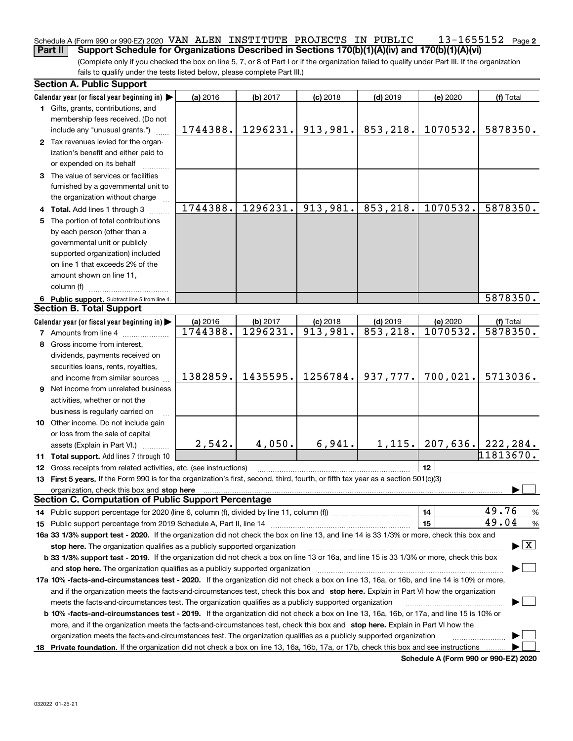#### **2** Schedule A (Form 990 or 990-EZ) 2020 Page VAN ALEN INSTITUTE PROJECTS IN PUBLIC 13-1655152**Part II Support Schedule for Organizations Described in Sections 170(b)(1)(A)(iv) and 170(b)(1)(A)(vi)**

(Complete only if you checked the box on line 5, 7, or 8 of Part I or if the organization failed to qualify under Part III. If the organization fails to qualify under the tests listed below, please complete Part III.)

| Calendar year (or fiscal year beginning in)<br>$(d)$ 2019<br>(a) 2016<br>(b) 2017<br>$(c)$ 2018<br>(e) 2020<br>(f) Total<br>1 Gifts, grants, contributions, and<br>membership fees received. (Do not<br>1296231.<br>913,981.<br>853,218.<br>1070532.<br>1744388.<br>5878350.<br>include any "unusual grants.")<br>2 Tax revenues levied for the organ-<br>ization's benefit and either paid to<br>or expended on its behalf<br>3 The value of services or facilities<br>furnished by a governmental unit to<br>the organization without charge<br>1744388.<br>1296231.<br>913, 981.<br>853,218.<br>1070532.<br>5878350.<br>4 Total. Add lines 1 through 3<br>The portion of total contributions<br>5.<br>by each person (other than a<br>governmental unit or publicly<br>supported organization) included<br>on line 1 that exceeds 2% of the<br>amount shown on line 11,<br>column (f)<br>5878350.<br>6 Public support. Subtract line 5 from line 4.<br><b>Section B. Total Support</b><br>Calendar year (or fiscal year beginning in)<br>(a) 2016<br>(b) 2017<br>$(d)$ 2019<br>(e) 2020<br>$(c)$ 2018<br>(f) Total<br>1744388.<br>1296231.<br>913,981.<br>$\overline{853,218}$ .<br>5878350.<br>1070532.<br><b>7</b> Amounts from line 4<br>8 Gross income from interest,<br>dividends, payments received on<br>securities loans, rents, royalties,<br>1435595.<br>1256784.<br>700,021.<br>1382859.<br>937,777.<br>5713036.<br>and income from similar sources<br>9 Net income from unrelated business<br>activities, whether or not the<br>business is regularly carried on<br>10 Other income. Do not include gain |                                          |  |  |  |  |  |  |  |
|-------------------------------------------------------------------------------------------------------------------------------------------------------------------------------------------------------------------------------------------------------------------------------------------------------------------------------------------------------------------------------------------------------------------------------------------------------------------------------------------------------------------------------------------------------------------------------------------------------------------------------------------------------------------------------------------------------------------------------------------------------------------------------------------------------------------------------------------------------------------------------------------------------------------------------------------------------------------------------------------------------------------------------------------------------------------------------------------------------------------------------------------------------------------------------------------------------------------------------------------------------------------------------------------------------------------------------------------------------------------------------------------------------------------------------------------------------------------------------------------------------------------------------------------------------------------------------------------------------------------------|------------------------------------------|--|--|--|--|--|--|--|
|                                                                                                                                                                                                                                                                                                                                                                                                                                                                                                                                                                                                                                                                                                                                                                                                                                                                                                                                                                                                                                                                                                                                                                                                                                                                                                                                                                                                                                                                                                                                                                                                                         |                                          |  |  |  |  |  |  |  |
|                                                                                                                                                                                                                                                                                                                                                                                                                                                                                                                                                                                                                                                                                                                                                                                                                                                                                                                                                                                                                                                                                                                                                                                                                                                                                                                                                                                                                                                                                                                                                                                                                         |                                          |  |  |  |  |  |  |  |
|                                                                                                                                                                                                                                                                                                                                                                                                                                                                                                                                                                                                                                                                                                                                                                                                                                                                                                                                                                                                                                                                                                                                                                                                                                                                                                                                                                                                                                                                                                                                                                                                                         |                                          |  |  |  |  |  |  |  |
|                                                                                                                                                                                                                                                                                                                                                                                                                                                                                                                                                                                                                                                                                                                                                                                                                                                                                                                                                                                                                                                                                                                                                                                                                                                                                                                                                                                                                                                                                                                                                                                                                         |                                          |  |  |  |  |  |  |  |
|                                                                                                                                                                                                                                                                                                                                                                                                                                                                                                                                                                                                                                                                                                                                                                                                                                                                                                                                                                                                                                                                                                                                                                                                                                                                                                                                                                                                                                                                                                                                                                                                                         |                                          |  |  |  |  |  |  |  |
|                                                                                                                                                                                                                                                                                                                                                                                                                                                                                                                                                                                                                                                                                                                                                                                                                                                                                                                                                                                                                                                                                                                                                                                                                                                                                                                                                                                                                                                                                                                                                                                                                         |                                          |  |  |  |  |  |  |  |
|                                                                                                                                                                                                                                                                                                                                                                                                                                                                                                                                                                                                                                                                                                                                                                                                                                                                                                                                                                                                                                                                                                                                                                                                                                                                                                                                                                                                                                                                                                                                                                                                                         |                                          |  |  |  |  |  |  |  |
|                                                                                                                                                                                                                                                                                                                                                                                                                                                                                                                                                                                                                                                                                                                                                                                                                                                                                                                                                                                                                                                                                                                                                                                                                                                                                                                                                                                                                                                                                                                                                                                                                         |                                          |  |  |  |  |  |  |  |
|                                                                                                                                                                                                                                                                                                                                                                                                                                                                                                                                                                                                                                                                                                                                                                                                                                                                                                                                                                                                                                                                                                                                                                                                                                                                                                                                                                                                                                                                                                                                                                                                                         |                                          |  |  |  |  |  |  |  |
|                                                                                                                                                                                                                                                                                                                                                                                                                                                                                                                                                                                                                                                                                                                                                                                                                                                                                                                                                                                                                                                                                                                                                                                                                                                                                                                                                                                                                                                                                                                                                                                                                         |                                          |  |  |  |  |  |  |  |
|                                                                                                                                                                                                                                                                                                                                                                                                                                                                                                                                                                                                                                                                                                                                                                                                                                                                                                                                                                                                                                                                                                                                                                                                                                                                                                                                                                                                                                                                                                                                                                                                                         |                                          |  |  |  |  |  |  |  |
|                                                                                                                                                                                                                                                                                                                                                                                                                                                                                                                                                                                                                                                                                                                                                                                                                                                                                                                                                                                                                                                                                                                                                                                                                                                                                                                                                                                                                                                                                                                                                                                                                         |                                          |  |  |  |  |  |  |  |
|                                                                                                                                                                                                                                                                                                                                                                                                                                                                                                                                                                                                                                                                                                                                                                                                                                                                                                                                                                                                                                                                                                                                                                                                                                                                                                                                                                                                                                                                                                                                                                                                                         |                                          |  |  |  |  |  |  |  |
|                                                                                                                                                                                                                                                                                                                                                                                                                                                                                                                                                                                                                                                                                                                                                                                                                                                                                                                                                                                                                                                                                                                                                                                                                                                                                                                                                                                                                                                                                                                                                                                                                         |                                          |  |  |  |  |  |  |  |
|                                                                                                                                                                                                                                                                                                                                                                                                                                                                                                                                                                                                                                                                                                                                                                                                                                                                                                                                                                                                                                                                                                                                                                                                                                                                                                                                                                                                                                                                                                                                                                                                                         |                                          |  |  |  |  |  |  |  |
|                                                                                                                                                                                                                                                                                                                                                                                                                                                                                                                                                                                                                                                                                                                                                                                                                                                                                                                                                                                                                                                                                                                                                                                                                                                                                                                                                                                                                                                                                                                                                                                                                         |                                          |  |  |  |  |  |  |  |
|                                                                                                                                                                                                                                                                                                                                                                                                                                                                                                                                                                                                                                                                                                                                                                                                                                                                                                                                                                                                                                                                                                                                                                                                                                                                                                                                                                                                                                                                                                                                                                                                                         |                                          |  |  |  |  |  |  |  |
|                                                                                                                                                                                                                                                                                                                                                                                                                                                                                                                                                                                                                                                                                                                                                                                                                                                                                                                                                                                                                                                                                                                                                                                                                                                                                                                                                                                                                                                                                                                                                                                                                         |                                          |  |  |  |  |  |  |  |
|                                                                                                                                                                                                                                                                                                                                                                                                                                                                                                                                                                                                                                                                                                                                                                                                                                                                                                                                                                                                                                                                                                                                                                                                                                                                                                                                                                                                                                                                                                                                                                                                                         |                                          |  |  |  |  |  |  |  |
|                                                                                                                                                                                                                                                                                                                                                                                                                                                                                                                                                                                                                                                                                                                                                                                                                                                                                                                                                                                                                                                                                                                                                                                                                                                                                                                                                                                                                                                                                                                                                                                                                         |                                          |  |  |  |  |  |  |  |
|                                                                                                                                                                                                                                                                                                                                                                                                                                                                                                                                                                                                                                                                                                                                                                                                                                                                                                                                                                                                                                                                                                                                                                                                                                                                                                                                                                                                                                                                                                                                                                                                                         |                                          |  |  |  |  |  |  |  |
|                                                                                                                                                                                                                                                                                                                                                                                                                                                                                                                                                                                                                                                                                                                                                                                                                                                                                                                                                                                                                                                                                                                                                                                                                                                                                                                                                                                                                                                                                                                                                                                                                         |                                          |  |  |  |  |  |  |  |
|                                                                                                                                                                                                                                                                                                                                                                                                                                                                                                                                                                                                                                                                                                                                                                                                                                                                                                                                                                                                                                                                                                                                                                                                                                                                                                                                                                                                                                                                                                                                                                                                                         |                                          |  |  |  |  |  |  |  |
|                                                                                                                                                                                                                                                                                                                                                                                                                                                                                                                                                                                                                                                                                                                                                                                                                                                                                                                                                                                                                                                                                                                                                                                                                                                                                                                                                                                                                                                                                                                                                                                                                         |                                          |  |  |  |  |  |  |  |
|                                                                                                                                                                                                                                                                                                                                                                                                                                                                                                                                                                                                                                                                                                                                                                                                                                                                                                                                                                                                                                                                                                                                                                                                                                                                                                                                                                                                                                                                                                                                                                                                                         |                                          |  |  |  |  |  |  |  |
|                                                                                                                                                                                                                                                                                                                                                                                                                                                                                                                                                                                                                                                                                                                                                                                                                                                                                                                                                                                                                                                                                                                                                                                                                                                                                                                                                                                                                                                                                                                                                                                                                         |                                          |  |  |  |  |  |  |  |
|                                                                                                                                                                                                                                                                                                                                                                                                                                                                                                                                                                                                                                                                                                                                                                                                                                                                                                                                                                                                                                                                                                                                                                                                                                                                                                                                                                                                                                                                                                                                                                                                                         |                                          |  |  |  |  |  |  |  |
|                                                                                                                                                                                                                                                                                                                                                                                                                                                                                                                                                                                                                                                                                                                                                                                                                                                                                                                                                                                                                                                                                                                                                                                                                                                                                                                                                                                                                                                                                                                                                                                                                         |                                          |  |  |  |  |  |  |  |
|                                                                                                                                                                                                                                                                                                                                                                                                                                                                                                                                                                                                                                                                                                                                                                                                                                                                                                                                                                                                                                                                                                                                                                                                                                                                                                                                                                                                                                                                                                                                                                                                                         |                                          |  |  |  |  |  |  |  |
|                                                                                                                                                                                                                                                                                                                                                                                                                                                                                                                                                                                                                                                                                                                                                                                                                                                                                                                                                                                                                                                                                                                                                                                                                                                                                                                                                                                                                                                                                                                                                                                                                         |                                          |  |  |  |  |  |  |  |
|                                                                                                                                                                                                                                                                                                                                                                                                                                                                                                                                                                                                                                                                                                                                                                                                                                                                                                                                                                                                                                                                                                                                                                                                                                                                                                                                                                                                                                                                                                                                                                                                                         |                                          |  |  |  |  |  |  |  |
| or loss from the sale of capital                                                                                                                                                                                                                                                                                                                                                                                                                                                                                                                                                                                                                                                                                                                                                                                                                                                                                                                                                                                                                                                                                                                                                                                                                                                                                                                                                                                                                                                                                                                                                                                        |                                          |  |  |  |  |  |  |  |
| 4,050.<br>6,941.<br>1, 115.<br>207,636.<br>2,542.<br>222,284.<br>assets (Explain in Part VI.) <b>Constant</b>                                                                                                                                                                                                                                                                                                                                                                                                                                                                                                                                                                                                                                                                                                                                                                                                                                                                                                                                                                                                                                                                                                                                                                                                                                                                                                                                                                                                                                                                                                           |                                          |  |  |  |  |  |  |  |
| 11813670.<br>11 Total support. Add lines 7 through 10                                                                                                                                                                                                                                                                                                                                                                                                                                                                                                                                                                                                                                                                                                                                                                                                                                                                                                                                                                                                                                                                                                                                                                                                                                                                                                                                                                                                                                                                                                                                                                   |                                          |  |  |  |  |  |  |  |
| 12<br>12 Gross receipts from related activities, etc. (see instructions)                                                                                                                                                                                                                                                                                                                                                                                                                                                                                                                                                                                                                                                                                                                                                                                                                                                                                                                                                                                                                                                                                                                                                                                                                                                                                                                                                                                                                                                                                                                                                |                                          |  |  |  |  |  |  |  |
| 13 First 5 years. If the Form 990 is for the organization's first, second, third, fourth, or fifth tax year as a section 501(c)(3)                                                                                                                                                                                                                                                                                                                                                                                                                                                                                                                                                                                                                                                                                                                                                                                                                                                                                                                                                                                                                                                                                                                                                                                                                                                                                                                                                                                                                                                                                      |                                          |  |  |  |  |  |  |  |
| organization, check this box and stop here                                                                                                                                                                                                                                                                                                                                                                                                                                                                                                                                                                                                                                                                                                                                                                                                                                                                                                                                                                                                                                                                                                                                                                                                                                                                                                                                                                                                                                                                                                                                                                              |                                          |  |  |  |  |  |  |  |
| <b>Section C. Computation of Public Support Percentage</b>                                                                                                                                                                                                                                                                                                                                                                                                                                                                                                                                                                                                                                                                                                                                                                                                                                                                                                                                                                                                                                                                                                                                                                                                                                                                                                                                                                                                                                                                                                                                                              |                                          |  |  |  |  |  |  |  |
| 49.76<br>14<br>14 Public support percentage for 2020 (line 6, column (f), divided by line 11, column (f) <i>mummumumum</i>                                                                                                                                                                                                                                                                                                                                                                                                                                                                                                                                                                                                                                                                                                                                                                                                                                                                                                                                                                                                                                                                                                                                                                                                                                                                                                                                                                                                                                                                                              | %                                        |  |  |  |  |  |  |  |
| 49.04<br>15                                                                                                                                                                                                                                                                                                                                                                                                                                                                                                                                                                                                                                                                                                                                                                                                                                                                                                                                                                                                                                                                                                                                                                                                                                                                                                                                                                                                                                                                                                                                                                                                             | %                                        |  |  |  |  |  |  |  |
| 16a 33 1/3% support test - 2020. If the organization did not check the box on line 13, and line 14 is 33 1/3% or more, check this box and                                                                                                                                                                                                                                                                                                                                                                                                                                                                                                                                                                                                                                                                                                                                                                                                                                                                                                                                                                                                                                                                                                                                                                                                                                                                                                                                                                                                                                                                               |                                          |  |  |  |  |  |  |  |
| stop here. The organization qualifies as a publicly supported organization                                                                                                                                                                                                                                                                                                                                                                                                                                                                                                                                                                                                                                                                                                                                                                                                                                                                                                                                                                                                                                                                                                                                                                                                                                                                                                                                                                                                                                                                                                                                              | $\blacktriangleright$ $\boxed{\text{X}}$ |  |  |  |  |  |  |  |
| b 33 1/3% support test - 2019. If the organization did not check a box on line 13 or 16a, and line 15 is 33 1/3% or more, check this box                                                                                                                                                                                                                                                                                                                                                                                                                                                                                                                                                                                                                                                                                                                                                                                                                                                                                                                                                                                                                                                                                                                                                                                                                                                                                                                                                                                                                                                                                |                                          |  |  |  |  |  |  |  |
| and stop here. The organization qualifies as a publicly supported organization                                                                                                                                                                                                                                                                                                                                                                                                                                                                                                                                                                                                                                                                                                                                                                                                                                                                                                                                                                                                                                                                                                                                                                                                                                                                                                                                                                                                                                                                                                                                          |                                          |  |  |  |  |  |  |  |
| 17a 10% -facts-and-circumstances test - 2020. If the organization did not check a box on line 13, 16a, or 16b, and line 14 is 10% or more,                                                                                                                                                                                                                                                                                                                                                                                                                                                                                                                                                                                                                                                                                                                                                                                                                                                                                                                                                                                                                                                                                                                                                                                                                                                                                                                                                                                                                                                                              |                                          |  |  |  |  |  |  |  |
| and if the organization meets the facts-and-circumstances test, check this box and stop here. Explain in Part VI how the organization                                                                                                                                                                                                                                                                                                                                                                                                                                                                                                                                                                                                                                                                                                                                                                                                                                                                                                                                                                                                                                                                                                                                                                                                                                                                                                                                                                                                                                                                                   |                                          |  |  |  |  |  |  |  |
| meets the facts-and-circumstances test. The organization qualifies as a publicly supported organization                                                                                                                                                                                                                                                                                                                                                                                                                                                                                                                                                                                                                                                                                                                                                                                                                                                                                                                                                                                                                                                                                                                                                                                                                                                                                                                                                                                                                                                                                                                 |                                          |  |  |  |  |  |  |  |
| <b>b 10% -facts-and-circumstances test - 2019.</b> If the organization did not check a box on line 13, 16a, 16b, or 17a, and line 15 is 10% or                                                                                                                                                                                                                                                                                                                                                                                                                                                                                                                                                                                                                                                                                                                                                                                                                                                                                                                                                                                                                                                                                                                                                                                                                                                                                                                                                                                                                                                                          |                                          |  |  |  |  |  |  |  |
| more, and if the organization meets the facts-and-circumstances test, check this box and stop here. Explain in Part VI how the                                                                                                                                                                                                                                                                                                                                                                                                                                                                                                                                                                                                                                                                                                                                                                                                                                                                                                                                                                                                                                                                                                                                                                                                                                                                                                                                                                                                                                                                                          |                                          |  |  |  |  |  |  |  |
| organization meets the facts-and-circumstances test. The organization qualifies as a publicly supported organization                                                                                                                                                                                                                                                                                                                                                                                                                                                                                                                                                                                                                                                                                                                                                                                                                                                                                                                                                                                                                                                                                                                                                                                                                                                                                                                                                                                                                                                                                                    |                                          |  |  |  |  |  |  |  |
|                                                                                                                                                                                                                                                                                                                                                                                                                                                                                                                                                                                                                                                                                                                                                                                                                                                                                                                                                                                                                                                                                                                                                                                                                                                                                                                                                                                                                                                                                                                                                                                                                         |                                          |  |  |  |  |  |  |  |

**Schedule A (Form 990 or 990-EZ) 2020**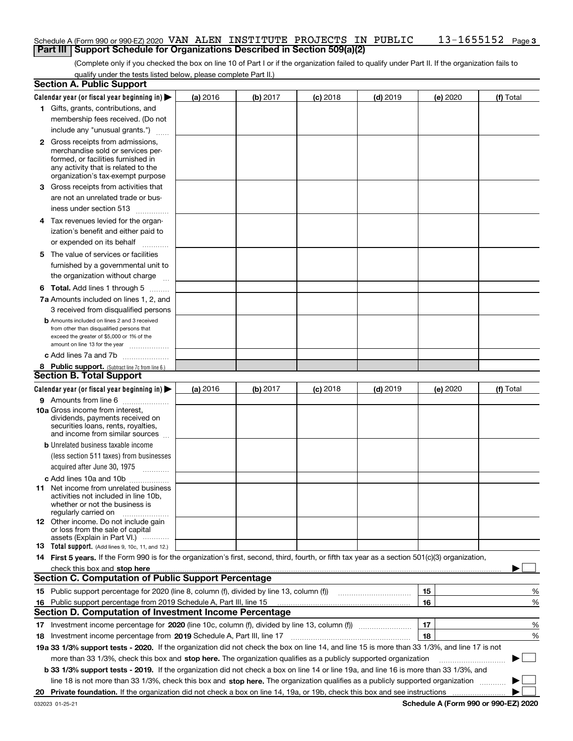#### **3** Schedule A (Form 990 or 990-EZ) 2020 Page VAN ALEN INSTITUTE PROJECTS IN PUBLIC 13-1655152**Part III Support Schedule for Organizations Described in Section 509(a)(2)**

(Complete only if you checked the box on line 10 of Part I or if the organization failed to qualify under Part II. If the organization fails to qualify under the tests listed below, please complete Part II.)

| <b>Section A. Public Support</b>                                                                                                                 |   |          |          |            |            |          |           |
|--------------------------------------------------------------------------------------------------------------------------------------------------|---|----------|----------|------------|------------|----------|-----------|
| Calendar year (or fiscal year beginning in) $\blacktriangleright$                                                                                |   | (a) 2016 | (b) 2017 | $(c)$ 2018 | $(d)$ 2019 | (e) 2020 | (f) Total |
| 1 Gifts, grants, contributions, and                                                                                                              |   |          |          |            |            |          |           |
| membership fees received. (Do not                                                                                                                |   |          |          |            |            |          |           |
| include any "unusual grants.")                                                                                                                   |   |          |          |            |            |          |           |
| <b>2</b> Gross receipts from admissions,                                                                                                         |   |          |          |            |            |          |           |
| merchandise sold or services per-                                                                                                                |   |          |          |            |            |          |           |
| formed, or facilities furnished in                                                                                                               |   |          |          |            |            |          |           |
| any activity that is related to the<br>organization's tax-exempt purpose                                                                         |   |          |          |            |            |          |           |
| 3 Gross receipts from activities that                                                                                                            |   |          |          |            |            |          |           |
| are not an unrelated trade or bus-                                                                                                               |   |          |          |            |            |          |           |
|                                                                                                                                                  |   |          |          |            |            |          |           |
| iness under section 513                                                                                                                          |   |          |          |            |            |          |           |
| 4 Tax revenues levied for the organ-                                                                                                             |   |          |          |            |            |          |           |
| ization's benefit and either paid to                                                                                                             |   |          |          |            |            |          |           |
| or expended on its behalf                                                                                                                        | . |          |          |            |            |          |           |
| 5 The value of services or facilities                                                                                                            |   |          |          |            |            |          |           |
| furnished by a governmental unit to                                                                                                              |   |          |          |            |            |          |           |
| the organization without charge                                                                                                                  |   |          |          |            |            |          |           |
| <b>6 Total.</b> Add lines 1 through 5                                                                                                            |   |          |          |            |            |          |           |
| 7a Amounts included on lines 1, 2, and                                                                                                           |   |          |          |            |            |          |           |
| 3 received from disqualified persons                                                                                                             |   |          |          |            |            |          |           |
| <b>b</b> Amounts included on lines 2 and 3 received                                                                                              |   |          |          |            |            |          |           |
| from other than disqualified persons that                                                                                                        |   |          |          |            |            |          |           |
| exceed the greater of \$5,000 or 1% of the<br>amount on line 13 for the year                                                                     |   |          |          |            |            |          |           |
| c Add lines 7a and 7b                                                                                                                            |   |          |          |            |            |          |           |
| 8 Public support. (Subtract line 7c from line 6.)                                                                                                |   |          |          |            |            |          |           |
| <b>Section B. Total Support</b>                                                                                                                  |   |          |          |            |            |          |           |
| Calendar year (or fiscal year beginning in)                                                                                                      |   | (a) 2016 | (b) 2017 | $(c)$ 2018 | $(d)$ 2019 | (e) 2020 | (f) Total |
| 9 Amounts from line 6                                                                                                                            |   |          |          |            |            |          |           |
| <b>10a</b> Gross income from interest,                                                                                                           |   |          |          |            |            |          |           |
| dividends, payments received on                                                                                                                  |   |          |          |            |            |          |           |
| securities loans, rents, royalties,                                                                                                              |   |          |          |            |            |          |           |
| and income from similar sources                                                                                                                  |   |          |          |            |            |          |           |
| <b>b</b> Unrelated business taxable income                                                                                                       |   |          |          |            |            |          |           |
| (less section 511 taxes) from businesses                                                                                                         |   |          |          |            |            |          |           |
| acquired after June 30, 1975 [10001]                                                                                                             |   |          |          |            |            |          |           |
| c Add lines 10a and 10b                                                                                                                          |   |          |          |            |            |          |           |
| 11 Net income from unrelated business<br>activities not included in line 10b,                                                                    |   |          |          |            |            |          |           |
| whether or not the business is                                                                                                                   |   |          |          |            |            |          |           |
| regularly carried on                                                                                                                             |   |          |          |            |            |          |           |
| <b>12</b> Other income. Do not include gain<br>or loss from the sale of capital                                                                  |   |          |          |            |            |          |           |
| assets (Explain in Part VI.)                                                                                                                     |   |          |          |            |            |          |           |
| <b>13</b> Total support. (Add lines 9, 10c, 11, and 12.)                                                                                         |   |          |          |            |            |          |           |
| 14 First 5 years. If the Form 990 is for the organization's first, second, third, fourth, or fifth tax year as a section 501(c)(3) organization, |   |          |          |            |            |          |           |
| check this box and stop here measurements are constructed as the state of the state of the state of the state o                                  |   |          |          |            |            |          |           |
| <b>Section C. Computation of Public Support Percentage</b>                                                                                       |   |          |          |            |            |          |           |
| 15 Public support percentage for 2020 (line 8, column (f), divided by line 13, column (f))                                                       |   |          |          |            |            | 15       | %         |
| 16 Public support percentage from 2019 Schedule A, Part III, line 15                                                                             |   |          |          |            |            | 16       | %         |
| <b>Section D. Computation of Investment Income Percentage</b>                                                                                    |   |          |          |            |            |          |           |
| Investment income percentage for 2020 (line 10c, column (f), divided by line 13, column (f))<br>17                                               |   |          |          |            |            | 17       | %         |
| <b>18</b> Investment income percentage from <b>2019</b> Schedule A, Part III, line 17                                                            |   |          |          |            |            | 18       | %         |
| 19a 33 1/3% support tests - 2020. If the organization did not check the box on line 14, and line 15 is more than 33 1/3%, and line 17 is not     |   |          |          |            |            |          |           |
| more than 33 1/3%, check this box and stop here. The organization qualifies as a publicly supported organization                                 |   |          |          |            |            |          | ▶         |
| b 33 1/3% support tests - 2019. If the organization did not check a box on line 14 or line 19a, and line 16 is more than 33 1/3%, and            |   |          |          |            |            |          |           |
| line 18 is not more than 33 1/3%, check this box and stop here. The organization qualifies as a publicly supported organization                  |   |          |          |            |            |          |           |
| 20                                                                                                                                               |   |          |          |            |            |          |           |
|                                                                                                                                                  |   |          |          |            |            |          |           |

**Schedule A (Form 990 or 990-EZ) 2020**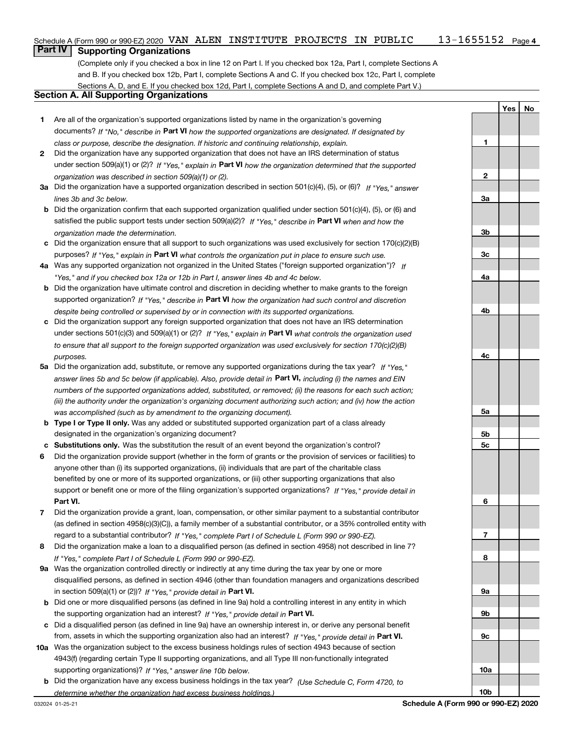## **Part IV Supporting Organizations**

(Complete only if you checked a box in line 12 on Part I. If you checked box 12a, Part I, complete Sections A and B. If you checked box 12b, Part I, complete Sections A and C. If you checked box 12c, Part I, complete Sections A, D, and E. If you checked box 12d, Part I, complete Sections A and D, and complete Part V.)

### **Section A. All Supporting Organizations**

- **1** Are all of the organization's supported organizations listed by name in the organization's governing documents? If "No," describe in **Part VI** how the supported organizations are designated. If designated by *class or purpose, describe the designation. If historic and continuing relationship, explain.*
- **2** Did the organization have any supported organization that does not have an IRS determination of status under section 509(a)(1) or (2)? If "Yes," explain in Part VI how the organization determined that the supported *organization was described in section 509(a)(1) or (2).*
- **3a** Did the organization have a supported organization described in section 501(c)(4), (5), or (6)? If "Yes," answer *lines 3b and 3c below.*
- **b** Did the organization confirm that each supported organization qualified under section 501(c)(4), (5), or (6) and satisfied the public support tests under section 509(a)(2)? If "Yes," describe in **Part VI** when and how the *organization made the determination.*
- **c**Did the organization ensure that all support to such organizations was used exclusively for section 170(c)(2)(B) purposes? If "Yes," explain in **Part VI** what controls the organization put in place to ensure such use.
- **4a***If* Was any supported organization not organized in the United States ("foreign supported organization")? *"Yes," and if you checked box 12a or 12b in Part I, answer lines 4b and 4c below.*
- **b** Did the organization have ultimate control and discretion in deciding whether to make grants to the foreign supported organization? If "Yes," describe in **Part VI** how the organization had such control and discretion *despite being controlled or supervised by or in connection with its supported organizations.*
- **c** Did the organization support any foreign supported organization that does not have an IRS determination under sections 501(c)(3) and 509(a)(1) or (2)? If "Yes," explain in **Part VI** what controls the organization used *to ensure that all support to the foreign supported organization was used exclusively for section 170(c)(2)(B) purposes.*
- **5a***If "Yes,"* Did the organization add, substitute, or remove any supported organizations during the tax year? answer lines 5b and 5c below (if applicable). Also, provide detail in **Part VI,** including (i) the names and EIN *numbers of the supported organizations added, substituted, or removed; (ii) the reasons for each such action; (iii) the authority under the organization's organizing document authorizing such action; and (iv) how the action was accomplished (such as by amendment to the organizing document).*
- **b** Type I or Type II only. Was any added or substituted supported organization part of a class already designated in the organization's organizing document?
- **cSubstitutions only.**  Was the substitution the result of an event beyond the organization's control?
- **6** Did the organization provide support (whether in the form of grants or the provision of services or facilities) to **Part VI.** *If "Yes," provide detail in* support or benefit one or more of the filing organization's supported organizations? anyone other than (i) its supported organizations, (ii) individuals that are part of the charitable class benefited by one or more of its supported organizations, or (iii) other supporting organizations that also
- **7**Did the organization provide a grant, loan, compensation, or other similar payment to a substantial contributor *If "Yes," complete Part I of Schedule L (Form 990 or 990-EZ).* regard to a substantial contributor? (as defined in section 4958(c)(3)(C)), a family member of a substantial contributor, or a 35% controlled entity with
- **8** Did the organization make a loan to a disqualified person (as defined in section 4958) not described in line 7? *If "Yes," complete Part I of Schedule L (Form 990 or 990-EZ).*
- **9a** Was the organization controlled directly or indirectly at any time during the tax year by one or more in section 509(a)(1) or (2))? If "Yes," *provide detail in* <code>Part VI.</code> disqualified persons, as defined in section 4946 (other than foundation managers and organizations described
- **b** Did one or more disqualified persons (as defined in line 9a) hold a controlling interest in any entity in which the supporting organization had an interest? If "Yes," provide detail in P**art VI**.
- **c**Did a disqualified person (as defined in line 9a) have an ownership interest in, or derive any personal benefit from, assets in which the supporting organization also had an interest? If "Yes," provide detail in P**art VI.**
- **10a** Was the organization subject to the excess business holdings rules of section 4943 because of section supporting organizations)? If "Yes," answer line 10b below. 4943(f) (regarding certain Type II supporting organizations, and all Type III non-functionally integrated
- **b** Did the organization have any excess business holdings in the tax year? (Use Schedule C, Form 4720, to *determine whether the organization had excess business holdings.)*

**YesNo**

**1**

**10b**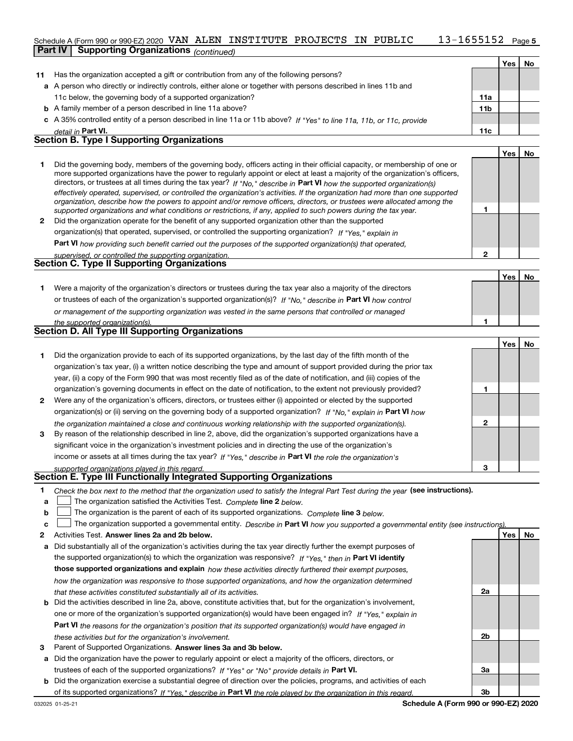#### 13-1655152 Page 5 Schedule A (Form 990 or 990-EZ) 2020 Page VAN ALEN INSTITUTE PROJECTS IN PUBLIC 13-1655152**Part IV Supporting Organizations** *(continued)*

|              |                                                                                                                                                                                                                                                                                                                                                                                                                                                                                                                                                                                                                                                                                                                                                                          |                 | Yes l | No. |
|--------------|--------------------------------------------------------------------------------------------------------------------------------------------------------------------------------------------------------------------------------------------------------------------------------------------------------------------------------------------------------------------------------------------------------------------------------------------------------------------------------------------------------------------------------------------------------------------------------------------------------------------------------------------------------------------------------------------------------------------------------------------------------------------------|-----------------|-------|-----|
| 11           | Has the organization accepted a gift or contribution from any of the following persons?                                                                                                                                                                                                                                                                                                                                                                                                                                                                                                                                                                                                                                                                                  |                 |       |     |
|              | a A person who directly or indirectly controls, either alone or together with persons described in lines 11b and                                                                                                                                                                                                                                                                                                                                                                                                                                                                                                                                                                                                                                                         |                 |       |     |
|              | 11c below, the governing body of a supported organization?                                                                                                                                                                                                                                                                                                                                                                                                                                                                                                                                                                                                                                                                                                               | 11a             |       |     |
|              | <b>b</b> A family member of a person described in line 11a above?                                                                                                                                                                                                                                                                                                                                                                                                                                                                                                                                                                                                                                                                                                        | 11 <sub>b</sub> |       |     |
|              | c A 35% controlled entity of a person described in line 11a or 11b above? If "Yes" to line 11a, 11b, or 11c, provide                                                                                                                                                                                                                                                                                                                                                                                                                                                                                                                                                                                                                                                     |                 |       |     |
|              | detail in Part VI.                                                                                                                                                                                                                                                                                                                                                                                                                                                                                                                                                                                                                                                                                                                                                       | 11c             |       |     |
|              | <b>Section B. Type I Supporting Organizations</b>                                                                                                                                                                                                                                                                                                                                                                                                                                                                                                                                                                                                                                                                                                                        |                 |       |     |
|              |                                                                                                                                                                                                                                                                                                                                                                                                                                                                                                                                                                                                                                                                                                                                                                          |                 | Yes I | No  |
| 1            | Did the governing body, members of the governing body, officers acting in their official capacity, or membership of one or<br>more supported organizations have the power to regularly appoint or elect at least a majority of the organization's officers,<br>directors, or trustees at all times during the tax year? If "No," describe in Part VI how the supported organization(s)<br>effectively operated, supervised, or controlled the organization's activities. If the organization had more than one supported<br>organization, describe how the powers to appoint and/or remove officers, directors, or trustees were allocated among the<br>supported organizations and what conditions or restrictions, if any, applied to such powers during the tax year. |                 |       |     |
| $\mathbf{2}$ | Did the organization operate for the benefit of any supported organization other than the supported                                                                                                                                                                                                                                                                                                                                                                                                                                                                                                                                                                                                                                                                      |                 |       |     |
|              | organization(s) that operated, supervised, or controlled the supporting organization? If "Yes," explain in                                                                                                                                                                                                                                                                                                                                                                                                                                                                                                                                                                                                                                                               |                 |       |     |
|              | Part VI how providing such benefit carried out the purposes of the supported organization(s) that operated,                                                                                                                                                                                                                                                                                                                                                                                                                                                                                                                                                                                                                                                              |                 |       |     |
|              | supervised, or controlled the supporting organization.                                                                                                                                                                                                                                                                                                                                                                                                                                                                                                                                                                                                                                                                                                                   | $\mathbf{2}$    |       |     |
|              | <b>Section C. Type II Supporting Organizations</b>                                                                                                                                                                                                                                                                                                                                                                                                                                                                                                                                                                                                                                                                                                                       |                 |       |     |
|              |                                                                                                                                                                                                                                                                                                                                                                                                                                                                                                                                                                                                                                                                                                                                                                          |                 | Yes l | No  |
| 1.           | Were a majority of the organization's directors or trustees during the tax year also a majority of the directors                                                                                                                                                                                                                                                                                                                                                                                                                                                                                                                                                                                                                                                         |                 |       |     |
|              | or trustees of each of the organization's supported organization(s)? If "No." describe in Part VI how control                                                                                                                                                                                                                                                                                                                                                                                                                                                                                                                                                                                                                                                            |                 |       |     |

| <b>Section D. All Type III Supporting Organizations</b>                                                       |
|---------------------------------------------------------------------------------------------------------------|
| the supported organization(s).                                                                                |
| or management of the supporting organization was vested in the same persons that controlled or managed        |
| or trustees of each of the organization's supported organization(s)? If "No." describe in Part VI how control |

|              |                                                                                                                                                                                                                                                                                                                                                                                                                                                              |   | Yes | No |
|--------------|--------------------------------------------------------------------------------------------------------------------------------------------------------------------------------------------------------------------------------------------------------------------------------------------------------------------------------------------------------------------------------------------------------------------------------------------------------------|---|-----|----|
|              | Did the organization provide to each of its supported organizations, by the last day of the fifth month of the<br>organization's tax year, (i) a written notice describing the type and amount of support provided during the prior tax<br>year, (ii) a copy of the Form 990 that was most recently filed as of the date of notification, and (iii) copies of the                                                                                            |   |     |    |
|              | organization's governing documents in effect on the date of notification, to the extent not previously provided?                                                                                                                                                                                                                                                                                                                                             |   |     |    |
| $\mathbf{2}$ | Were any of the organization's officers, directors, or trustees either (i) appointed or elected by the supported<br>organization(s) or (ii) serving on the governing body of a supported organization? If "No," explain in Part VI how                                                                                                                                                                                                                       |   |     |    |
| 3            | the organization maintained a close and continuous working relationship with the supported organization(s).<br>By reason of the relationship described in line 2, above, did the organization's supported organizations have a<br>significant voice in the organization's investment policies and in directing the use of the organization's<br>income or assets at all times during the tax year? If "Yes," describe in Part VI the role the organization's | 2 |     |    |
|              | supported organizations played in this regard                                                                                                                                                                                                                                                                                                                                                                                                                | 3 |     |    |

# *supported organizations played in this regard.* **Section E. Type III Functionally Integrated Supporting Organizations**

|  | Check the box next to the method that the organization used to satisfy the Integral Part Test during the year (see instructions). |  |  |  |
|--|-----------------------------------------------------------------------------------------------------------------------------------|--|--|--|
|--|-----------------------------------------------------------------------------------------------------------------------------------|--|--|--|

- **alinupy** The organization satisfied the Activities Test. Complete line 2 below.
- **bThe organization is the parent of each of its supported organizations. Complete line 3 below.**

|  |  | c $\Box$ The organization supported a governmental entity. Describe in Part VI how you supported a governmental entity (see instructions). |  |  |  |  |  |  |
|--|--|--------------------------------------------------------------------------------------------------------------------------------------------|--|--|--|--|--|--|
|--|--|--------------------------------------------------------------------------------------------------------------------------------------------|--|--|--|--|--|--|

- **2Answer lines 2a and 2b below. Yes No** Activities Test.
- **a** Did substantially all of the organization's activities during the tax year directly further the exempt purposes of the supported organization(s) to which the organization was responsive? If "Yes," then in **Part VI identify those supported organizations and explain**  *how these activities directly furthered their exempt purposes, how the organization was responsive to those supported organizations, and how the organization determined that these activities constituted substantially all of its activities.*
- **b** Did the activities described in line 2a, above, constitute activities that, but for the organization's involvement, **Part VI**  *the reasons for the organization's position that its supported organization(s) would have engaged in* one or more of the organization's supported organization(s) would have been engaged in? If "Yes," e*xplain in these activities but for the organization's involvement.*
- **3** Parent of Supported Organizations. Answer lines 3a and 3b below.

**a** Did the organization have the power to regularly appoint or elect a majority of the officers, directors, or trustees of each of the supported organizations? If "Yes" or "No" provide details in **Part VI.** 

**b** Did the organization exercise a substantial degree of direction over the policies, programs, and activities of each of its supported organizations? If "Yes," describe in Part VI the role played by the organization in this regard.

**2a**

**2b**

**3a**

**3b**

**1**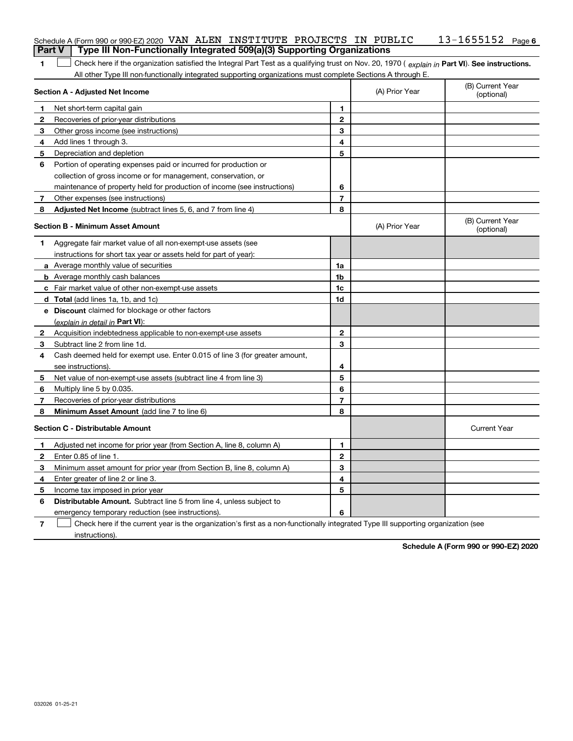|        | Schedule A (Form 990 or 990-EZ) 2020 VAN ALEN INSTITUTE PROJECTS IN PUBLIC                                                                     |                |                | $13 - 1655152$ Page 6          |
|--------|------------------------------------------------------------------------------------------------------------------------------------------------|----------------|----------------|--------------------------------|
| Part V | Type III Non-Functionally Integrated 509(a)(3) Supporting Organizations                                                                        |                |                |                                |
| 1      | Check here if the organization satisfied the Integral Part Test as a qualifying trust on Nov. 20, 1970 (explain in Part VI). See instructions. |                |                |                                |
|        | All other Type III non-functionally integrated supporting organizations must complete Sections A through E.                                    |                |                |                                |
|        | Section A - Adjusted Net Income                                                                                                                |                | (A) Prior Year | (B) Current Year<br>(optional) |
| 1      | Net short-term capital gain                                                                                                                    | 1              |                |                                |
| 2      | Recoveries of prior-year distributions                                                                                                         | $\mathbf{2}$   |                |                                |
| 3      | Other gross income (see instructions)                                                                                                          | 3              |                |                                |
| 4      | Add lines 1 through 3.                                                                                                                         | 4              |                |                                |
| 5      | Depreciation and depletion                                                                                                                     | 5              |                |                                |
| 6      | Portion of operating expenses paid or incurred for production or                                                                               |                |                |                                |
|        | collection of gross income or for management, conservation, or                                                                                 |                |                |                                |
|        | maintenance of property held for production of income (see instructions)                                                                       | 6              |                |                                |
| 7      | Other expenses (see instructions)                                                                                                              | $\overline{7}$ |                |                                |
| 8      | Adjusted Net Income (subtract lines 5, 6, and 7 from line 4)                                                                                   | 8              |                |                                |
|        | <b>Section B - Minimum Asset Amount</b>                                                                                                        |                | (A) Prior Year | (B) Current Year<br>(optional) |
| 1      | Aggregate fair market value of all non-exempt-use assets (see                                                                                  |                |                |                                |
|        | instructions for short tax year or assets held for part of year):                                                                              |                |                |                                |
|        | a Average monthly value of securities                                                                                                          | 1a             |                |                                |
|        | <b>b</b> Average monthly cash balances                                                                                                         | 1b             |                |                                |
|        | c Fair market value of other non-exempt-use assets                                                                                             | 1c             |                |                                |
|        | <b>d</b> Total (add lines 1a, 1b, and 1c)                                                                                                      | 1d             |                |                                |
|        | e Discount claimed for blockage or other factors                                                                                               |                |                |                                |
|        | (explain in detail in Part VI):                                                                                                                |                |                |                                |
| 2      | Acquisition indebtedness applicable to non-exempt-use assets                                                                                   | $\mathbf{2}$   |                |                                |
| 3      | Subtract line 2 from line 1d.                                                                                                                  | 3              |                |                                |
| 4      | Cash deemed held for exempt use. Enter 0.015 of line 3 (for greater amount,                                                                    |                |                |                                |
|        | see instructions).                                                                                                                             | 4              |                |                                |
| 5      | Net value of non-exempt-use assets (subtract line 4 from line 3)                                                                               | 5              |                |                                |
| 6      | Multiply line 5 by 0.035.                                                                                                                      | 6              |                |                                |
| 7      | Recoveries of prior-year distributions                                                                                                         | $\overline{7}$ |                |                                |
| 8      | Minimum Asset Amount (add line 7 to line 6)                                                                                                    | 8              |                |                                |
|        | <b>Section C - Distributable Amount</b>                                                                                                        |                |                | <b>Current Year</b>            |
|        | Adjusted net income for prior year (from Section A, line 8, column A)                                                                          | 1              |                |                                |
|        | Enter 0.85 of line 1.                                                                                                                          | 2              |                |                                |
| 3      | Minimum asset amount for prior year (from Section B, line 8, column A)                                                                         | 3              |                |                                |
| 4      | Enter greater of line 2 or line 3.                                                                                                             | 4              |                |                                |
| 5      | Income tax imposed in prior year                                                                                                               | 5              |                |                                |
| 6      | <b>Distributable Amount.</b> Subtract line 5 from line 4, unless subject to                                                                    |                |                |                                |
|        | emergency temporary reduction (see instructions).                                                                                              | 6              |                |                                |
| 7      | Check here if the current year is the organization's first as a non-functionally integrated Type III supporting organization (see              |                |                |                                |

instructions).

**Schedule A (Form 990 or 990-EZ) 2020**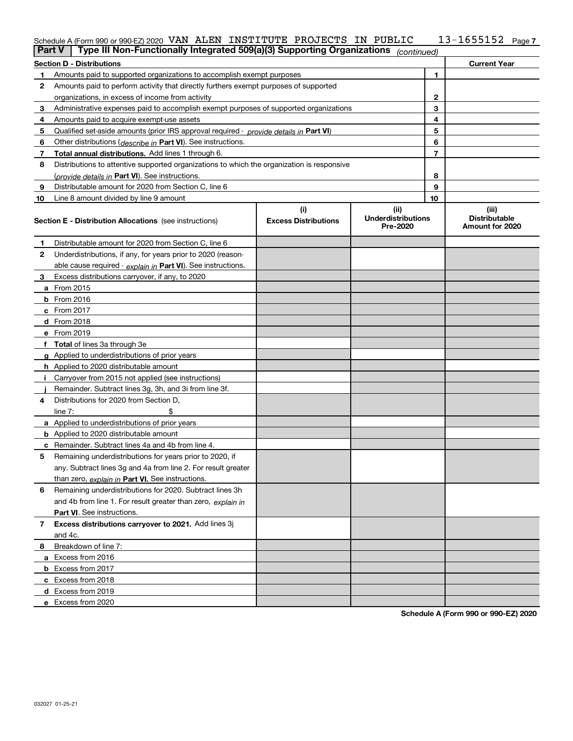#### **7** Schedule A (Form 990 or 990-EZ) 2020 Page VAN ALEN INSTITUTE PROJECTS IN PUBLIC 13-1655152

| <b>Part V</b> | Type III Non-Functionally Integrated 509(a)(3) Supporting Organizations $ _{\text{continued}} $ |                             |                                       |                |                                         |
|---------------|-------------------------------------------------------------------------------------------------|-----------------------------|---------------------------------------|----------------|-----------------------------------------|
|               | <b>Section D - Distributions</b>                                                                |                             |                                       |                | <b>Current Year</b>                     |
| 1             | Amounts paid to supported organizations to accomplish exempt purposes                           |                             |                                       | 1              |                                         |
| 2             | Amounts paid to perform activity that directly furthers exempt purposes of supported            |                             |                                       |                |                                         |
|               | organizations, in excess of income from activity                                                | 2                           |                                       |                |                                         |
| 3             | Administrative expenses paid to accomplish exempt purposes of supported organizations           |                             |                                       | 3              |                                         |
| 4             | Amounts paid to acquire exempt-use assets                                                       |                             |                                       | 4              |                                         |
| 5             | Qualified set-aside amounts (prior IRS approval required - <i>provide details in</i> Part VI)   |                             |                                       | 5              |                                         |
| 6             | Other distributions ( <i>describe in</i> Part VI). See instructions.                            |                             |                                       | 6              |                                         |
| 7             | Total annual distributions. Add lines 1 through 6.                                              |                             |                                       | $\overline{7}$ |                                         |
| 8             | Distributions to attentive supported organizations to which the organization is responsive      |                             |                                       |                |                                         |
|               | (provide details in Part VI). See instructions.                                                 |                             |                                       | 8              |                                         |
| 9             | Distributable amount for 2020 from Section C, line 6                                            |                             |                                       | 9              |                                         |
| 10            | Line 8 amount divided by line 9 amount                                                          |                             |                                       | 10             |                                         |
|               |                                                                                                 | (i)                         | (ii)                                  |                | (iii)                                   |
|               | <b>Section E - Distribution Allocations</b> (see instructions)                                  | <b>Excess Distributions</b> | <b>Underdistributions</b><br>Pre-2020 |                | <b>Distributable</b><br>Amount for 2020 |
| 1             | Distributable amount for 2020 from Section C, line 6                                            |                             |                                       |                |                                         |
| 2             | Underdistributions, if any, for years prior to 2020 (reason-                                    |                             |                                       |                |                                         |
|               | able cause required - explain in Part VI). See instructions.                                    |                             |                                       |                |                                         |
| 3             | Excess distributions carryover, if any, to 2020                                                 |                             |                                       |                |                                         |
|               | a From 2015                                                                                     |                             |                                       |                |                                         |
|               | <b>b</b> From 2016                                                                              |                             |                                       |                |                                         |
|               | $c$ From 2017                                                                                   |                             |                                       |                |                                         |
|               | d From 2018                                                                                     |                             |                                       |                |                                         |
|               | e From 2019                                                                                     |                             |                                       |                |                                         |
|               | f Total of lines 3a through 3e                                                                  |                             |                                       |                |                                         |
|               | g Applied to underdistributions of prior years                                                  |                             |                                       |                |                                         |
|               | <b>h</b> Applied to 2020 distributable amount                                                   |                             |                                       |                |                                         |
|               | Carryover from 2015 not applied (see instructions)                                              |                             |                                       |                |                                         |
|               | Remainder. Subtract lines 3g, 3h, and 3i from line 3f.                                          |                             |                                       |                |                                         |
| 4             | Distributions for 2020 from Section D,                                                          |                             |                                       |                |                                         |
|               | line $7:$                                                                                       |                             |                                       |                |                                         |
|               | a Applied to underdistributions of prior years                                                  |                             |                                       |                |                                         |
|               | <b>b</b> Applied to 2020 distributable amount                                                   |                             |                                       |                |                                         |
|               | c Remainder. Subtract lines 4a and 4b from line 4.                                              |                             |                                       |                |                                         |
| 5.            | Remaining underdistributions for years prior to 2020, if                                        |                             |                                       |                |                                         |
|               | any. Subtract lines 3g and 4a from line 2. For result greater                                   |                             |                                       |                |                                         |
|               | than zero, explain in Part VI. See instructions.                                                |                             |                                       |                |                                         |
| 6             | Remaining underdistributions for 2020. Subtract lines 3h                                        |                             |                                       |                |                                         |
|               | and 4b from line 1. For result greater than zero, explain in                                    |                             |                                       |                |                                         |
|               | Part VI. See instructions.                                                                      |                             |                                       |                |                                         |
| 7             | Excess distributions carryover to 2021. Add lines 3j                                            |                             |                                       |                |                                         |
|               | and 4c.                                                                                         |                             |                                       |                |                                         |
| 8             | Breakdown of line 7:                                                                            |                             |                                       |                |                                         |
|               | a Excess from 2016                                                                              |                             |                                       |                |                                         |
|               | <b>b</b> Excess from 2017                                                                       |                             |                                       |                |                                         |
|               | c Excess from 2018                                                                              |                             |                                       |                |                                         |
|               | d Excess from 2019                                                                              |                             |                                       |                |                                         |
|               | e Excess from 2020                                                                              |                             |                                       |                |                                         |

**Schedule A (Form 990 or 990-EZ) 2020**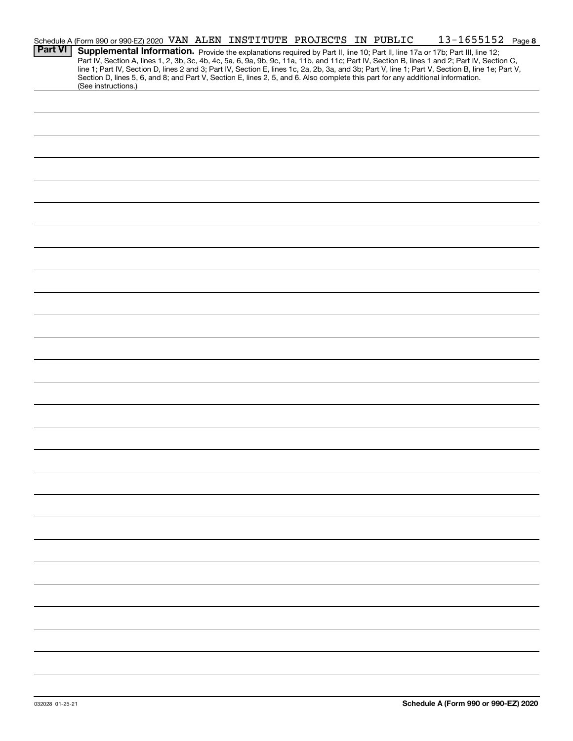|                | Schedule A (Form 990 or 990-EZ) 2020 VAN ALEN INSTITUTE PROJECTS IN PUBLIC                                                                                                                                                                                                                                                                                                                                                        |  |  | $13 - 1655152$ Page 8 |  |
|----------------|-----------------------------------------------------------------------------------------------------------------------------------------------------------------------------------------------------------------------------------------------------------------------------------------------------------------------------------------------------------------------------------------------------------------------------------|--|--|-----------------------|--|
| <b>Part VI</b> | Supplemental Information. Provide the explanations required by Part II, line 10; Part II, line 17a or 17b; Part III, line 12;<br>Part IV, Section A, lines 1, 2, 3b, 3c, 4b, 4c, 5a, 6, 9a, 9b, 9c, 11a, 11b, and 11c; Part IV, Section B, lines 1 and 2; Part IV, Section C,<br>line 1; Part IV, Section D, lines 2 and 3; Part IV, Section E, lines 1c, 2a, 2b, 3a, and 3b; Part V, line 1; Part V, Section B, line 1e; Part V, |  |  |                       |  |
|                | Section D, lines 5, 6, and 8; and Part V, Section E, lines 2, 5, and 6. Also complete this part for any additional information.<br>(See instructions.)                                                                                                                                                                                                                                                                            |  |  |                       |  |
|                |                                                                                                                                                                                                                                                                                                                                                                                                                                   |  |  |                       |  |
|                |                                                                                                                                                                                                                                                                                                                                                                                                                                   |  |  |                       |  |
|                |                                                                                                                                                                                                                                                                                                                                                                                                                                   |  |  |                       |  |
|                |                                                                                                                                                                                                                                                                                                                                                                                                                                   |  |  |                       |  |
|                |                                                                                                                                                                                                                                                                                                                                                                                                                                   |  |  |                       |  |
|                |                                                                                                                                                                                                                                                                                                                                                                                                                                   |  |  |                       |  |
|                |                                                                                                                                                                                                                                                                                                                                                                                                                                   |  |  |                       |  |
|                |                                                                                                                                                                                                                                                                                                                                                                                                                                   |  |  |                       |  |
|                |                                                                                                                                                                                                                                                                                                                                                                                                                                   |  |  |                       |  |
|                |                                                                                                                                                                                                                                                                                                                                                                                                                                   |  |  |                       |  |
|                |                                                                                                                                                                                                                                                                                                                                                                                                                                   |  |  |                       |  |
|                |                                                                                                                                                                                                                                                                                                                                                                                                                                   |  |  |                       |  |
|                |                                                                                                                                                                                                                                                                                                                                                                                                                                   |  |  |                       |  |
|                |                                                                                                                                                                                                                                                                                                                                                                                                                                   |  |  |                       |  |
|                |                                                                                                                                                                                                                                                                                                                                                                                                                                   |  |  |                       |  |
|                |                                                                                                                                                                                                                                                                                                                                                                                                                                   |  |  |                       |  |
|                |                                                                                                                                                                                                                                                                                                                                                                                                                                   |  |  |                       |  |
|                |                                                                                                                                                                                                                                                                                                                                                                                                                                   |  |  |                       |  |
|                |                                                                                                                                                                                                                                                                                                                                                                                                                                   |  |  |                       |  |
|                |                                                                                                                                                                                                                                                                                                                                                                                                                                   |  |  |                       |  |
|                |                                                                                                                                                                                                                                                                                                                                                                                                                                   |  |  |                       |  |
|                |                                                                                                                                                                                                                                                                                                                                                                                                                                   |  |  |                       |  |
|                |                                                                                                                                                                                                                                                                                                                                                                                                                                   |  |  |                       |  |
|                |                                                                                                                                                                                                                                                                                                                                                                                                                                   |  |  |                       |  |
|                |                                                                                                                                                                                                                                                                                                                                                                                                                                   |  |  |                       |  |
|                |                                                                                                                                                                                                                                                                                                                                                                                                                                   |  |  |                       |  |
|                |                                                                                                                                                                                                                                                                                                                                                                                                                                   |  |  |                       |  |
|                |                                                                                                                                                                                                                                                                                                                                                                                                                                   |  |  |                       |  |
|                |                                                                                                                                                                                                                                                                                                                                                                                                                                   |  |  |                       |  |
|                |                                                                                                                                                                                                                                                                                                                                                                                                                                   |  |  |                       |  |
|                |                                                                                                                                                                                                                                                                                                                                                                                                                                   |  |  |                       |  |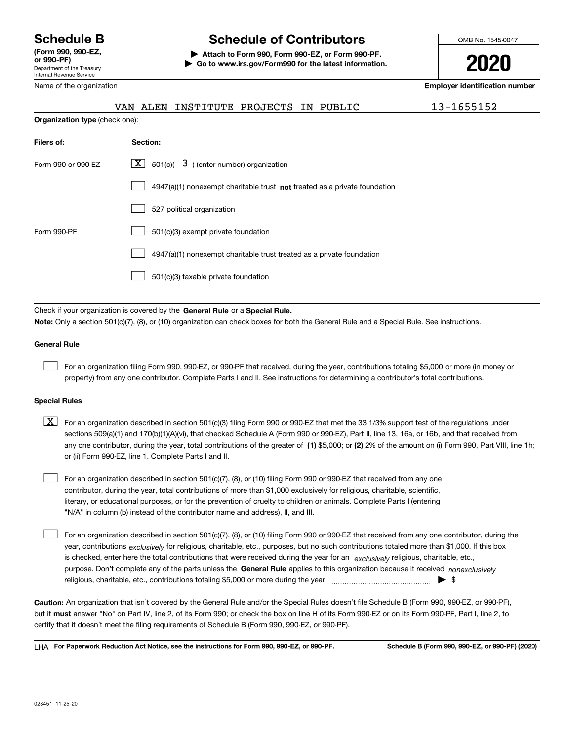Department of the Treasury Internal Revenue Service **(Form 990, 990-EZ, or 990-PF)**

Name of the organization

**Organization type** (check one):

# **Schedule B Schedule of Contributors**

**| Attach to Form 990, Form 990-EZ, or Form 990-PF. | Go to www.irs.gov/Form990 for the latest information.** OMB No. 1545-0047

**2020**

**Employer identification number**

|  | VAN ALEN INSTITUTE PROJECTS IN PUBLIC |  | 13-1655152 |
|--|---------------------------------------|--|------------|
|  |                                       |  |            |

| Filers of:         | Section:                                                                    |
|--------------------|-----------------------------------------------------------------------------|
| Form 990 or 990-FZ | $\boxed{\text{X}}$ 501(c)( 3) (enter number) organization                   |
|                    | $4947(a)(1)$ nonexempt charitable trust not treated as a private foundation |
|                    | 527 political organization                                                  |
| Form 990-PF        | 501(c)(3) exempt private foundation                                         |
|                    | 4947(a)(1) nonexempt charitable trust treated as a private foundation       |
|                    | 501(c)(3) taxable private foundation                                        |

Check if your organization is covered by the **General Rule** or a **Special Rule. Note:**  Only a section 501(c)(7), (8), or (10) organization can check boxes for both the General Rule and a Special Rule. See instructions.

#### **General Rule**

 $\mathcal{L}^{\text{max}}$ 

For an organization filing Form 990, 990-EZ, or 990-PF that received, during the year, contributions totaling \$5,000 or more (in money or property) from any one contributor. Complete Parts I and II. See instructions for determining a contributor's total contributions.

#### **Special Rules**

any one contributor, during the year, total contributions of the greater of  $\,$  (1) \$5,000; or **(2)** 2% of the amount on (i) Form 990, Part VIII, line 1h;  $\boxed{\textbf{X}}$  For an organization described in section 501(c)(3) filing Form 990 or 990-EZ that met the 33 1/3% support test of the regulations under sections 509(a)(1) and 170(b)(1)(A)(vi), that checked Schedule A (Form 990 or 990-EZ), Part II, line 13, 16a, or 16b, and that received from or (ii) Form 990-EZ, line 1. Complete Parts I and II.

For an organization described in section 501(c)(7), (8), or (10) filing Form 990 or 990-EZ that received from any one contributor, during the year, total contributions of more than \$1,000 exclusively for religious, charitable, scientific, literary, or educational purposes, or for the prevention of cruelty to children or animals. Complete Parts I (entering "N/A" in column (b) instead of the contributor name and address), II, and III.  $\mathcal{L}^{\text{max}}$ 

purpose. Don't complete any of the parts unless the **General Rule** applies to this organization because it received *nonexclusively* year, contributions <sub>exclusively</sub> for religious, charitable, etc., purposes, but no such contributions totaled more than \$1,000. If this box is checked, enter here the total contributions that were received during the year for an  $\;$ exclusively religious, charitable, etc., For an organization described in section 501(c)(7), (8), or (10) filing Form 990 or 990-EZ that received from any one contributor, during the religious, charitable, etc., contributions totaling \$5,000 or more during the year  $\Box$ — $\Box$   $\Box$  $\mathcal{L}^{\text{max}}$ 

**Caution:**  An organization that isn't covered by the General Rule and/or the Special Rules doesn't file Schedule B (Form 990, 990-EZ, or 990-PF),  **must** but it answer "No" on Part IV, line 2, of its Form 990; or check the box on line H of its Form 990-EZ or on its Form 990-PF, Part I, line 2, to certify that it doesn't meet the filing requirements of Schedule B (Form 990, 990-EZ, or 990-PF).

**For Paperwork Reduction Act Notice, see the instructions for Form 990, 990-EZ, or 990-PF. Schedule B (Form 990, 990-EZ, or 990-PF) (2020)** LHA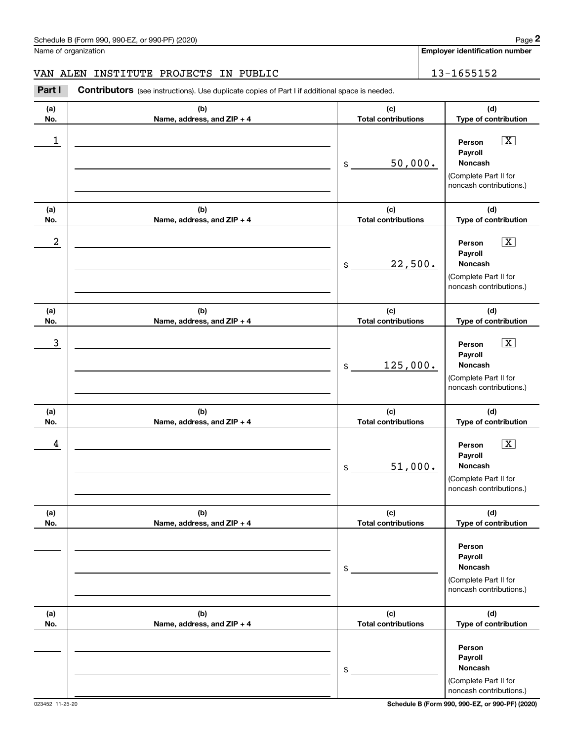Name of organization

**Employer identification number**

#### VAN ALEN INSTITUTE PROJECTS IN PUBLIC 13-1655152

**(a)No.(b)Name, address, and ZIP + 4 (c)Total contributions (d)Type of contribution PersonPayrollNoncash(a)No.(b)Name, address, and ZIP + 4 (c)Total contributions (d)Type of contribution PersonPayrollNoncash(a)No.(b)Name, address, and ZIP + 4 (c)Total contributions (d)Type of contribution Person PayrollNoncash(a) No.(b) Name, address, and ZIP + 4 (c) Total contributions (d) Type of contribution PersonPayrollNoncash(a) No.(b)Name, address, and ZIP + 4 (c) Total contributions (d) Type of contribution Person PayrollNoncash(a) No.(b)Name, address, and ZIP + 4 (c) Total contributions (d)Type of contribution PersonPayrollNoncashContributors** (see instructions). Use duplicate copies of Part I if additional space is needed. \$(Complete Part II for noncash contributions.) \$(Complete Part II for noncash contributions.) \$(Complete Part II for noncash contributions.) \$(Complete Part II for noncash contributions.) \$(Complete Part II for noncash contributions.) \$(Complete Part II for **2** Chedule B (Form 990, 990-EZ, or 990-PF) (2020)<br> **2Part ALEN INSTITUTE PROJECTS IN PUBLIC**<br> **2Part I Contributors** (see instructions). Use duplicate copies of Part I if additional space is needed.  $\boxed{\mathbf{X}}$  $\boxed{\mathbf{X}}$  $\sqrt{X}$  $\sqrt{X}$  $\begin{array}{c|c|c|c|c|c} 1 & \hspace{1.5cm} & \hspace{1.5cm} & \hspace{1.5cm} & \hspace{1.5cm} & \hspace{1.5cm} & \hspace{1.5cm} & \hspace{1.5cm} & \hspace{1.5cm} & \hspace{1.5cm} & \hspace{1.5cm} & \hspace{1.5cm} & \hspace{1.5cm} & \hspace{1.5cm} & \hspace{1.5cm} & \hspace{1.5cm} & \hspace{1.5cm} & \hspace{1.5cm} & \hspace{1.5cm} & \hspace{1.5cm} & \hspace{1.5cm} &$ 50,000.  $2$  | Person  $\overline{\text{X}}$ 22,500.  $\overline{3}$  | Person  $\overline{X}$ 125,000.  $4$  | Person  $\overline{\text{X}}$ 51,000.

023452 11-25-20 **Schedule B (Form 990, 990-EZ, or 990-PF) (2020)**

noncash contributions.)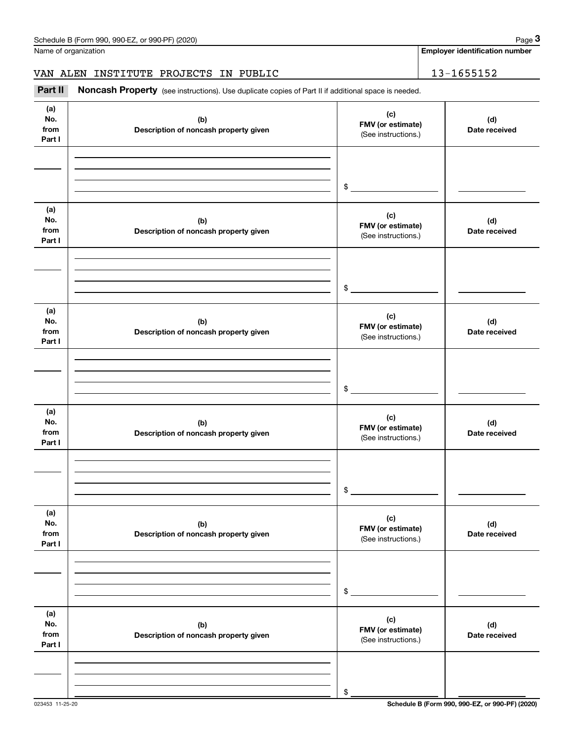**Employer identification number**

### VAN ALEN INSTITUTE PROJECTS IN PUBLIC | 13-1655152

Chedule B (Form 990, 990-EZ, or 990-PF) (2020)<br>
lame of organization<br> **3Part II is ALEN INSTITUTE PROJECTS IN PUBLIC**<br> **Part II is additional space is needed.** 

| (a)<br>No.<br>from<br>Part I | (b)<br>Description of noncash property given | (c)<br>FMV (or estimate)<br>(See instructions.) | (d)<br>Date received |
|------------------------------|----------------------------------------------|-------------------------------------------------|----------------------|
|                              |                                              | $\frac{1}{2}$                                   |                      |
| (a)<br>No.<br>from<br>Part I | (b)<br>Description of noncash property given | (c)<br>FMV (or estimate)<br>(See instructions.) | (d)<br>Date received |
|                              |                                              | $\frac{1}{2}$                                   |                      |
| (a)<br>No.<br>from<br>Part I | (b)<br>Description of noncash property given | (c)<br>FMV (or estimate)<br>(See instructions.) | (d)<br>Date received |
|                              |                                              | $\frac{1}{2}$                                   |                      |
| (a)<br>No.<br>from<br>Part I | (b)<br>Description of noncash property given | (c)<br>FMV (or estimate)<br>(See instructions.) | (d)<br>Date received |
|                              |                                              | $\circ$                                         |                      |
| (a)<br>No.<br>from<br>Part I | (b)<br>Description of noncash property given | (c)<br>FMV (or estimate)<br>(See instructions.) | (d)<br>Date received |
|                              |                                              | \$                                              |                      |
| (a)<br>No.<br>from<br>Part I | (b)<br>Description of noncash property given | (c)<br>FMV (or estimate)<br>(See instructions.) | (d)<br>Date received |
|                              |                                              | \$                                              |                      |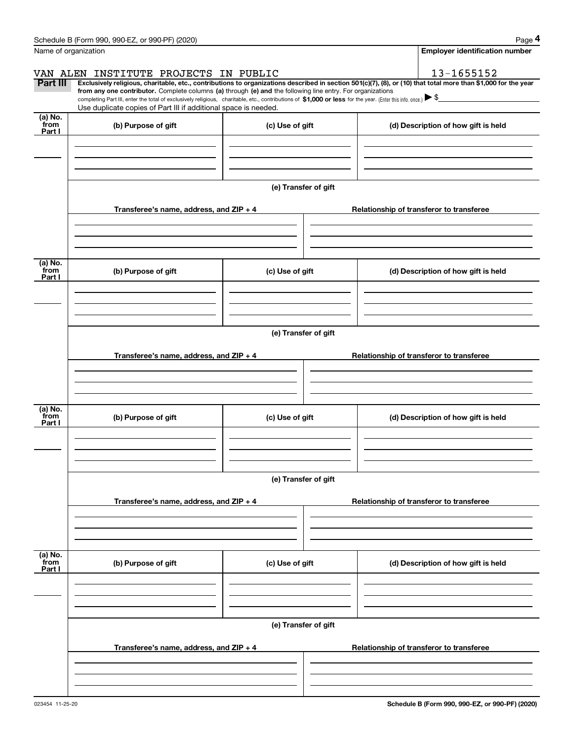|                                               | Schedule B (Form 990, 990-EZ, or 990-PF) (2020)                                                                                                                                                                                                                                                                                                                     |                      |                                                                                                                                                                | Page 4 |
|-----------------------------------------------|---------------------------------------------------------------------------------------------------------------------------------------------------------------------------------------------------------------------------------------------------------------------------------------------------------------------------------------------------------------------|----------------------|----------------------------------------------------------------------------------------------------------------------------------------------------------------|--------|
|                                               | Name of organization                                                                                                                                                                                                                                                                                                                                                |                      | Employer identification number                                                                                                                                 |        |
|                                               | VAN ALEN INSTITUTE PROJECTS IN PUBLIC                                                                                                                                                                                                                                                                                                                               |                      | 13-1655152                                                                                                                                                     |        |
| Part III                                      | from any one contributor. Complete columns (a) through (e) and the following line entry. For organizations<br>completing Part III, enter the total of exclusively religious, charitable, etc., contributions of $$1,000$ or less for the year. (Enter this info. once.) $\blacktriangleright$ \$<br>Use duplicate copies of Part III if additional space is needed. |                      | Exclusively religious, charitable, etc., contributions to organizations described in section 501(c)(7), (8), or (10) that total more than \$1,000 for the year |        |
| (a) No.                                       |                                                                                                                                                                                                                                                                                                                                                                     |                      |                                                                                                                                                                |        |
| from<br>Part I                                | (b) Purpose of gift                                                                                                                                                                                                                                                                                                                                                 | (c) Use of gift      | (d) Description of how gift is held                                                                                                                            |        |
|                                               |                                                                                                                                                                                                                                                                                                                                                                     | (e) Transfer of gift |                                                                                                                                                                |        |
|                                               | Transferee's name, address, and ZIP + 4                                                                                                                                                                                                                                                                                                                             |                      | Relationship of transferor to transferee                                                                                                                       |        |
|                                               |                                                                                                                                                                                                                                                                                                                                                                     |                      |                                                                                                                                                                |        |
| (a) $\overline{\text{No.}}$<br>from<br>Part I | (b) Purpose of gift                                                                                                                                                                                                                                                                                                                                                 | (c) Use of gift      | (d) Description of how gift is held                                                                                                                            |        |
|                                               |                                                                                                                                                                                                                                                                                                                                                                     |                      |                                                                                                                                                                |        |
|                                               |                                                                                                                                                                                                                                                                                                                                                                     |                      |                                                                                                                                                                |        |
|                                               |                                                                                                                                                                                                                                                                                                                                                                     | (e) Transfer of gift |                                                                                                                                                                |        |
|                                               | Transferee's name, address, and ZIP + 4                                                                                                                                                                                                                                                                                                                             |                      | Relationship of transferor to transferee                                                                                                                       |        |
|                                               |                                                                                                                                                                                                                                                                                                                                                                     |                      |                                                                                                                                                                |        |
| (a) No.<br>from<br>Part I                     | (b) Purpose of gift                                                                                                                                                                                                                                                                                                                                                 | (c) Use of gift      | (d) Description of how gift is held                                                                                                                            |        |
|                                               |                                                                                                                                                                                                                                                                                                                                                                     |                      |                                                                                                                                                                |        |
|                                               |                                                                                                                                                                                                                                                                                                                                                                     | (e) Transfer of gift |                                                                                                                                                                |        |
|                                               | Transferee's name, address, and ZIP + 4                                                                                                                                                                                                                                                                                                                             |                      | Relationship of transferor to transferee                                                                                                                       |        |
|                                               |                                                                                                                                                                                                                                                                                                                                                                     |                      |                                                                                                                                                                |        |
| (a) No.<br>from<br>Part I                     | (b) Purpose of gift                                                                                                                                                                                                                                                                                                                                                 | (c) Use of gift      | (d) Description of how gift is held                                                                                                                            |        |
|                                               |                                                                                                                                                                                                                                                                                                                                                                     |                      |                                                                                                                                                                |        |
|                                               |                                                                                                                                                                                                                                                                                                                                                                     | (e) Transfer of gift |                                                                                                                                                                |        |
|                                               | Transferee's name, address, and ZIP + 4                                                                                                                                                                                                                                                                                                                             |                      | Relationship of transferor to transferee                                                                                                                       |        |
|                                               |                                                                                                                                                                                                                                                                                                                                                                     |                      |                                                                                                                                                                |        |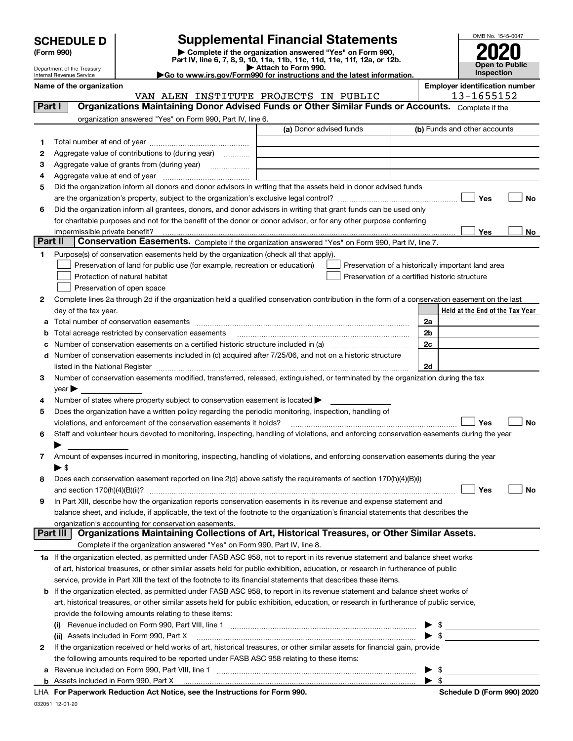| <b>SCHEDULE D</b> |  |
|-------------------|--|
|-------------------|--|

Department of the Treasury Internal Revenue Service

| (Form 990) |  |
|------------|--|
|------------|--|

# **Supplemental Financial Statements**

(Form 990)<br>
Pepartment of the Treasury<br>
Department of the Treasury<br>
Department of the Treasury<br>
Department of the Treasury<br> **Co to www.irs.gov/Form990 for instructions and the latest information.**<br> **Co to www.irs.gov/Form9** 

| .                                               |  |
|-------------------------------------------------|--|
| Attach to Form 990.                             |  |
|                                                 |  |
|                                                 |  |
| 90 for instructions and the latest information. |  |



**Name of the organization**<br>13–1655152 **Employer identification number**<br>13–1655152 **PROJECTS** IN PIIBLITC

|         | VAN ALEN INSTITUTE PROJECTS IN PUBLIC                                                                                                                                                                                         | 13-1655152                                         |
|---------|-------------------------------------------------------------------------------------------------------------------------------------------------------------------------------------------------------------------------------|----------------------------------------------------|
| Part I  | Organizations Maintaining Donor Advised Funds or Other Similar Funds or Accounts. Complete if the                                                                                                                             |                                                    |
|         | organization answered "Yes" on Form 990, Part IV, line 6.                                                                                                                                                                     |                                                    |
|         | (a) Donor advised funds                                                                                                                                                                                                       | (b) Funds and other accounts                       |
| 1       |                                                                                                                                                                                                                               |                                                    |
| 2       | Aggregate value of contributions to (during year)                                                                                                                                                                             |                                                    |
| З       |                                                                                                                                                                                                                               |                                                    |
| 4       |                                                                                                                                                                                                                               |                                                    |
| 5       | Did the organization inform all donors and donor advisors in writing that the assets held in donor advised funds                                                                                                              |                                                    |
|         |                                                                                                                                                                                                                               | Yes<br>No                                          |
| 6       | Did the organization inform all grantees, donors, and donor advisors in writing that grant funds can be used only                                                                                                             |                                                    |
|         | for charitable purposes and not for the benefit of the donor or donor advisor, or for any other purpose conferring                                                                                                            |                                                    |
|         | impermissible private benefit?                                                                                                                                                                                                | Yes<br>No                                          |
| Part II | Conservation Easements. Complete if the organization answered "Yes" on Form 990, Part IV, line 7.                                                                                                                             |                                                    |
|         |                                                                                                                                                                                                                               |                                                    |
| 1.      | Purpose(s) of conservation easements held by the organization (check all that apply).                                                                                                                                         |                                                    |
|         | Preservation of land for public use (for example, recreation or education)                                                                                                                                                    | Preservation of a historically important land area |
|         | Protection of natural habitat                                                                                                                                                                                                 | Preservation of a certified historic structure     |
|         | Preservation of open space                                                                                                                                                                                                    |                                                    |
| 2       | Complete lines 2a through 2d if the organization held a qualified conservation contribution in the form of a conservation easement on the last                                                                                |                                                    |
|         | day of the tax year.                                                                                                                                                                                                          | Held at the End of the Tax Year                    |
|         | a Total number of conservation easements                                                                                                                                                                                      | 2a                                                 |
|         | Total acreage restricted by conservation easements                                                                                                                                                                            | 2b                                                 |
| с       | Number of conservation easements on a certified historic structure included in (a)                                                                                                                                            | 2c                                                 |
|         | d Number of conservation easements included in (c) acquired after 7/25/06, and not on a historic structure                                                                                                                    |                                                    |
|         | listed in the National Register [11, 1200] [12] The National Register [11, 1200] [12] The National Register [11, 1200] [12] The National Register [11, 1200] [12] The National Register [11, 1200] [12] The National Register | 2d                                                 |
| з       | Number of conservation easements modified, transferred, released, extinguished, or terminated by the organization during the tax                                                                                              |                                                    |
|         | $year \blacktriangleright$                                                                                                                                                                                                    |                                                    |
| 4       | Number of states where property subject to conservation easement is located >                                                                                                                                                 |                                                    |
| 5       | Does the organization have a written policy regarding the periodic monitoring, inspection, handling of                                                                                                                        |                                                    |
|         | violations, and enforcement of the conservation easements it holds?                                                                                                                                                           | Yes<br>No                                          |
| 6       | Staff and volunteer hours devoted to monitoring, inspecting, handling of violations, and enforcing conservation easements during the year                                                                                     |                                                    |
|         |                                                                                                                                                                                                                               |                                                    |
| 7       | Amount of expenses incurred in monitoring, inspecting, handling of violations, and enforcing conservation easements during the year                                                                                           |                                                    |
|         | ▶ \$                                                                                                                                                                                                                          |                                                    |
| 8       | Does each conservation easement reported on line 2(d) above satisfy the requirements of section 170(h)(4)(B)(i)                                                                                                               |                                                    |
|         | and section $170(h)(4)(B)(ii)?$                                                                                                                                                                                               | Yes<br>No                                          |
| 9       | In Part XIII, describe how the organization reports conservation easements in its revenue and expense statement and                                                                                                           |                                                    |
|         | balance sheet, and include, if applicable, the text of the footnote to the organization's financial statements that describes the                                                                                             |                                                    |
|         | organization's accounting for conservation easements.<br>Organizations Maintaining Collections of Art, Historical Treasures, or Other Similar Assets.                                                                         |                                                    |
|         | Part III                                                                                                                                                                                                                      |                                                    |
|         | Complete if the organization answered "Yes" on Form 990, Part IV, line 8.                                                                                                                                                     |                                                    |
|         | 1a If the organization elected, as permitted under FASB ASC 958, not to report in its revenue statement and balance sheet works                                                                                               |                                                    |
|         | of art, historical treasures, or other similar assets held for public exhibition, education, or research in furtherance of public                                                                                             |                                                    |
|         | service, provide in Part XIII the text of the footnote to its financial statements that describes these items.                                                                                                                |                                                    |
|         | <b>b</b> If the organization elected, as permitted under FASB ASC 958, to report in its revenue statement and balance sheet works of                                                                                          |                                                    |
|         | art, historical treasures, or other similar assets held for public exhibition, education, or research in furtherance of public service,                                                                                       |                                                    |
|         | provide the following amounts relating to these items:                                                                                                                                                                        |                                                    |
|         |                                                                                                                                                                                                                               | \$                                                 |
|         | (ii) Assets included in Form 990, Part X                                                                                                                                                                                      | $\blacktriangleright$ s                            |
| 2       | If the organization received or held works of art, historical treasures, or other similar assets for financial gain, provide                                                                                                  |                                                    |
|         | the following amounts required to be reported under FASB ASC 958 relating to these items:                                                                                                                                     |                                                    |
| а       |                                                                                                                                                                                                                               | \$                                                 |
|         |                                                                                                                                                                                                                               | $\blacktriangleright$ \$                           |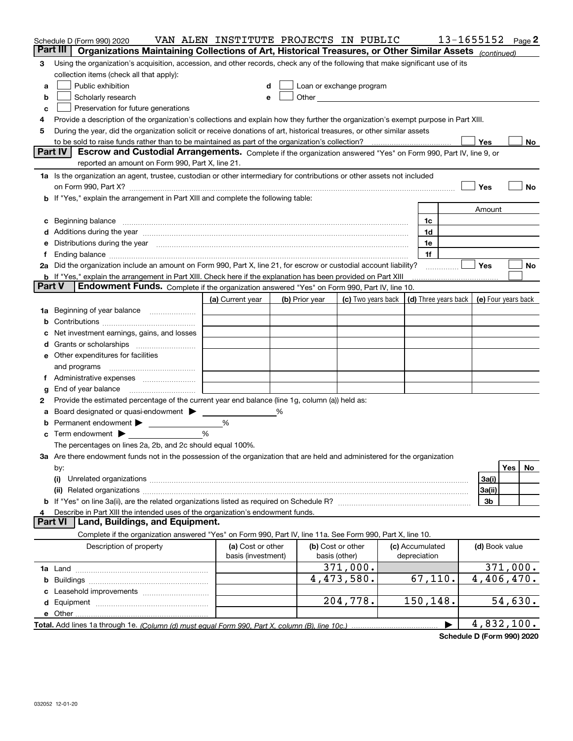| Part III<br>Organizations Maintaining Collections of Art, Historical Treasures, or Other Similar Assets (continued)<br>Using the organization's acquisition, accession, and other records, check any of the following that make significant use of its<br>3<br>collection items (check all that apply):<br>Public exhibition<br>Loan or exchange program<br>a<br>d<br>Scholarly research<br>Other the contract of the contract of the contract of the contract of the contract of the contract of the contract of the contract of the contract of the contract of the contract of the contract of the contract of the cont<br>b<br>е<br>Preservation for future generations<br>c<br>Provide a description of the organization's collections and explain how they further the organization's exempt purpose in Part XIII.<br>4<br>During the year, did the organization solicit or receive donations of art, historical treasures, or other similar assets<br>5<br>Yes<br>No<br>Part IV<br>Escrow and Custodial Arrangements. Complete if the organization answered "Yes" on Form 990, Part IV, line 9, or<br>reported an amount on Form 990, Part X, line 21.<br>1a Is the organization an agent, trustee, custodian or other intermediary for contributions or other assets not included<br>Yes<br>No<br>on Form 990, Part X? [11] matter contracts and contracts and contracts are contracted as a function of the set of the set of the set of the set of the set of the set of the set of the set of the set of the set of the set o<br>b If "Yes," explain the arrangement in Part XIII and complete the following table:<br>Amount<br>Beginning balance <b>contract to the contract of the contract of the contract of the contract of the contract of the contract of the contract of the contract of the contract of the contract of the contract of the contract of</b><br>1c<br>c<br>Additions during the year manufactured and an annual contract of the year manufactured and the year manufactured and the year manufactured and the year manufactured and the year manufactured and the year manufactured and t<br>1d<br>Distributions during the year measurements are all the set of the set of the set of the set of the set of the set of the set of the set of the set of the set of the set of the set of the set of the set of the set of the se<br>1e<br>1f<br>2a Did the organization include an amount on Form 990, Part X, line 21, for escrow or custodial account liability?<br>Yes<br>No<br>b If "Yes," explain the arrangement in Part XIII. Check here if the explanation has been provided on Part XIII<br><b>Part V</b><br><b>Endowment Funds.</b> Complete if the organization answered "Yes" on Form 990, Part IV, line 10.<br>(c) Two years back $\vert$ (d) Three years back $\vert$<br>(e) Four years back<br>(a) Current year<br>(b) Prior year<br>Beginning of year balance<br>1a<br>b<br>Net investment earnings, gains, and losses<br>d<br>e Other expenditures for facilities<br>and programs<br>End of year balance<br>g<br>Provide the estimated percentage of the current year end balance (line 1g, column (a)) held as:<br>2<br>Board designated or quasi-endowment ><br>%<br>а<br>$\%$<br>Permanent endowment<br>b<br>%<br><b>c</b> Term endowment $\blacktriangleright$<br>The percentages on lines 2a, 2b, and 2c should equal 100%.<br>3a Are there endowment funds not in the possession of the organization that are held and administered for the organization<br>Yes<br>No<br>by:<br>3a(i)<br>(i)<br>3a(ii)<br>3b<br>Describe in Part XIII the intended uses of the organization's endowment funds.<br>Land, Buildings, and Equipment.<br><b>Part VI</b><br>Complete if the organization answered "Yes" on Form 990, Part IV, line 11a. See Form 990, Part X, line 10.<br>(b) Cost or other<br>Description of property<br>(a) Cost or other<br>(c) Accumulated<br>(d) Book value<br>basis (investment)<br>depreciation<br>basis (other)<br>371,000.<br>371,000.<br>4,406,470.<br>4,473,580.<br>67,110.<br>204,778.<br>150,148.<br>54,630.<br>4,832,100. | Schedule D (Form 990) 2020 | VAN ALEN INSTITUTE PROJECTS IN PUBLIC |  |  |  | 13-1655152 | Page 2 |
|----------------------------------------------------------------------------------------------------------------------------------------------------------------------------------------------------------------------------------------------------------------------------------------------------------------------------------------------------------------------------------------------------------------------------------------------------------------------------------------------------------------------------------------------------------------------------------------------------------------------------------------------------------------------------------------------------------------------------------------------------------------------------------------------------------------------------------------------------------------------------------------------------------------------------------------------------------------------------------------------------------------------------------------------------------------------------------------------------------------------------------------------------------------------------------------------------------------------------------------------------------------------------------------------------------------------------------------------------------------------------------------------------------------------------------------------------------------------------------------------------------------------------------------------------------------------------------------------------------------------------------------------------------------------------------------------------------------------------------------------------------------------------------------------------------------------------------------------------------------------------------------------------------------------------------------------------------------------------------------------------------------------------------------------------------------------------------------------------------------------------------------------------------------------------------------------------------------------------------------------------------------------------------------------------------------------------------------------------------------------------------------------------------------------------------------------------------------------------------------------------------------------------------------------------------------------------------------------------------------------------------------------------------------------------------------------------------------------------------------------------------------------------------------------------------------------------------------------------------------------------------------------------------------------------------------------------------------------------------------------------------------------------------------------------------------------------------------------------------------------------------------------------------------------------------------------------------------------------------------------------------------------------------------------------------------------------------------------------------------------------------------------------------------------------------------------------------------------------------------------------------------------------------------------------------------------------------------------------------------------------------------------------------------------------------------------------------------------------------------------------------------------------------------------------------------------------------------------------------------------------------------------------------------------------------------------------------------------------------------------------------------------------------------------------------------------------------------------------------------|----------------------------|---------------------------------------|--|--|--|------------|--------|
|                                                                                                                                                                                                                                                                                                                                                                                                                                                                                                                                                                                                                                                                                                                                                                                                                                                                                                                                                                                                                                                                                                                                                                                                                                                                                                                                                                                                                                                                                                                                                                                                                                                                                                                                                                                                                                                                                                                                                                                                                                                                                                                                                                                                                                                                                                                                                                                                                                                                                                                                                                                                                                                                                                                                                                                                                                                                                                                                                                                                                                                                                                                                                                                                                                                                                                                                                                                                                                                                                                                                                                                                                                                                                                                                                                                                                                                                                                                                                                                                                                                                                                                |                            |                                       |  |  |  |            |        |
|                                                                                                                                                                                                                                                                                                                                                                                                                                                                                                                                                                                                                                                                                                                                                                                                                                                                                                                                                                                                                                                                                                                                                                                                                                                                                                                                                                                                                                                                                                                                                                                                                                                                                                                                                                                                                                                                                                                                                                                                                                                                                                                                                                                                                                                                                                                                                                                                                                                                                                                                                                                                                                                                                                                                                                                                                                                                                                                                                                                                                                                                                                                                                                                                                                                                                                                                                                                                                                                                                                                                                                                                                                                                                                                                                                                                                                                                                                                                                                                                                                                                                                                |                            |                                       |  |  |  |            |        |
|                                                                                                                                                                                                                                                                                                                                                                                                                                                                                                                                                                                                                                                                                                                                                                                                                                                                                                                                                                                                                                                                                                                                                                                                                                                                                                                                                                                                                                                                                                                                                                                                                                                                                                                                                                                                                                                                                                                                                                                                                                                                                                                                                                                                                                                                                                                                                                                                                                                                                                                                                                                                                                                                                                                                                                                                                                                                                                                                                                                                                                                                                                                                                                                                                                                                                                                                                                                                                                                                                                                                                                                                                                                                                                                                                                                                                                                                                                                                                                                                                                                                                                                |                            |                                       |  |  |  |            |        |
|                                                                                                                                                                                                                                                                                                                                                                                                                                                                                                                                                                                                                                                                                                                                                                                                                                                                                                                                                                                                                                                                                                                                                                                                                                                                                                                                                                                                                                                                                                                                                                                                                                                                                                                                                                                                                                                                                                                                                                                                                                                                                                                                                                                                                                                                                                                                                                                                                                                                                                                                                                                                                                                                                                                                                                                                                                                                                                                                                                                                                                                                                                                                                                                                                                                                                                                                                                                                                                                                                                                                                                                                                                                                                                                                                                                                                                                                                                                                                                                                                                                                                                                |                            |                                       |  |  |  |            |        |
|                                                                                                                                                                                                                                                                                                                                                                                                                                                                                                                                                                                                                                                                                                                                                                                                                                                                                                                                                                                                                                                                                                                                                                                                                                                                                                                                                                                                                                                                                                                                                                                                                                                                                                                                                                                                                                                                                                                                                                                                                                                                                                                                                                                                                                                                                                                                                                                                                                                                                                                                                                                                                                                                                                                                                                                                                                                                                                                                                                                                                                                                                                                                                                                                                                                                                                                                                                                                                                                                                                                                                                                                                                                                                                                                                                                                                                                                                                                                                                                                                                                                                                                |                            |                                       |  |  |  |            |        |
|                                                                                                                                                                                                                                                                                                                                                                                                                                                                                                                                                                                                                                                                                                                                                                                                                                                                                                                                                                                                                                                                                                                                                                                                                                                                                                                                                                                                                                                                                                                                                                                                                                                                                                                                                                                                                                                                                                                                                                                                                                                                                                                                                                                                                                                                                                                                                                                                                                                                                                                                                                                                                                                                                                                                                                                                                                                                                                                                                                                                                                                                                                                                                                                                                                                                                                                                                                                                                                                                                                                                                                                                                                                                                                                                                                                                                                                                                                                                                                                                                                                                                                                |                            |                                       |  |  |  |            |        |
|                                                                                                                                                                                                                                                                                                                                                                                                                                                                                                                                                                                                                                                                                                                                                                                                                                                                                                                                                                                                                                                                                                                                                                                                                                                                                                                                                                                                                                                                                                                                                                                                                                                                                                                                                                                                                                                                                                                                                                                                                                                                                                                                                                                                                                                                                                                                                                                                                                                                                                                                                                                                                                                                                                                                                                                                                                                                                                                                                                                                                                                                                                                                                                                                                                                                                                                                                                                                                                                                                                                                                                                                                                                                                                                                                                                                                                                                                                                                                                                                                                                                                                                |                            |                                       |  |  |  |            |        |
|                                                                                                                                                                                                                                                                                                                                                                                                                                                                                                                                                                                                                                                                                                                                                                                                                                                                                                                                                                                                                                                                                                                                                                                                                                                                                                                                                                                                                                                                                                                                                                                                                                                                                                                                                                                                                                                                                                                                                                                                                                                                                                                                                                                                                                                                                                                                                                                                                                                                                                                                                                                                                                                                                                                                                                                                                                                                                                                                                                                                                                                                                                                                                                                                                                                                                                                                                                                                                                                                                                                                                                                                                                                                                                                                                                                                                                                                                                                                                                                                                                                                                                                |                            |                                       |  |  |  |            |        |
|                                                                                                                                                                                                                                                                                                                                                                                                                                                                                                                                                                                                                                                                                                                                                                                                                                                                                                                                                                                                                                                                                                                                                                                                                                                                                                                                                                                                                                                                                                                                                                                                                                                                                                                                                                                                                                                                                                                                                                                                                                                                                                                                                                                                                                                                                                                                                                                                                                                                                                                                                                                                                                                                                                                                                                                                                                                                                                                                                                                                                                                                                                                                                                                                                                                                                                                                                                                                                                                                                                                                                                                                                                                                                                                                                                                                                                                                                                                                                                                                                                                                                                                |                            |                                       |  |  |  |            |        |
|                                                                                                                                                                                                                                                                                                                                                                                                                                                                                                                                                                                                                                                                                                                                                                                                                                                                                                                                                                                                                                                                                                                                                                                                                                                                                                                                                                                                                                                                                                                                                                                                                                                                                                                                                                                                                                                                                                                                                                                                                                                                                                                                                                                                                                                                                                                                                                                                                                                                                                                                                                                                                                                                                                                                                                                                                                                                                                                                                                                                                                                                                                                                                                                                                                                                                                                                                                                                                                                                                                                                                                                                                                                                                                                                                                                                                                                                                                                                                                                                                                                                                                                |                            |                                       |  |  |  |            |        |
|                                                                                                                                                                                                                                                                                                                                                                                                                                                                                                                                                                                                                                                                                                                                                                                                                                                                                                                                                                                                                                                                                                                                                                                                                                                                                                                                                                                                                                                                                                                                                                                                                                                                                                                                                                                                                                                                                                                                                                                                                                                                                                                                                                                                                                                                                                                                                                                                                                                                                                                                                                                                                                                                                                                                                                                                                                                                                                                                                                                                                                                                                                                                                                                                                                                                                                                                                                                                                                                                                                                                                                                                                                                                                                                                                                                                                                                                                                                                                                                                                                                                                                                |                            |                                       |  |  |  |            |        |
|                                                                                                                                                                                                                                                                                                                                                                                                                                                                                                                                                                                                                                                                                                                                                                                                                                                                                                                                                                                                                                                                                                                                                                                                                                                                                                                                                                                                                                                                                                                                                                                                                                                                                                                                                                                                                                                                                                                                                                                                                                                                                                                                                                                                                                                                                                                                                                                                                                                                                                                                                                                                                                                                                                                                                                                                                                                                                                                                                                                                                                                                                                                                                                                                                                                                                                                                                                                                                                                                                                                                                                                                                                                                                                                                                                                                                                                                                                                                                                                                                                                                                                                |                            |                                       |  |  |  |            |        |
|                                                                                                                                                                                                                                                                                                                                                                                                                                                                                                                                                                                                                                                                                                                                                                                                                                                                                                                                                                                                                                                                                                                                                                                                                                                                                                                                                                                                                                                                                                                                                                                                                                                                                                                                                                                                                                                                                                                                                                                                                                                                                                                                                                                                                                                                                                                                                                                                                                                                                                                                                                                                                                                                                                                                                                                                                                                                                                                                                                                                                                                                                                                                                                                                                                                                                                                                                                                                                                                                                                                                                                                                                                                                                                                                                                                                                                                                                                                                                                                                                                                                                                                |                            |                                       |  |  |  |            |        |
|                                                                                                                                                                                                                                                                                                                                                                                                                                                                                                                                                                                                                                                                                                                                                                                                                                                                                                                                                                                                                                                                                                                                                                                                                                                                                                                                                                                                                                                                                                                                                                                                                                                                                                                                                                                                                                                                                                                                                                                                                                                                                                                                                                                                                                                                                                                                                                                                                                                                                                                                                                                                                                                                                                                                                                                                                                                                                                                                                                                                                                                                                                                                                                                                                                                                                                                                                                                                                                                                                                                                                                                                                                                                                                                                                                                                                                                                                                                                                                                                                                                                                                                |                            |                                       |  |  |  |            |        |
|                                                                                                                                                                                                                                                                                                                                                                                                                                                                                                                                                                                                                                                                                                                                                                                                                                                                                                                                                                                                                                                                                                                                                                                                                                                                                                                                                                                                                                                                                                                                                                                                                                                                                                                                                                                                                                                                                                                                                                                                                                                                                                                                                                                                                                                                                                                                                                                                                                                                                                                                                                                                                                                                                                                                                                                                                                                                                                                                                                                                                                                                                                                                                                                                                                                                                                                                                                                                                                                                                                                                                                                                                                                                                                                                                                                                                                                                                                                                                                                                                                                                                                                |                            |                                       |  |  |  |            |        |
|                                                                                                                                                                                                                                                                                                                                                                                                                                                                                                                                                                                                                                                                                                                                                                                                                                                                                                                                                                                                                                                                                                                                                                                                                                                                                                                                                                                                                                                                                                                                                                                                                                                                                                                                                                                                                                                                                                                                                                                                                                                                                                                                                                                                                                                                                                                                                                                                                                                                                                                                                                                                                                                                                                                                                                                                                                                                                                                                                                                                                                                                                                                                                                                                                                                                                                                                                                                                                                                                                                                                                                                                                                                                                                                                                                                                                                                                                                                                                                                                                                                                                                                |                            |                                       |  |  |  |            |        |
|                                                                                                                                                                                                                                                                                                                                                                                                                                                                                                                                                                                                                                                                                                                                                                                                                                                                                                                                                                                                                                                                                                                                                                                                                                                                                                                                                                                                                                                                                                                                                                                                                                                                                                                                                                                                                                                                                                                                                                                                                                                                                                                                                                                                                                                                                                                                                                                                                                                                                                                                                                                                                                                                                                                                                                                                                                                                                                                                                                                                                                                                                                                                                                                                                                                                                                                                                                                                                                                                                                                                                                                                                                                                                                                                                                                                                                                                                                                                                                                                                                                                                                                |                            |                                       |  |  |  |            |        |
|                                                                                                                                                                                                                                                                                                                                                                                                                                                                                                                                                                                                                                                                                                                                                                                                                                                                                                                                                                                                                                                                                                                                                                                                                                                                                                                                                                                                                                                                                                                                                                                                                                                                                                                                                                                                                                                                                                                                                                                                                                                                                                                                                                                                                                                                                                                                                                                                                                                                                                                                                                                                                                                                                                                                                                                                                                                                                                                                                                                                                                                                                                                                                                                                                                                                                                                                                                                                                                                                                                                                                                                                                                                                                                                                                                                                                                                                                                                                                                                                                                                                                                                |                            |                                       |  |  |  |            |        |
|                                                                                                                                                                                                                                                                                                                                                                                                                                                                                                                                                                                                                                                                                                                                                                                                                                                                                                                                                                                                                                                                                                                                                                                                                                                                                                                                                                                                                                                                                                                                                                                                                                                                                                                                                                                                                                                                                                                                                                                                                                                                                                                                                                                                                                                                                                                                                                                                                                                                                                                                                                                                                                                                                                                                                                                                                                                                                                                                                                                                                                                                                                                                                                                                                                                                                                                                                                                                                                                                                                                                                                                                                                                                                                                                                                                                                                                                                                                                                                                                                                                                                                                |                            |                                       |  |  |  |            |        |
|                                                                                                                                                                                                                                                                                                                                                                                                                                                                                                                                                                                                                                                                                                                                                                                                                                                                                                                                                                                                                                                                                                                                                                                                                                                                                                                                                                                                                                                                                                                                                                                                                                                                                                                                                                                                                                                                                                                                                                                                                                                                                                                                                                                                                                                                                                                                                                                                                                                                                                                                                                                                                                                                                                                                                                                                                                                                                                                                                                                                                                                                                                                                                                                                                                                                                                                                                                                                                                                                                                                                                                                                                                                                                                                                                                                                                                                                                                                                                                                                                                                                                                                |                            |                                       |  |  |  |            |        |
|                                                                                                                                                                                                                                                                                                                                                                                                                                                                                                                                                                                                                                                                                                                                                                                                                                                                                                                                                                                                                                                                                                                                                                                                                                                                                                                                                                                                                                                                                                                                                                                                                                                                                                                                                                                                                                                                                                                                                                                                                                                                                                                                                                                                                                                                                                                                                                                                                                                                                                                                                                                                                                                                                                                                                                                                                                                                                                                                                                                                                                                                                                                                                                                                                                                                                                                                                                                                                                                                                                                                                                                                                                                                                                                                                                                                                                                                                                                                                                                                                                                                                                                |                            |                                       |  |  |  |            |        |
|                                                                                                                                                                                                                                                                                                                                                                                                                                                                                                                                                                                                                                                                                                                                                                                                                                                                                                                                                                                                                                                                                                                                                                                                                                                                                                                                                                                                                                                                                                                                                                                                                                                                                                                                                                                                                                                                                                                                                                                                                                                                                                                                                                                                                                                                                                                                                                                                                                                                                                                                                                                                                                                                                                                                                                                                                                                                                                                                                                                                                                                                                                                                                                                                                                                                                                                                                                                                                                                                                                                                                                                                                                                                                                                                                                                                                                                                                                                                                                                                                                                                                                                |                            |                                       |  |  |  |            |        |
|                                                                                                                                                                                                                                                                                                                                                                                                                                                                                                                                                                                                                                                                                                                                                                                                                                                                                                                                                                                                                                                                                                                                                                                                                                                                                                                                                                                                                                                                                                                                                                                                                                                                                                                                                                                                                                                                                                                                                                                                                                                                                                                                                                                                                                                                                                                                                                                                                                                                                                                                                                                                                                                                                                                                                                                                                                                                                                                                                                                                                                                                                                                                                                                                                                                                                                                                                                                                                                                                                                                                                                                                                                                                                                                                                                                                                                                                                                                                                                                                                                                                                                                |                            |                                       |  |  |  |            |        |
|                                                                                                                                                                                                                                                                                                                                                                                                                                                                                                                                                                                                                                                                                                                                                                                                                                                                                                                                                                                                                                                                                                                                                                                                                                                                                                                                                                                                                                                                                                                                                                                                                                                                                                                                                                                                                                                                                                                                                                                                                                                                                                                                                                                                                                                                                                                                                                                                                                                                                                                                                                                                                                                                                                                                                                                                                                                                                                                                                                                                                                                                                                                                                                                                                                                                                                                                                                                                                                                                                                                                                                                                                                                                                                                                                                                                                                                                                                                                                                                                                                                                                                                |                            |                                       |  |  |  |            |        |
|                                                                                                                                                                                                                                                                                                                                                                                                                                                                                                                                                                                                                                                                                                                                                                                                                                                                                                                                                                                                                                                                                                                                                                                                                                                                                                                                                                                                                                                                                                                                                                                                                                                                                                                                                                                                                                                                                                                                                                                                                                                                                                                                                                                                                                                                                                                                                                                                                                                                                                                                                                                                                                                                                                                                                                                                                                                                                                                                                                                                                                                                                                                                                                                                                                                                                                                                                                                                                                                                                                                                                                                                                                                                                                                                                                                                                                                                                                                                                                                                                                                                                                                |                            |                                       |  |  |  |            |        |
|                                                                                                                                                                                                                                                                                                                                                                                                                                                                                                                                                                                                                                                                                                                                                                                                                                                                                                                                                                                                                                                                                                                                                                                                                                                                                                                                                                                                                                                                                                                                                                                                                                                                                                                                                                                                                                                                                                                                                                                                                                                                                                                                                                                                                                                                                                                                                                                                                                                                                                                                                                                                                                                                                                                                                                                                                                                                                                                                                                                                                                                                                                                                                                                                                                                                                                                                                                                                                                                                                                                                                                                                                                                                                                                                                                                                                                                                                                                                                                                                                                                                                                                |                            |                                       |  |  |  |            |        |
|                                                                                                                                                                                                                                                                                                                                                                                                                                                                                                                                                                                                                                                                                                                                                                                                                                                                                                                                                                                                                                                                                                                                                                                                                                                                                                                                                                                                                                                                                                                                                                                                                                                                                                                                                                                                                                                                                                                                                                                                                                                                                                                                                                                                                                                                                                                                                                                                                                                                                                                                                                                                                                                                                                                                                                                                                                                                                                                                                                                                                                                                                                                                                                                                                                                                                                                                                                                                                                                                                                                                                                                                                                                                                                                                                                                                                                                                                                                                                                                                                                                                                                                |                            |                                       |  |  |  |            |        |
|                                                                                                                                                                                                                                                                                                                                                                                                                                                                                                                                                                                                                                                                                                                                                                                                                                                                                                                                                                                                                                                                                                                                                                                                                                                                                                                                                                                                                                                                                                                                                                                                                                                                                                                                                                                                                                                                                                                                                                                                                                                                                                                                                                                                                                                                                                                                                                                                                                                                                                                                                                                                                                                                                                                                                                                                                                                                                                                                                                                                                                                                                                                                                                                                                                                                                                                                                                                                                                                                                                                                                                                                                                                                                                                                                                                                                                                                                                                                                                                                                                                                                                                |                            |                                       |  |  |  |            |        |
|                                                                                                                                                                                                                                                                                                                                                                                                                                                                                                                                                                                                                                                                                                                                                                                                                                                                                                                                                                                                                                                                                                                                                                                                                                                                                                                                                                                                                                                                                                                                                                                                                                                                                                                                                                                                                                                                                                                                                                                                                                                                                                                                                                                                                                                                                                                                                                                                                                                                                                                                                                                                                                                                                                                                                                                                                                                                                                                                                                                                                                                                                                                                                                                                                                                                                                                                                                                                                                                                                                                                                                                                                                                                                                                                                                                                                                                                                                                                                                                                                                                                                                                |                            |                                       |  |  |  |            |        |
|                                                                                                                                                                                                                                                                                                                                                                                                                                                                                                                                                                                                                                                                                                                                                                                                                                                                                                                                                                                                                                                                                                                                                                                                                                                                                                                                                                                                                                                                                                                                                                                                                                                                                                                                                                                                                                                                                                                                                                                                                                                                                                                                                                                                                                                                                                                                                                                                                                                                                                                                                                                                                                                                                                                                                                                                                                                                                                                                                                                                                                                                                                                                                                                                                                                                                                                                                                                                                                                                                                                                                                                                                                                                                                                                                                                                                                                                                                                                                                                                                                                                                                                |                            |                                       |  |  |  |            |        |
|                                                                                                                                                                                                                                                                                                                                                                                                                                                                                                                                                                                                                                                                                                                                                                                                                                                                                                                                                                                                                                                                                                                                                                                                                                                                                                                                                                                                                                                                                                                                                                                                                                                                                                                                                                                                                                                                                                                                                                                                                                                                                                                                                                                                                                                                                                                                                                                                                                                                                                                                                                                                                                                                                                                                                                                                                                                                                                                                                                                                                                                                                                                                                                                                                                                                                                                                                                                                                                                                                                                                                                                                                                                                                                                                                                                                                                                                                                                                                                                                                                                                                                                |                            |                                       |  |  |  |            |        |
|                                                                                                                                                                                                                                                                                                                                                                                                                                                                                                                                                                                                                                                                                                                                                                                                                                                                                                                                                                                                                                                                                                                                                                                                                                                                                                                                                                                                                                                                                                                                                                                                                                                                                                                                                                                                                                                                                                                                                                                                                                                                                                                                                                                                                                                                                                                                                                                                                                                                                                                                                                                                                                                                                                                                                                                                                                                                                                                                                                                                                                                                                                                                                                                                                                                                                                                                                                                                                                                                                                                                                                                                                                                                                                                                                                                                                                                                                                                                                                                                                                                                                                                |                            |                                       |  |  |  |            |        |
|                                                                                                                                                                                                                                                                                                                                                                                                                                                                                                                                                                                                                                                                                                                                                                                                                                                                                                                                                                                                                                                                                                                                                                                                                                                                                                                                                                                                                                                                                                                                                                                                                                                                                                                                                                                                                                                                                                                                                                                                                                                                                                                                                                                                                                                                                                                                                                                                                                                                                                                                                                                                                                                                                                                                                                                                                                                                                                                                                                                                                                                                                                                                                                                                                                                                                                                                                                                                                                                                                                                                                                                                                                                                                                                                                                                                                                                                                                                                                                                                                                                                                                                |                            |                                       |  |  |  |            |        |
|                                                                                                                                                                                                                                                                                                                                                                                                                                                                                                                                                                                                                                                                                                                                                                                                                                                                                                                                                                                                                                                                                                                                                                                                                                                                                                                                                                                                                                                                                                                                                                                                                                                                                                                                                                                                                                                                                                                                                                                                                                                                                                                                                                                                                                                                                                                                                                                                                                                                                                                                                                                                                                                                                                                                                                                                                                                                                                                                                                                                                                                                                                                                                                                                                                                                                                                                                                                                                                                                                                                                                                                                                                                                                                                                                                                                                                                                                                                                                                                                                                                                                                                |                            |                                       |  |  |  |            |        |
|                                                                                                                                                                                                                                                                                                                                                                                                                                                                                                                                                                                                                                                                                                                                                                                                                                                                                                                                                                                                                                                                                                                                                                                                                                                                                                                                                                                                                                                                                                                                                                                                                                                                                                                                                                                                                                                                                                                                                                                                                                                                                                                                                                                                                                                                                                                                                                                                                                                                                                                                                                                                                                                                                                                                                                                                                                                                                                                                                                                                                                                                                                                                                                                                                                                                                                                                                                                                                                                                                                                                                                                                                                                                                                                                                                                                                                                                                                                                                                                                                                                                                                                |                            |                                       |  |  |  |            |        |
|                                                                                                                                                                                                                                                                                                                                                                                                                                                                                                                                                                                                                                                                                                                                                                                                                                                                                                                                                                                                                                                                                                                                                                                                                                                                                                                                                                                                                                                                                                                                                                                                                                                                                                                                                                                                                                                                                                                                                                                                                                                                                                                                                                                                                                                                                                                                                                                                                                                                                                                                                                                                                                                                                                                                                                                                                                                                                                                                                                                                                                                                                                                                                                                                                                                                                                                                                                                                                                                                                                                                                                                                                                                                                                                                                                                                                                                                                                                                                                                                                                                                                                                |                            |                                       |  |  |  |            |        |
|                                                                                                                                                                                                                                                                                                                                                                                                                                                                                                                                                                                                                                                                                                                                                                                                                                                                                                                                                                                                                                                                                                                                                                                                                                                                                                                                                                                                                                                                                                                                                                                                                                                                                                                                                                                                                                                                                                                                                                                                                                                                                                                                                                                                                                                                                                                                                                                                                                                                                                                                                                                                                                                                                                                                                                                                                                                                                                                                                                                                                                                                                                                                                                                                                                                                                                                                                                                                                                                                                                                                                                                                                                                                                                                                                                                                                                                                                                                                                                                                                                                                                                                |                            |                                       |  |  |  |            |        |
|                                                                                                                                                                                                                                                                                                                                                                                                                                                                                                                                                                                                                                                                                                                                                                                                                                                                                                                                                                                                                                                                                                                                                                                                                                                                                                                                                                                                                                                                                                                                                                                                                                                                                                                                                                                                                                                                                                                                                                                                                                                                                                                                                                                                                                                                                                                                                                                                                                                                                                                                                                                                                                                                                                                                                                                                                                                                                                                                                                                                                                                                                                                                                                                                                                                                                                                                                                                                                                                                                                                                                                                                                                                                                                                                                                                                                                                                                                                                                                                                                                                                                                                |                            |                                       |  |  |  |            |        |
|                                                                                                                                                                                                                                                                                                                                                                                                                                                                                                                                                                                                                                                                                                                                                                                                                                                                                                                                                                                                                                                                                                                                                                                                                                                                                                                                                                                                                                                                                                                                                                                                                                                                                                                                                                                                                                                                                                                                                                                                                                                                                                                                                                                                                                                                                                                                                                                                                                                                                                                                                                                                                                                                                                                                                                                                                                                                                                                                                                                                                                                                                                                                                                                                                                                                                                                                                                                                                                                                                                                                                                                                                                                                                                                                                                                                                                                                                                                                                                                                                                                                                                                |                            |                                       |  |  |  |            |        |
|                                                                                                                                                                                                                                                                                                                                                                                                                                                                                                                                                                                                                                                                                                                                                                                                                                                                                                                                                                                                                                                                                                                                                                                                                                                                                                                                                                                                                                                                                                                                                                                                                                                                                                                                                                                                                                                                                                                                                                                                                                                                                                                                                                                                                                                                                                                                                                                                                                                                                                                                                                                                                                                                                                                                                                                                                                                                                                                                                                                                                                                                                                                                                                                                                                                                                                                                                                                                                                                                                                                                                                                                                                                                                                                                                                                                                                                                                                                                                                                                                                                                                                                |                            |                                       |  |  |  |            |        |
|                                                                                                                                                                                                                                                                                                                                                                                                                                                                                                                                                                                                                                                                                                                                                                                                                                                                                                                                                                                                                                                                                                                                                                                                                                                                                                                                                                                                                                                                                                                                                                                                                                                                                                                                                                                                                                                                                                                                                                                                                                                                                                                                                                                                                                                                                                                                                                                                                                                                                                                                                                                                                                                                                                                                                                                                                                                                                                                                                                                                                                                                                                                                                                                                                                                                                                                                                                                                                                                                                                                                                                                                                                                                                                                                                                                                                                                                                                                                                                                                                                                                                                                |                            |                                       |  |  |  |            |        |
|                                                                                                                                                                                                                                                                                                                                                                                                                                                                                                                                                                                                                                                                                                                                                                                                                                                                                                                                                                                                                                                                                                                                                                                                                                                                                                                                                                                                                                                                                                                                                                                                                                                                                                                                                                                                                                                                                                                                                                                                                                                                                                                                                                                                                                                                                                                                                                                                                                                                                                                                                                                                                                                                                                                                                                                                                                                                                                                                                                                                                                                                                                                                                                                                                                                                                                                                                                                                                                                                                                                                                                                                                                                                                                                                                                                                                                                                                                                                                                                                                                                                                                                |                            |                                       |  |  |  |            |        |
|                                                                                                                                                                                                                                                                                                                                                                                                                                                                                                                                                                                                                                                                                                                                                                                                                                                                                                                                                                                                                                                                                                                                                                                                                                                                                                                                                                                                                                                                                                                                                                                                                                                                                                                                                                                                                                                                                                                                                                                                                                                                                                                                                                                                                                                                                                                                                                                                                                                                                                                                                                                                                                                                                                                                                                                                                                                                                                                                                                                                                                                                                                                                                                                                                                                                                                                                                                                                                                                                                                                                                                                                                                                                                                                                                                                                                                                                                                                                                                                                                                                                                                                |                            |                                       |  |  |  |            |        |
|                                                                                                                                                                                                                                                                                                                                                                                                                                                                                                                                                                                                                                                                                                                                                                                                                                                                                                                                                                                                                                                                                                                                                                                                                                                                                                                                                                                                                                                                                                                                                                                                                                                                                                                                                                                                                                                                                                                                                                                                                                                                                                                                                                                                                                                                                                                                                                                                                                                                                                                                                                                                                                                                                                                                                                                                                                                                                                                                                                                                                                                                                                                                                                                                                                                                                                                                                                                                                                                                                                                                                                                                                                                                                                                                                                                                                                                                                                                                                                                                                                                                                                                |                            |                                       |  |  |  |            |        |
|                                                                                                                                                                                                                                                                                                                                                                                                                                                                                                                                                                                                                                                                                                                                                                                                                                                                                                                                                                                                                                                                                                                                                                                                                                                                                                                                                                                                                                                                                                                                                                                                                                                                                                                                                                                                                                                                                                                                                                                                                                                                                                                                                                                                                                                                                                                                                                                                                                                                                                                                                                                                                                                                                                                                                                                                                                                                                                                                                                                                                                                                                                                                                                                                                                                                                                                                                                                                                                                                                                                                                                                                                                                                                                                                                                                                                                                                                                                                                                                                                                                                                                                |                            |                                       |  |  |  |            |        |
|                                                                                                                                                                                                                                                                                                                                                                                                                                                                                                                                                                                                                                                                                                                                                                                                                                                                                                                                                                                                                                                                                                                                                                                                                                                                                                                                                                                                                                                                                                                                                                                                                                                                                                                                                                                                                                                                                                                                                                                                                                                                                                                                                                                                                                                                                                                                                                                                                                                                                                                                                                                                                                                                                                                                                                                                                                                                                                                                                                                                                                                                                                                                                                                                                                                                                                                                                                                                                                                                                                                                                                                                                                                                                                                                                                                                                                                                                                                                                                                                                                                                                                                |                            |                                       |  |  |  |            |        |
|                                                                                                                                                                                                                                                                                                                                                                                                                                                                                                                                                                                                                                                                                                                                                                                                                                                                                                                                                                                                                                                                                                                                                                                                                                                                                                                                                                                                                                                                                                                                                                                                                                                                                                                                                                                                                                                                                                                                                                                                                                                                                                                                                                                                                                                                                                                                                                                                                                                                                                                                                                                                                                                                                                                                                                                                                                                                                                                                                                                                                                                                                                                                                                                                                                                                                                                                                                                                                                                                                                                                                                                                                                                                                                                                                                                                                                                                                                                                                                                                                                                                                                                |                            |                                       |  |  |  |            |        |
|                                                                                                                                                                                                                                                                                                                                                                                                                                                                                                                                                                                                                                                                                                                                                                                                                                                                                                                                                                                                                                                                                                                                                                                                                                                                                                                                                                                                                                                                                                                                                                                                                                                                                                                                                                                                                                                                                                                                                                                                                                                                                                                                                                                                                                                                                                                                                                                                                                                                                                                                                                                                                                                                                                                                                                                                                                                                                                                                                                                                                                                                                                                                                                                                                                                                                                                                                                                                                                                                                                                                                                                                                                                                                                                                                                                                                                                                                                                                                                                                                                                                                                                |                            |                                       |  |  |  |            |        |
|                                                                                                                                                                                                                                                                                                                                                                                                                                                                                                                                                                                                                                                                                                                                                                                                                                                                                                                                                                                                                                                                                                                                                                                                                                                                                                                                                                                                                                                                                                                                                                                                                                                                                                                                                                                                                                                                                                                                                                                                                                                                                                                                                                                                                                                                                                                                                                                                                                                                                                                                                                                                                                                                                                                                                                                                                                                                                                                                                                                                                                                                                                                                                                                                                                                                                                                                                                                                                                                                                                                                                                                                                                                                                                                                                                                                                                                                                                                                                                                                                                                                                                                |                            |                                       |  |  |  |            |        |
|                                                                                                                                                                                                                                                                                                                                                                                                                                                                                                                                                                                                                                                                                                                                                                                                                                                                                                                                                                                                                                                                                                                                                                                                                                                                                                                                                                                                                                                                                                                                                                                                                                                                                                                                                                                                                                                                                                                                                                                                                                                                                                                                                                                                                                                                                                                                                                                                                                                                                                                                                                                                                                                                                                                                                                                                                                                                                                                                                                                                                                                                                                                                                                                                                                                                                                                                                                                                                                                                                                                                                                                                                                                                                                                                                                                                                                                                                                                                                                                                                                                                                                                |                            |                                       |  |  |  |            |        |
|                                                                                                                                                                                                                                                                                                                                                                                                                                                                                                                                                                                                                                                                                                                                                                                                                                                                                                                                                                                                                                                                                                                                                                                                                                                                                                                                                                                                                                                                                                                                                                                                                                                                                                                                                                                                                                                                                                                                                                                                                                                                                                                                                                                                                                                                                                                                                                                                                                                                                                                                                                                                                                                                                                                                                                                                                                                                                                                                                                                                                                                                                                                                                                                                                                                                                                                                                                                                                                                                                                                                                                                                                                                                                                                                                                                                                                                                                                                                                                                                                                                                                                                |                            |                                       |  |  |  |            |        |

**Schedule D (Form 990) 2020**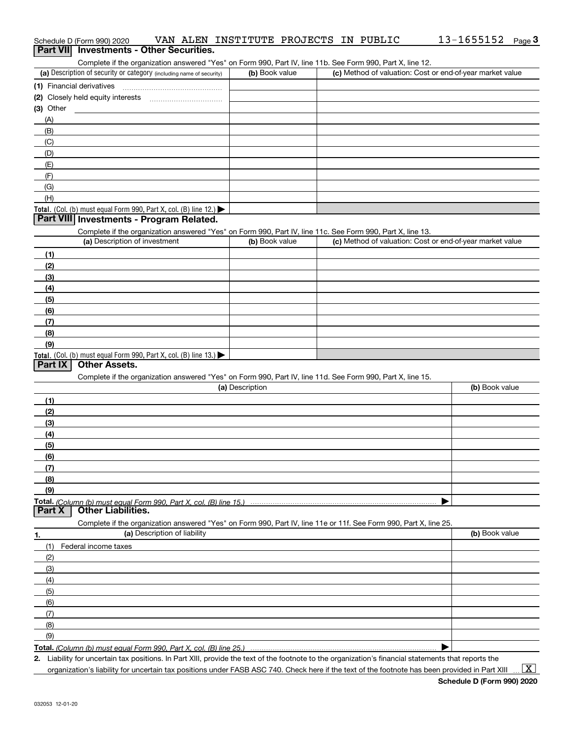| Schedule D (Form 990) 2020                                                                                        | VAN ALEN INSTITUTE PROJECTS IN PUBLIC |                                                           | 13-1655152<br>Page $3$ |
|-------------------------------------------------------------------------------------------------------------------|---------------------------------------|-----------------------------------------------------------|------------------------|
| <b>Investments - Other Securities.</b><br><b>Part VII</b>                                                         |                                       |                                                           |                        |
| Complete if the organization answered "Yes" on Form 990, Part IV, line 11b. See Form 990, Part X, line 12.        |                                       |                                                           |                        |
| (a) Description of security or category (including name of security)                                              | (b) Book value                        | (c) Method of valuation: Cost or end-of-year market value |                        |
| (1) Financial derivatives                                                                                         |                                       |                                                           |                        |
|                                                                                                                   |                                       |                                                           |                        |
| (3) Other                                                                                                         |                                       |                                                           |                        |
| (A)                                                                                                               |                                       |                                                           |                        |
| (B)                                                                                                               |                                       |                                                           |                        |
| (C)                                                                                                               |                                       |                                                           |                        |
| (D)                                                                                                               |                                       |                                                           |                        |
| (E)                                                                                                               |                                       |                                                           |                        |
| (F)                                                                                                               |                                       |                                                           |                        |
| (G)                                                                                                               |                                       |                                                           |                        |
| (H)                                                                                                               |                                       |                                                           |                        |
| Total. (Col. (b) must equal Form 990, Part X, col. (B) line 12.)<br>Part VIII Investments - Program Related.      |                                       |                                                           |                        |
| Complete if the organization answered "Yes" on Form 990, Part IV, line 11c. See Form 990, Part X, line 13.        |                                       |                                                           |                        |
| (a) Description of investment                                                                                     | (b) Book value                        | (c) Method of valuation: Cost or end-of-year market value |                        |
| (1)                                                                                                               |                                       |                                                           |                        |
| (2)                                                                                                               |                                       |                                                           |                        |
| (3)                                                                                                               |                                       |                                                           |                        |
| (4)                                                                                                               |                                       |                                                           |                        |
| (5)                                                                                                               |                                       |                                                           |                        |
| (6)                                                                                                               |                                       |                                                           |                        |
| (7)                                                                                                               |                                       |                                                           |                        |
| (8)                                                                                                               |                                       |                                                           |                        |
| (9)                                                                                                               |                                       |                                                           |                        |
| Total. (Col. (b) must equal Form 990, Part X, col. (B) line 13.)                                                  |                                       |                                                           |                        |
| <b>Part IX</b><br><b>Other Assets.</b>                                                                            |                                       |                                                           |                        |
| Complete if the organization answered "Yes" on Form 990, Part IV, line 11d. See Form 990, Part X, line 15.        |                                       |                                                           |                        |
|                                                                                                                   | (a) Description                       |                                                           | (b) Book value         |
| (1)                                                                                                               |                                       |                                                           |                        |
| (2)                                                                                                               |                                       |                                                           |                        |
| (3)                                                                                                               |                                       |                                                           |                        |
| (4)                                                                                                               |                                       |                                                           |                        |
| (5)                                                                                                               |                                       |                                                           |                        |
| (6)                                                                                                               |                                       |                                                           |                        |
| (7)                                                                                                               |                                       |                                                           |                        |
| (8)                                                                                                               |                                       |                                                           |                        |
| (9)                                                                                                               |                                       |                                                           |                        |
| Total. (Column (b) must equal Form 990, Part X, col. (B) line 15.)<br><b>Part X</b><br><b>Other Liabilities.</b>  |                                       |                                                           |                        |
| Complete if the organization answered "Yes" on Form 990, Part IV, line 11e or 11f. See Form 990, Part X, line 25. |                                       |                                                           |                        |
| (a) Description of liability                                                                                      |                                       |                                                           | (b) Book value         |
| 1.<br>(1)<br>Federal income taxes                                                                                 |                                       |                                                           |                        |
| (2)                                                                                                               |                                       |                                                           |                        |
| (3)                                                                                                               |                                       |                                                           |                        |
| (4)                                                                                                               |                                       |                                                           |                        |
| (5)                                                                                                               |                                       |                                                           |                        |
| (6)                                                                                                               |                                       |                                                           |                        |
| (7)                                                                                                               |                                       |                                                           |                        |
| (8)                                                                                                               |                                       |                                                           |                        |
| (9)                                                                                                               |                                       |                                                           |                        |
| Total. (Column (b) must equal Form 990, Part X, col. (B) line 25.)                                                |                                       |                                                           |                        |
|                                                                                                                   |                                       |                                                           |                        |

**2.** Liability for uncertain tax positions. In Part XIII, provide the text of the footnote to the organization's financial statements that reports the organization's liability for uncertain tax positions under FASB ASC 740. Check here if the text of the footnote has been provided in Part XIII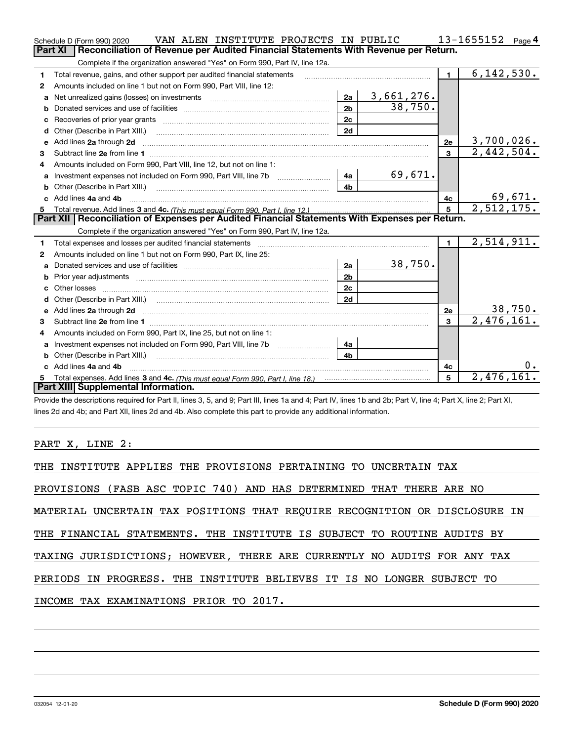|   | VAN ALEN INSTITUTE PROJECTS IN PUBLIC<br>Schedule D (Form 990) 2020                                                                                                                                                                 |                |            |                 | 13-1655152<br>Page $4$     |
|---|-------------------------------------------------------------------------------------------------------------------------------------------------------------------------------------------------------------------------------------|----------------|------------|-----------------|----------------------------|
|   | <b>Part XI</b><br>Reconciliation of Revenue per Audited Financial Statements With Revenue per Return.                                                                                                                               |                |            |                 |                            |
|   | Complete if the organization answered "Yes" on Form 990, Part IV, line 12a.                                                                                                                                                         |                |            |                 |                            |
| 1 | Total revenue, gains, and other support per audited financial statements                                                                                                                                                            |                |            | $\blacksquare$  | 6, 142, 530.               |
| 2 | Amounts included on line 1 but not on Form 990, Part VIII, line 12:                                                                                                                                                                 |                |            |                 |                            |
| a |                                                                                                                                                                                                                                     | 2a             | 3,661,276. |                 |                            |
|   |                                                                                                                                                                                                                                     | 2 <sub>b</sub> | 38,750.    |                 |                            |
|   |                                                                                                                                                                                                                                     | 2c             |            |                 |                            |
| d |                                                                                                                                                                                                                                     | 2d             |            |                 |                            |
| e | Add lines 2a through 2d                                                                                                                                                                                                             |                |            | 2e              | 3,700,026.                 |
| 3 |                                                                                                                                                                                                                                     |                |            | $\overline{3}$  | $\overline{2,442},504.$    |
| 4 | Amounts included on Form 990, Part VIII, line 12, but not on line 1:                                                                                                                                                                |                |            |                 |                            |
| a | Investment expenses not included on Form 990, Part VIII, line 7b [11, 111]                                                                                                                                                          | 4a             | 69,671.    |                 |                            |
|   |                                                                                                                                                                                                                                     | 4 <sub>b</sub> |            |                 |                            |
|   | c Add lines 4a and 4b                                                                                                                                                                                                               |                |            | 4с              | $\frac{69,671}{2,512,175}$ |
|   |                                                                                                                                                                                                                                     |                |            |                 |                            |
|   |                                                                                                                                                                                                                                     |                |            | $5\phantom{.0}$ |                            |
|   | Part XII   Reconciliation of Expenses per Audited Financial Statements With Expenses per Return.                                                                                                                                    |                |            |                 |                            |
|   | Complete if the organization answered "Yes" on Form 990, Part IV, line 12a.                                                                                                                                                         |                |            |                 |                            |
| 1 | Total expenses and losses per audited financial statements [11, 11] manuscription control expenses and losses per audited financial statements [11] manuscription of the statements [11] manuscription of the statements [11]       |                |            | $\blacksquare$  | 2,514,911.                 |
| 2 | Amounts included on line 1 but not on Form 990, Part IX, line 25:                                                                                                                                                                   |                |            |                 |                            |
| a |                                                                                                                                                                                                                                     | 2a             | 38,750.    |                 |                            |
| b | Prior year adjustments <i>www.www.www.www.www.www.www.www.www.</i> ww.                                                                                                                                                              | 2 <sub>b</sub> |            |                 |                            |
|   |                                                                                                                                                                                                                                     | 2c             |            |                 |                            |
| d |                                                                                                                                                                                                                                     | 2d             |            |                 |                            |
| е | Add lines 2a through 2d <b>contained a contained a contained a contained a</b> contained a contained a contained a contained a contained a contained a contained a contained a contained a contained a contained a contained a cont |                |            | 2e              |                            |
| 3 |                                                                                                                                                                                                                                     |                |            | 3               | 38,750.<br>2,476,161.      |
| 4 | Amounts included on Form 990, Part IX, line 25, but not on line 1:                                                                                                                                                                  |                |            |                 |                            |
| a | Investment expenses not included on Form 990, Part VIII, line 7b [1000000000000000000000000000000000                                                                                                                                | 4a             |            |                 |                            |
|   | Other (Describe in Part XIII.)                                                                                                                                                                                                      | 4 <sub>b</sub> |            |                 |                            |
|   | Add lines 4a and 4b                                                                                                                                                                                                                 |                |            | 4c              |                            |
|   | Total expenses. Add lines 3 and 4c. (This must equal Form 990, Part I, line 18.) <b>Conservers</b> manufactured in the<br>Part XIII Supplemental Information.                                                                       |                |            | 5               | 2,476,161.                 |

Provide the descriptions required for Part II, lines 3, 5, and 9; Part III, lines 1a and 4; Part IV, lines 1b and 2b; Part V, line 4; Part X, line 2; Part XI, lines 2d and 4b; and Part XII, lines 2d and 4b. Also complete this part to provide any additional information.

## PART X, LINE 2:

| THE INSTITUTE APPLIES THE PROVISIONS PERTAINING TO UNCERTAIN TAX           |
|----------------------------------------------------------------------------|
| PROVISIONS (FASB ASC TOPIC 740) AND HAS DETERMINED THAT THERE ARE NO       |
| MATERIAL UNCERTAIN TAX POSITIONS THAT REQUIRE RECOGNITION OR DISCLOSURE IN |
| THE FINANCIAL STATEMENTS. THE INSTITUTE IS SUBJECT TO ROUTINE AUDITS BY    |
| TAXING JURISDICTIONS; HOWEVER, THERE ARE CURRENTLY NO AUDITS FOR ANY TAX   |
| PERIODS IN PROGRESS. THE INSTITUTE BELIEVES IT IS NO LONGER SUBJECT TO     |
| INCOME TAX EXAMINATIONS PRIOR TO 2017.                                     |
|                                                                            |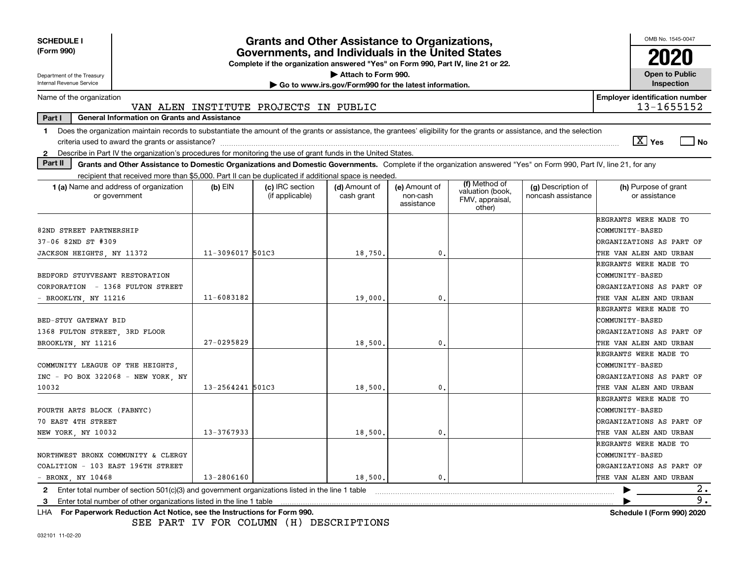| <b>SCHEDULE I</b><br>(Form 990)                                                                                                                                                |                                                                                                                                       | Grants and Other Assistance to Organizations, |                                                       |                                         |                                               |                                          | OMB No. 1545-0047                     |  |
|--------------------------------------------------------------------------------------------------------------------------------------------------------------------------------|---------------------------------------------------------------------------------------------------------------------------------------|-----------------------------------------------|-------------------------------------------------------|-----------------------------------------|-----------------------------------------------|------------------------------------------|---------------------------------------|--|
|                                                                                                                                                                                | Governments, and Individuals in the United States<br>Complete if the organization answered "Yes" on Form 990, Part IV, line 21 or 22. |                                               |                                                       |                                         |                                               |                                          |                                       |  |
| Department of the Treasury                                                                                                                                                     |                                                                                                                                       |                                               | Attach to Form 990.                                   |                                         |                                               |                                          | <b>Open to Public</b>                 |  |
| Internal Revenue Service                                                                                                                                                       |                                                                                                                                       |                                               | Go to www.irs.gov/Form990 for the latest information. |                                         |                                               |                                          | Inspection                            |  |
| Name of the organization                                                                                                                                                       |                                                                                                                                       |                                               |                                                       |                                         |                                               |                                          | <b>Employer identification number</b> |  |
|                                                                                                                                                                                |                                                                                                                                       | VAN ALEN INSTITUTE PROJECTS IN PUBLIC         |                                                       |                                         |                                               |                                          | 13-1655152                            |  |
| <b>General Information on Grants and Assistance</b><br>Part I                                                                                                                  |                                                                                                                                       |                                               |                                                       |                                         |                                               |                                          |                                       |  |
| Does the organization maintain records to substantiate the amount of the grants or assistance, the grantees' eligibility for the grants or assistance, and the selection<br>1. |                                                                                                                                       |                                               |                                                       |                                         |                                               |                                          | $\boxed{\text{X}}$ Yes<br><b>No</b>   |  |
| Describe in Part IV the organization's procedures for monitoring the use of grant funds in the United States.<br>$\mathbf{2}$                                                  |                                                                                                                                       |                                               |                                                       |                                         |                                               |                                          |                                       |  |
| Part II<br>Grants and Other Assistance to Domestic Organizations and Domestic Governments. Complete if the organization answered "Yes" on Form 990, Part IV, line 21, for any  |                                                                                                                                       |                                               |                                                       |                                         |                                               |                                          |                                       |  |
| recipient that received more than \$5,000. Part II can be duplicated if additional space is needed.                                                                            |                                                                                                                                       |                                               |                                                       |                                         | (f) Method of                                 |                                          |                                       |  |
| 1 (a) Name and address of organization<br>or government                                                                                                                        | $(b)$ EIN                                                                                                                             | (c) IRC section<br>(if applicable)            | (d) Amount of<br>cash grant                           | (e) Amount of<br>non-cash<br>assistance | valuation (book,<br>FMV, appraisal,<br>other) | (g) Description of<br>noncash assistance | (h) Purpose of grant<br>or assistance |  |
|                                                                                                                                                                                |                                                                                                                                       |                                               |                                                       |                                         |                                               |                                          | REGRANTS WERE MADE TO                 |  |
| 82ND STREET PARTNERSHIP                                                                                                                                                        |                                                                                                                                       |                                               |                                                       |                                         |                                               |                                          | <b>COMMUNITY-BASED</b>                |  |
| 37-06 82ND ST #309                                                                                                                                                             |                                                                                                                                       |                                               |                                                       |                                         |                                               |                                          | ORGANIZATIONS AS PART OF              |  |
| JACKSON HEIGHTS, NY 11372                                                                                                                                                      | 11-3096017 501C3                                                                                                                      |                                               | 18,750.                                               | 0.                                      |                                               |                                          | THE VAN ALEN AND URBAN                |  |
|                                                                                                                                                                                |                                                                                                                                       |                                               |                                                       |                                         |                                               |                                          | REGRANTS WERE MADE TO                 |  |
| BEDFORD STUYVESANT RESTORATION                                                                                                                                                 |                                                                                                                                       |                                               |                                                       |                                         |                                               |                                          | <b>COMMUNITY-BASED</b>                |  |
| CORPORATION - 1368 FULTON STREET                                                                                                                                               |                                                                                                                                       |                                               |                                                       |                                         |                                               |                                          | ORGANIZATIONS AS PART OF              |  |
| - BROOKLYN, NY 11216                                                                                                                                                           | 11-6083182                                                                                                                            |                                               | 19,000                                                | 0.                                      |                                               |                                          | THE VAN ALEN AND URBAN                |  |
|                                                                                                                                                                                |                                                                                                                                       |                                               |                                                       |                                         |                                               |                                          | REGRANTS WERE MADE TO                 |  |
| BED-STUY GATEWAY BID                                                                                                                                                           |                                                                                                                                       |                                               |                                                       |                                         |                                               |                                          | COMMUNITY-BASED                       |  |
| 1368 FULTON STREET, 3RD FLOOR                                                                                                                                                  |                                                                                                                                       |                                               |                                                       |                                         |                                               |                                          | ORGANIZATIONS AS PART OF              |  |
| BROOKLYN, NY 11216                                                                                                                                                             | $27 - 0295829$                                                                                                                        |                                               | 18,500                                                | 0                                       |                                               |                                          | THE VAN ALEN AND URBAN                |  |
|                                                                                                                                                                                |                                                                                                                                       |                                               |                                                       |                                         |                                               |                                          | REGRANTS WERE MADE TO                 |  |
| COMMUNITY LEAGUE OF THE HEIGHTS,                                                                                                                                               |                                                                                                                                       |                                               |                                                       |                                         |                                               |                                          | COMMUNITY-BASED                       |  |
| INC - PO BOX 322068 - NEW YORK, NY                                                                                                                                             |                                                                                                                                       |                                               |                                                       |                                         |                                               |                                          | ORGANIZATIONS AS PART OF              |  |
| 10032                                                                                                                                                                          | 13-2564241 501C3                                                                                                                      |                                               | 18,500.                                               | $\mathbf{0}$ .                          |                                               |                                          | THE VAN ALEN AND URBAN                |  |
|                                                                                                                                                                                |                                                                                                                                       |                                               |                                                       |                                         |                                               |                                          | REGRANTS WERE MADE TO                 |  |
| FOURTH ARTS BLOCK (FABNYC)                                                                                                                                                     |                                                                                                                                       |                                               |                                                       |                                         |                                               |                                          | COMMUNITY-BASED                       |  |
| 70 EAST 4TH STREET                                                                                                                                                             |                                                                                                                                       |                                               |                                                       |                                         |                                               |                                          | ORGANIZATIONS AS PART OF              |  |
| NEW YORK, NY 10032                                                                                                                                                             | 13-3767933                                                                                                                            |                                               | 18,500.                                               | 0.                                      |                                               |                                          | THE VAN ALEN AND URBAN                |  |
|                                                                                                                                                                                |                                                                                                                                       |                                               |                                                       |                                         |                                               |                                          | REGRANTS WERE MADE TO                 |  |
| NORTHWEST BRONX COMMUNITY & CLERGY                                                                                                                                             |                                                                                                                                       |                                               |                                                       |                                         |                                               |                                          | COMMUNITY-BASED                       |  |
| COALITION - 103 EAST 196TH STREET                                                                                                                                              |                                                                                                                                       |                                               |                                                       |                                         |                                               |                                          | ORGANIZATIONS AS PART OF              |  |
| - BRONX, NY 10468                                                                                                                                                              | 13-2806160                                                                                                                            |                                               | 18,500.                                               | $\mathbf{0}$ .                          |                                               |                                          | THE VAN ALEN AND URBAN                |  |
| Enter total number of section 501(c)(3) and government organizations listed in the line 1 table<br>2                                                                           |                                                                                                                                       |                                               |                                                       |                                         |                                               |                                          | 2.                                    |  |
| Enter total number of other organizations listed in the line 1 table<br>3                                                                                                      |                                                                                                                                       |                                               |                                                       |                                         |                                               |                                          | 9.                                    |  |
| LHA For Paperwork Reduction Act Notice, see the Instructions for Form 990.                                                                                                     |                                                                                                                                       |                                               |                                                       |                                         |                                               |                                          | <b>Schedule I (Form 990) 2020</b>     |  |

SEE PART IV FOR COLUMN (H) DESCRIPTIONS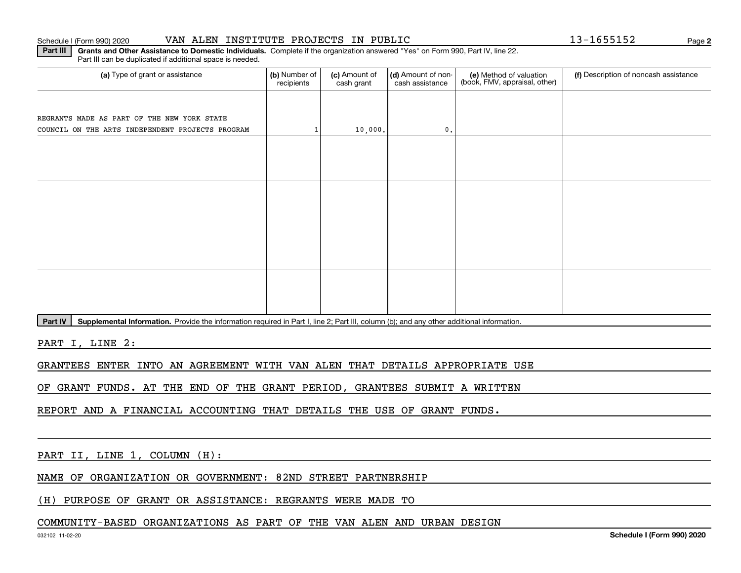#### Schedule I (Form 990) 2020 VAN ALEN INSTITUTE PROJECTS IN PUBLIC 13-1655152 Page

**Part III | Grants and Other Assistance to Domestic Individuals. Complete if the organization answered "Yes" on Form 990, Part IV, line 22.** 

(a) Type of grant or assistance **Audity Commet Audio Commet Commet Commet Commet Commet Commet Commet Commet Comme** Part III can be duplicated if additional space is needed. (e) Method of valuation (book, FMV, appraisal, other) recipients(c) Amount of cash grant (d) Amount of noncash assistance (f) Description of noncash assistance REGRANTS MADE AS PART OF THE NEW YORK STATE COUNCIL ON THE ARTS INDEPENDENT PROJECTS PROGRAM  $1$  10,000.

Part IV | Supplemental Information. Provide the information required in Part I, line 2; Part III, column (b); and any other additional information.

PART I, LINE 2:

GRANTEES ENTER INTO AN AGREEMENT WITH VAN ALEN THAT DETAILS APPROPRIATE USE

OF GRANT FUNDS. AT THE END OF THE GRANT PERIOD, GRANTEES SUBMIT A WRITTEN

REPORT AND A FINANCIAL ACCOUNTING THAT DETAILS THE USE OF GRANT FUNDS.

PART II, LINE 1, COLUMN (H):

NAME OF ORGANIZATION OR GOVERNMENT: 82ND STREET PARTNERSHIP

(H) PURPOSE OF GRANT OR ASSISTANCE: REGRANTS WERE MADE TO

### COMMUNITY-BASED ORGANIZATIONS AS PART OF THE VAN ALEN AND URBAN DESIGN

**2**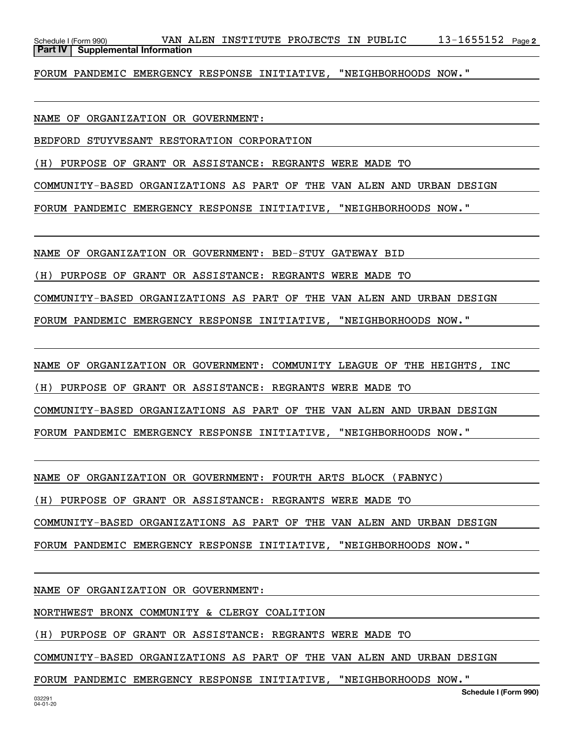13-1655152 Page 2 Schedule I (Form 990) VAN ALEN INSTITUTE PROJECTS IN PUBLIC 13-1655152 Page **Part IV** Supplemental Information

FORUM PANDEMIC EMERGENCY RESPONSE INITIATIVE, "NEIGHBORHOODS NOW."

NAME OF ORGANIZATION OR GOVERNMENT:

BEDFORD STUYVESANT RESTORATION CORPORATION

(H) PURPOSE OF GRANT OR ASSISTANCE: REGRANTS WERE MADE TO

COMMUNITY-BASED ORGANIZATIONS AS PART OF THE VAN ALEN AND URBAN DESIGN

FORUM PANDEMIC EMERGENCY RESPONSE INITIATIVE, "NEIGHBORHOODS NOW."

NAME OF ORGANIZATION OR GOVERNMENT: BED-STUY GATEWAY BID

(H) PURPOSE OF GRANT OR ASSISTANCE: REGRANTS WERE MADE TO

COMMUNITY-BASED ORGANIZATIONS AS PART OF THE VAN ALEN AND URBAN DESIGN

FORUM PANDEMIC EMERGENCY RESPONSE INITIATIVE, "NEIGHBORHOODS NOW."

NAME OF ORGANIZATION OR GOVERNMENT: COMMUNITY LEAGUE OF THE HEIGHTS, INC

(H) PURPOSE OF GRANT OR ASSISTANCE: REGRANTS WERE MADE TO

COMMUNITY-BASED ORGANIZATIONS AS PART OF THE VAN ALEN AND URBAN DESIGN

FORUM PANDEMIC EMERGENCY RESPONSE INITIATIVE, "NEIGHBORHOODS NOW."

NAME OF ORGANIZATION OR GOVERNMENT: FOURTH ARTS BLOCK (FABNYC)

(H) PURPOSE OF GRANT OR ASSISTANCE: REGRANTS WERE MADE TO

COMMUNITY-BASED ORGANIZATIONS AS PART OF THE VAN ALEN AND URBAN DESIGN

FORUM PANDEMIC EMERGENCY RESPONSE INITIATIVE, "NEIGHBORHOODS NOW."

NAME OF ORGANIZATION OR GOVERNMENT:

NORTHWEST BRONX COMMUNITY & CLERGY COALITION

(H) PURPOSE OF GRANT OR ASSISTANCE: REGRANTS WERE MADE TO

COMMUNITY-BASED ORGANIZATIONS AS PART OF THE VAN ALEN AND URBAN DESIGN

FORUM PANDEMIC EMERGENCY RESPONSE INITIATIVE, "NEIGHBORHOODS NOW."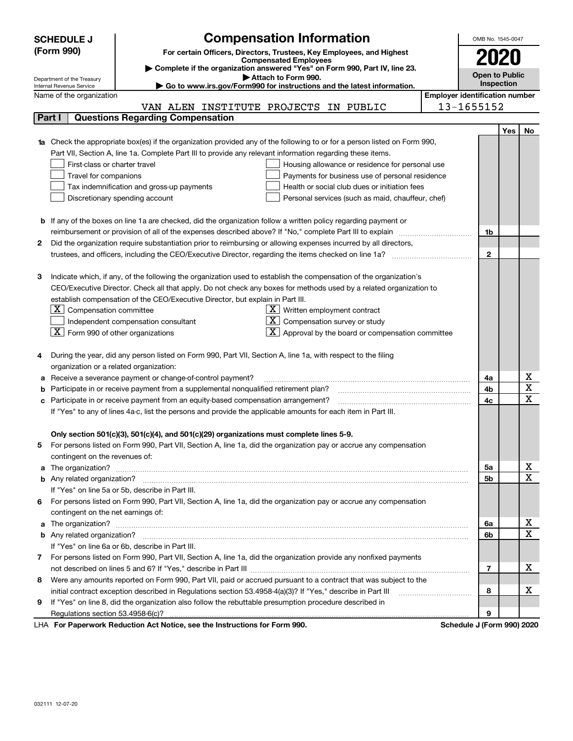|   |                                                                                                                                                                                                                                                                                                                                                                                                                                                                                                                                                                                                                                                                                                                                                                                                                                                                                                                                                                                                                                                                                                                                                                                                                                                                                                                                                                                                                                                                                                                                                                                                                                                                                                                                                                                                                                                                                                                                                                                                                                                                                                                                                                                                                                                                                                                                                                                                                                                                                                                                                                                                                                                                                                                                                                                                                                                                                                                                                               | <b>Compensated Employees</b>                                                                                      |  | 2020 |            |             |  |
|---|---------------------------------------------------------------------------------------------------------------------------------------------------------------------------------------------------------------------------------------------------------------------------------------------------------------------------------------------------------------------------------------------------------------------------------------------------------------------------------------------------------------------------------------------------------------------------------------------------------------------------------------------------------------------------------------------------------------------------------------------------------------------------------------------------------------------------------------------------------------------------------------------------------------------------------------------------------------------------------------------------------------------------------------------------------------------------------------------------------------------------------------------------------------------------------------------------------------------------------------------------------------------------------------------------------------------------------------------------------------------------------------------------------------------------------------------------------------------------------------------------------------------------------------------------------------------------------------------------------------------------------------------------------------------------------------------------------------------------------------------------------------------------------------------------------------------------------------------------------------------------------------------------------------------------------------------------------------------------------------------------------------------------------------------------------------------------------------------------------------------------------------------------------------------------------------------------------------------------------------------------------------------------------------------------------------------------------------------------------------------------------------------------------------------------------------------------------------------------------------------------------------------------------------------------------------------------------------------------------------------------------------------------------------------------------------------------------------------------------------------------------------------------------------------------------------------------------------------------------------------------------------------------------------------------------------------------------------|-------------------------------------------------------------------------------------------------------------------|--|------|------------|-------------|--|
|   |                                                                                                                                                                                                                                                                                                                                                                                                                                                                                                                                                                                                                                                                                                                                                                                                                                                                                                                                                                                                                                                                                                                                                                                                                                                                                                                                                                                                                                                                                                                                                                                                                                                                                                                                                                                                                                                                                                                                                                                                                                                                                                                                                                                                                                                                                                                                                                                                                                                                                                                                                                                                                                                                                                                                                                                                                                                                                                                                                               | Complete if the organization answered "Yes" on Form 990, Part IV, line 23.                                        |  |      |            |             |  |
|   |                                                                                                                                                                                                                                                                                                                                                                                                                                                                                                                                                                                                                                                                                                                                                                                                                                                                                                                                                                                                                                                                                                                                                                                                                                                                                                                                                                                                                                                                                                                                                                                                                                                                                                                                                                                                                                                                                                                                                                                                                                                                                                                                                                                                                                                                                                                                                                                                                                                                                                                                                                                                                                                                                                                                                                                                                                                                                                                                                               |                                                                                                                   |  |      | Inspection |             |  |
|   |                                                                                                                                                                                                                                                                                                                                                                                                                                                                                                                                                                                                                                                                                                                                                                                                                                                                                                                                                                                                                                                                                                                                                                                                                                                                                                                                                                                                                                                                                                                                                                                                                                                                                                                                                                                                                                                                                                                                                                                                                                                                                                                                                                                                                                                                                                                                                                                                                                                                                                                                                                                                                                                                                                                                                                                                                                                                                                                                                               |                                                                                                                   |  |      |            |             |  |
|   |                                                                                                                                                                                                                                                                                                                                                                                                                                                                                                                                                                                                                                                                                                                                                                                                                                                                                                                                                                                                                                                                                                                                                                                                                                                                                                                                                                                                                                                                                                                                                                                                                                                                                                                                                                                                                                                                                                                                                                                                                                                                                                                                                                                                                                                                                                                                                                                                                                                                                                                                                                                                                                                                                                                                                                                                                                                                                                                                                               |                                                                                                                   |  |      |            |             |  |
|   |                                                                                                                                                                                                                                                                                                                                                                                                                                                                                                                                                                                                                                                                                                                                                                                                                                                                                                                                                                                                                                                                                                                                                                                                                                                                                                                                                                                                                                                                                                                                                                                                                                                                                                                                                                                                                                                                                                                                                                                                                                                                                                                                                                                                                                                                                                                                                                                                                                                                                                                                                                                                                                                                                                                                                                                                                                                                                                                                                               |                                                                                                                   |  |      |            |             |  |
|   |                                                                                                                                                                                                                                                                                                                                                                                                                                                                                                                                                                                                                                                                                                                                                                                                                                                                                                                                                                                                                                                                                                                                                                                                                                                                                                                                                                                                                                                                                                                                                                                                                                                                                                                                                                                                                                                                                                                                                                                                                                                                                                                                                                                                                                                                                                                                                                                                                                                                                                                                                                                                                                                                                                                                                                                                                                                                                                                                                               |                                                                                                                   |  |      | Yes        | No          |  |
|   |                                                                                                                                                                                                                                                                                                                                                                                                                                                                                                                                                                                                                                                                                                                                                                                                                                                                                                                                                                                                                                                                                                                                                                                                                                                                                                                                                                                                                                                                                                                                                                                                                                                                                                                                                                                                                                                                                                                                                                                                                                                                                                                                                                                                                                                                                                                                                                                                                                                                                                                                                                                                                                                                                                                                                                                                                                                                                                                                                               |                                                                                                                   |  |      |            |             |  |
|   |                                                                                                                                                                                                                                                                                                                                                                                                                                                                                                                                                                                                                                                                                                                                                                                                                                                                                                                                                                                                                                                                                                                                                                                                                                                                                                                                                                                                                                                                                                                                                                                                                                                                                                                                                                                                                                                                                                                                                                                                                                                                                                                                                                                                                                                                                                                                                                                                                                                                                                                                                                                                                                                                                                                                                                                                                                                                                                                                                               |                                                                                                                   |  |      |            |             |  |
|   |                                                                                                                                                                                                                                                                                                                                                                                                                                                                                                                                                                                                                                                                                                                                                                                                                                                                                                                                                                                                                                                                                                                                                                                                                                                                                                                                                                                                                                                                                                                                                                                                                                                                                                                                                                                                                                                                                                                                                                                                                                                                                                                                                                                                                                                                                                                                                                                                                                                                                                                                                                                                                                                                                                                                                                                                                                                                                                                                                               |                                                                                                                   |  |      |            |             |  |
|   |                                                                                                                                                                                                                                                                                                                                                                                                                                                                                                                                                                                                                                                                                                                                                                                                                                                                                                                                                                                                                                                                                                                                                                                                                                                                                                                                                                                                                                                                                                                                                                                                                                                                                                                                                                                                                                                                                                                                                                                                                                                                                                                                                                                                                                                                                                                                                                                                                                                                                                                                                                                                                                                                                                                                                                                                                                                                                                                                                               |                                                                                                                   |  |      |            |             |  |
|   |                                                                                                                                                                                                                                                                                                                                                                                                                                                                                                                                                                                                                                                                                                                                                                                                                                                                                                                                                                                                                                                                                                                                                                                                                                                                                                                                                                                                                                                                                                                                                                                                                                                                                                                                                                                                                                                                                                                                                                                                                                                                                                                                                                                                                                                                                                                                                                                                                                                                                                                                                                                                                                                                                                                                                                                                                                                                                                                                                               |                                                                                                                   |  |      |            |             |  |
|   |                                                                                                                                                                                                                                                                                                                                                                                                                                                                                                                                                                                                                                                                                                                                                                                                                                                                                                                                                                                                                                                                                                                                                                                                                                                                                                                                                                                                                                                                                                                                                                                                                                                                                                                                                                                                                                                                                                                                                                                                                                                                                                                                                                                                                                                                                                                                                                                                                                                                                                                                                                                                                                                                                                                                                                                                                                                                                                                                                               |                                                                                                                   |  |      |            |             |  |
|   |                                                                                                                                                                                                                                                                                                                                                                                                                                                                                                                                                                                                                                                                                                                                                                                                                                                                                                                                                                                                                                                                                                                                                                                                                                                                                                                                                                                                                                                                                                                                                                                                                                                                                                                                                                                                                                                                                                                                                                                                                                                                                                                                                                                                                                                                                                                                                                                                                                                                                                                                                                                                                                                                                                                                                                                                                                                                                                                                                               |                                                                                                                   |  |      |            |             |  |
|   | <b>Compensation Information</b><br><b>SCHEDULE J</b><br>OMB No. 1545-0047<br>(Form 990)<br>For certain Officers, Directors, Trustees, Key Employees, and Highest<br><b>Open to Public</b><br>Attach to Form 990.<br>Department of the Treasury<br>► Go to www.irs.gov/Form990 for instructions and the latest information.<br>Internal Revenue Service<br><b>Employer identification number</b><br>Name of the organization<br>13-1655152<br>VAN ALEN INSTITUTE PROJECTS IN PUBLIC<br><b>Questions Regarding Compensation</b><br>Part I<br>Check the appropriate box(es) if the organization provided any of the following to or for a person listed on Form 990,<br>Part VII, Section A, line 1a. Complete Part III to provide any relevant information regarding these items.<br>First-class or charter travel<br>Housing allowance or residence for personal use<br>Travel for companions<br>Payments for business use of personal residence<br>Tax indemnification and gross-up payments<br>Health or social club dues or initiation fees<br>Discretionary spending account<br>Personal services (such as maid, chauffeur, chef)<br><b>b</b> If any of the boxes on line 1a are checked, did the organization follow a written policy regarding payment or<br>reimbursement or provision of all of the expenses described above? If "No," complete Part III to explain<br>1b<br>Did the organization require substantiation prior to reimbursing or allowing expenses incurred by all directors,<br>2<br>$\mathbf{2}$<br>Indicate which, if any, of the following the organization used to establish the compensation of the organization's<br>з<br>CEO/Executive Director. Check all that apply. Do not check any boxes for methods used by a related organization to<br>establish compensation of the CEO/Executive Director, but explain in Part III.<br>$\boxed{\textbf{X}}$ Compensation committee<br>$X$ Written employment contract<br>$\overline{X}$ Compensation survey or study<br>Independent compensation consultant<br>$\boxed{\textbf{X}}$ Form 990 of other organizations<br>$\boxed{\text{X}}$ Approval by the board or compensation committee<br>During the year, did any person listed on Form 990, Part VII, Section A, line 1a, with respect to the filing<br>4<br>organization or a related organization:<br>Receive a severance payment or change-of-control payment?<br>а<br>Participate in or receive payment from a supplemental nonqualified retirement plan?<br>b<br>Participate in or receive payment from an equity-based compensation arrangement?<br>If "Yes" to any of lines 4a-c, list the persons and provide the applicable amounts for each item in Part III.<br>Only section 501(c)(3), 501(c)(4), and 501(c)(29) organizations must complete lines 5-9.<br>For persons listed on Form 990, Part VII, Section A, line 1a, did the organization pay or accrue any compensation<br>contingent on the revenues of:<br>a |                                                                                                                   |  |      |            |             |  |
|   |                                                                                                                                                                                                                                                                                                                                                                                                                                                                                                                                                                                                                                                                                                                                                                                                                                                                                                                                                                                                                                                                                                                                                                                                                                                                                                                                                                                                                                                                                                                                                                                                                                                                                                                                                                                                                                                                                                                                                                                                                                                                                                                                                                                                                                                                                                                                                                                                                                                                                                                                                                                                                                                                                                                                                                                                                                                                                                                                                               |                                                                                                                   |  |      |            |             |  |
|   |                                                                                                                                                                                                                                                                                                                                                                                                                                                                                                                                                                                                                                                                                                                                                                                                                                                                                                                                                                                                                                                                                                                                                                                                                                                                                                                                                                                                                                                                                                                                                                                                                                                                                                                                                                                                                                                                                                                                                                                                                                                                                                                                                                                                                                                                                                                                                                                                                                                                                                                                                                                                                                                                                                                                                                                                                                                                                                                                                               |                                                                                                                   |  |      |            |             |  |
|   |                                                                                                                                                                                                                                                                                                                                                                                                                                                                                                                                                                                                                                                                                                                                                                                                                                                                                                                                                                                                                                                                                                                                                                                                                                                                                                                                                                                                                                                                                                                                                                                                                                                                                                                                                                                                                                                                                                                                                                                                                                                                                                                                                                                                                                                                                                                                                                                                                                                                                                                                                                                                                                                                                                                                                                                                                                                                                                                                                               |                                                                                                                   |  |      |            |             |  |
|   |                                                                                                                                                                                                                                                                                                                                                                                                                                                                                                                                                                                                                                                                                                                                                                                                                                                                                                                                                                                                                                                                                                                                                                                                                                                                                                                                                                                                                                                                                                                                                                                                                                                                                                                                                                                                                                                                                                                                                                                                                                                                                                                                                                                                                                                                                                                                                                                                                                                                                                                                                                                                                                                                                                                                                                                                                                                                                                                                                               |                                                                                                                   |  |      |            |             |  |
|   |                                                                                                                                                                                                                                                                                                                                                                                                                                                                                                                                                                                                                                                                                                                                                                                                                                                                                                                                                                                                                                                                                                                                                                                                                                                                                                                                                                                                                                                                                                                                                                                                                                                                                                                                                                                                                                                                                                                                                                                                                                                                                                                                                                                                                                                                                                                                                                                                                                                                                                                                                                                                                                                                                                                                                                                                                                                                                                                                                               |                                                                                                                   |  |      |            |             |  |
|   |                                                                                                                                                                                                                                                                                                                                                                                                                                                                                                                                                                                                                                                                                                                                                                                                                                                                                                                                                                                                                                                                                                                                                                                                                                                                                                                                                                                                                                                                                                                                                                                                                                                                                                                                                                                                                                                                                                                                                                                                                                                                                                                                                                                                                                                                                                                                                                                                                                                                                                                                                                                                                                                                                                                                                                                                                                                                                                                                                               |                                                                                                                   |  |      |            |             |  |
|   |                                                                                                                                                                                                                                                                                                                                                                                                                                                                                                                                                                                                                                                                                                                                                                                                                                                                                                                                                                                                                                                                                                                                                                                                                                                                                                                                                                                                                                                                                                                                                                                                                                                                                                                                                                                                                                                                                                                                                                                                                                                                                                                                                                                                                                                                                                                                                                                                                                                                                                                                                                                                                                                                                                                                                                                                                                                                                                                                                               |                                                                                                                   |  |      |            |             |  |
|   |                                                                                                                                                                                                                                                                                                                                                                                                                                                                                                                                                                                                                                                                                                                                                                                                                                                                                                                                                                                                                                                                                                                                                                                                                                                                                                                                                                                                                                                                                                                                                                                                                                                                                                                                                                                                                                                                                                                                                                                                                                                                                                                                                                                                                                                                                                                                                                                                                                                                                                                                                                                                                                                                                                                                                                                                                                                                                                                                                               |                                                                                                                   |  |      |            |             |  |
|   |                                                                                                                                                                                                                                                                                                                                                                                                                                                                                                                                                                                                                                                                                                                                                                                                                                                                                                                                                                                                                                                                                                                                                                                                                                                                                                                                                                                                                                                                                                                                                                                                                                                                                                                                                                                                                                                                                                                                                                                                                                                                                                                                                                                                                                                                                                                                                                                                                                                                                                                                                                                                                                                                                                                                                                                                                                                                                                                                                               |                                                                                                                   |  |      |            |             |  |
|   |                                                                                                                                                                                                                                                                                                                                                                                                                                                                                                                                                                                                                                                                                                                                                                                                                                                                                                                                                                                                                                                                                                                                                                                                                                                                                                                                                                                                                                                                                                                                                                                                                                                                                                                                                                                                                                                                                                                                                                                                                                                                                                                                                                                                                                                                                                                                                                                                                                                                                                                                                                                                                                                                                                                                                                                                                                                                                                                                                               |                                                                                                                   |  |      |            |             |  |
|   |                                                                                                                                                                                                                                                                                                                                                                                                                                                                                                                                                                                                                                                                                                                                                                                                                                                                                                                                                                                                                                                                                                                                                                                                                                                                                                                                                                                                                                                                                                                                                                                                                                                                                                                                                                                                                                                                                                                                                                                                                                                                                                                                                                                                                                                                                                                                                                                                                                                                                                                                                                                                                                                                                                                                                                                                                                                                                                                                                               |                                                                                                                   |  |      |            |             |  |
|   |                                                                                                                                                                                                                                                                                                                                                                                                                                                                                                                                                                                                                                                                                                                                                                                                                                                                                                                                                                                                                                                                                                                                                                                                                                                                                                                                                                                                                                                                                                                                                                                                                                                                                                                                                                                                                                                                                                                                                                                                                                                                                                                                                                                                                                                                                                                                                                                                                                                                                                                                                                                                                                                                                                                                                                                                                                                                                                                                                               |                                                                                                                   |  |      |            |             |  |
|   |                                                                                                                                                                                                                                                                                                                                                                                                                                                                                                                                                                                                                                                                                                                                                                                                                                                                                                                                                                                                                                                                                                                                                                                                                                                                                                                                                                                                                                                                                                                                                                                                                                                                                                                                                                                                                                                                                                                                                                                                                                                                                                                                                                                                                                                                                                                                                                                                                                                                                                                                                                                                                                                                                                                                                                                                                                                                                                                                                               |                                                                                                                   |  |      |            |             |  |
|   |                                                                                                                                                                                                                                                                                                                                                                                                                                                                                                                                                                                                                                                                                                                                                                                                                                                                                                                                                                                                                                                                                                                                                                                                                                                                                                                                                                                                                                                                                                                                                                                                                                                                                                                                                                                                                                                                                                                                                                                                                                                                                                                                                                                                                                                                                                                                                                                                                                                                                                                                                                                                                                                                                                                                                                                                                                                                                                                                                               |                                                                                                                   |  | 4a   |            | х           |  |
|   |                                                                                                                                                                                                                                                                                                                                                                                                                                                                                                                                                                                                                                                                                                                                                                                                                                                                                                                                                                                                                                                                                                                                                                                                                                                                                                                                                                                                                                                                                                                                                                                                                                                                                                                                                                                                                                                                                                                                                                                                                                                                                                                                                                                                                                                                                                                                                                                                                                                                                                                                                                                                                                                                                                                                                                                                                                                                                                                                                               |                                                                                                                   |  | 4b   |            | X           |  |
|   |                                                                                                                                                                                                                                                                                                                                                                                                                                                                                                                                                                                                                                                                                                                                                                                                                                                                                                                                                                                                                                                                                                                                                                                                                                                                                                                                                                                                                                                                                                                                                                                                                                                                                                                                                                                                                                                                                                                                                                                                                                                                                                                                                                                                                                                                                                                                                                                                                                                                                                                                                                                                                                                                                                                                                                                                                                                                                                                                                               |                                                                                                                   |  | 4c   |            | $\mathbf X$ |  |
|   |                                                                                                                                                                                                                                                                                                                                                                                                                                                                                                                                                                                                                                                                                                                                                                                                                                                                                                                                                                                                                                                                                                                                                                                                                                                                                                                                                                                                                                                                                                                                                                                                                                                                                                                                                                                                                                                                                                                                                                                                                                                                                                                                                                                                                                                                                                                                                                                                                                                                                                                                                                                                                                                                                                                                                                                                                                                                                                                                                               |                                                                                                                   |  |      |            |             |  |
|   |                                                                                                                                                                                                                                                                                                                                                                                                                                                                                                                                                                                                                                                                                                                                                                                                                                                                                                                                                                                                                                                                                                                                                                                                                                                                                                                                                                                                                                                                                                                                                                                                                                                                                                                                                                                                                                                                                                                                                                                                                                                                                                                                                                                                                                                                                                                                                                                                                                                                                                                                                                                                                                                                                                                                                                                                                                                                                                                                                               |                                                                                                                   |  |      |            |             |  |
|   |                                                                                                                                                                                                                                                                                                                                                                                                                                                                                                                                                                                                                                                                                                                                                                                                                                                                                                                                                                                                                                                                                                                                                                                                                                                                                                                                                                                                                                                                                                                                                                                                                                                                                                                                                                                                                                                                                                                                                                                                                                                                                                                                                                                                                                                                                                                                                                                                                                                                                                                                                                                                                                                                                                                                                                                                                                                                                                                                                               |                                                                                                                   |  |      |            |             |  |
| 5 |                                                                                                                                                                                                                                                                                                                                                                                                                                                                                                                                                                                                                                                                                                                                                                                                                                                                                                                                                                                                                                                                                                                                                                                                                                                                                                                                                                                                                                                                                                                                                                                                                                                                                                                                                                                                                                                                                                                                                                                                                                                                                                                                                                                                                                                                                                                                                                                                                                                                                                                                                                                                                                                                                                                                                                                                                                                                                                                                                               |                                                                                                                   |  |      |            |             |  |
|   |                                                                                                                                                                                                                                                                                                                                                                                                                                                                                                                                                                                                                                                                                                                                                                                                                                                                                                                                                                                                                                                                                                                                                                                                                                                                                                                                                                                                                                                                                                                                                                                                                                                                                                                                                                                                                                                                                                                                                                                                                                                                                                                                                                                                                                                                                                                                                                                                                                                                                                                                                                                                                                                                                                                                                                                                                                                                                                                                                               |                                                                                                                   |  |      |            |             |  |
|   |                                                                                                                                                                                                                                                                                                                                                                                                                                                                                                                                                                                                                                                                                                                                                                                                                                                                                                                                                                                                                                                                                                                                                                                                                                                                                                                                                                                                                                                                                                                                                                                                                                                                                                                                                                                                                                                                                                                                                                                                                                                                                                                                                                                                                                                                                                                                                                                                                                                                                                                                                                                                                                                                                                                                                                                                                                                                                                                                                               |                                                                                                                   |  | 5a   |            | х           |  |
|   |                                                                                                                                                                                                                                                                                                                                                                                                                                                                                                                                                                                                                                                                                                                                                                                                                                                                                                                                                                                                                                                                                                                                                                                                                                                                                                                                                                                                                                                                                                                                                                                                                                                                                                                                                                                                                                                                                                                                                                                                                                                                                                                                                                                                                                                                                                                                                                                                                                                                                                                                                                                                                                                                                                                                                                                                                                                                                                                                                               |                                                                                                                   |  | 5b   |            | X           |  |
|   |                                                                                                                                                                                                                                                                                                                                                                                                                                                                                                                                                                                                                                                                                                                                                                                                                                                                                                                                                                                                                                                                                                                                                                                                                                                                                                                                                                                                                                                                                                                                                                                                                                                                                                                                                                                                                                                                                                                                                                                                                                                                                                                                                                                                                                                                                                                                                                                                                                                                                                                                                                                                                                                                                                                                                                                                                                                                                                                                                               | If "Yes" on line 5a or 5b, describe in Part III.                                                                  |  |      |            |             |  |
| 6 |                                                                                                                                                                                                                                                                                                                                                                                                                                                                                                                                                                                                                                                                                                                                                                                                                                                                                                                                                                                                                                                                                                                                                                                                                                                                                                                                                                                                                                                                                                                                                                                                                                                                                                                                                                                                                                                                                                                                                                                                                                                                                                                                                                                                                                                                                                                                                                                                                                                                                                                                                                                                                                                                                                                                                                                                                                                                                                                                                               | For persons listed on Form 990, Part VII, Section A, line 1a, did the organization pay or accrue any compensation |  |      |            |             |  |
|   | contingent on the net earnings of:                                                                                                                                                                                                                                                                                                                                                                                                                                                                                                                                                                                                                                                                                                                                                                                                                                                                                                                                                                                                                                                                                                                                                                                                                                                                                                                                                                                                                                                                                                                                                                                                                                                                                                                                                                                                                                                                                                                                                                                                                                                                                                                                                                                                                                                                                                                                                                                                                                                                                                                                                                                                                                                                                                                                                                                                                                                                                                                            |                                                                                                                   |  |      |            |             |  |
| a |                                                                                                                                                                                                                                                                                                                                                                                                                                                                                                                                                                                                                                                                                                                                                                                                                                                                                                                                                                                                                                                                                                                                                                                                                                                                                                                                                                                                                                                                                                                                                                                                                                                                                                                                                                                                                                                                                                                                                                                                                                                                                                                                                                                                                                                                                                                                                                                                                                                                                                                                                                                                                                                                                                                                                                                                                                                                                                                                                               | The organization? <b>With the organization? With the organization?</b>                                            |  | 6a   |            | х           |  |
|   |                                                                                                                                                                                                                                                                                                                                                                                                                                                                                                                                                                                                                                                                                                                                                                                                                                                                                                                                                                                                                                                                                                                                                                                                                                                                                                                                                                                                                                                                                                                                                                                                                                                                                                                                                                                                                                                                                                                                                                                                                                                                                                                                                                                                                                                                                                                                                                                                                                                                                                                                                                                                                                                                                                                                                                                                                                                                                                                                                               |                                                                                                                   |  | 6b   |            | $\mathbf X$ |  |
|   |                                                                                                                                                                                                                                                                                                                                                                                                                                                                                                                                                                                                                                                                                                                                                                                                                                                                                                                                                                                                                                                                                                                                                                                                                                                                                                                                                                                                                                                                                                                                                                                                                                                                                                                                                                                                                                                                                                                                                                                                                                                                                                                                                                                                                                                                                                                                                                                                                                                                                                                                                                                                                                                                                                                                                                                                                                                                                                                                                               | If "Yes" on line 6a or 6b, describe in Part III.                                                                  |  |      |            |             |  |
| 7 |                                                                                                                                                                                                                                                                                                                                                                                                                                                                                                                                                                                                                                                                                                                                                                                                                                                                                                                                                                                                                                                                                                                                                                                                                                                                                                                                                                                                                                                                                                                                                                                                                                                                                                                                                                                                                                                                                                                                                                                                                                                                                                                                                                                                                                                                                                                                                                                                                                                                                                                                                                                                                                                                                                                                                                                                                                                                                                                                                               | For persons listed on Form 990, Part VII, Section A, line 1a, did the organization provide any nonfixed payments  |  |      |            |             |  |
|   |                                                                                                                                                                                                                                                                                                                                                                                                                                                                                                                                                                                                                                                                                                                                                                                                                                                                                                                                                                                                                                                                                                                                                                                                                                                                                                                                                                                                                                                                                                                                                                                                                                                                                                                                                                                                                                                                                                                                                                                                                                                                                                                                                                                                                                                                                                                                                                                                                                                                                                                                                                                                                                                                                                                                                                                                                                                                                                                                                               |                                                                                                                   |  | 7    |            | х           |  |
| 8 |                                                                                                                                                                                                                                                                                                                                                                                                                                                                                                                                                                                                                                                                                                                                                                                                                                                                                                                                                                                                                                                                                                                                                                                                                                                                                                                                                                                                                                                                                                                                                                                                                                                                                                                                                                                                                                                                                                                                                                                                                                                                                                                                                                                                                                                                                                                                                                                                                                                                                                                                                                                                                                                                                                                                                                                                                                                                                                                                                               | Were any amounts reported on Form 990, Part VII, paid or accrued pursuant to a contract that was subject to the   |  |      |            |             |  |
|   |                                                                                                                                                                                                                                                                                                                                                                                                                                                                                                                                                                                                                                                                                                                                                                                                                                                                                                                                                                                                                                                                                                                                                                                                                                                                                                                                                                                                                                                                                                                                                                                                                                                                                                                                                                                                                                                                                                                                                                                                                                                                                                                                                                                                                                                                                                                                                                                                                                                                                                                                                                                                                                                                                                                                                                                                                                                                                                                                                               | initial contract exception described in Regulations section 53.4958-4(a)(3)? If "Yes," describe in Part III       |  | 8    |            | х           |  |
| 9 |                                                                                                                                                                                                                                                                                                                                                                                                                                                                                                                                                                                                                                                                                                                                                                                                                                                                                                                                                                                                                                                                                                                                                                                                                                                                                                                                                                                                                                                                                                                                                                                                                                                                                                                                                                                                                                                                                                                                                                                                                                                                                                                                                                                                                                                                                                                                                                                                                                                                                                                                                                                                                                                                                                                                                                                                                                                                                                                                                               | If "Yes" on line 8, did the organization also follow the rebuttable presumption procedure described in            |  |      |            |             |  |
|   |                                                                                                                                                                                                                                                                                                                                                                                                                                                                                                                                                                                                                                                                                                                                                                                                                                                                                                                                                                                                                                                                                                                                                                                                                                                                                                                                                                                                                                                                                                                                                                                                                                                                                                                                                                                                                                                                                                                                                                                                                                                                                                                                                                                                                                                                                                                                                                                                                                                                                                                                                                                                                                                                                                                                                                                                                                                                                                                                                               |                                                                                                                   |  | 9    |            |             |  |
|   |                                                                                                                                                                                                                                                                                                                                                                                                                                                                                                                                                                                                                                                                                                                                                                                                                                                                                                                                                                                                                                                                                                                                                                                                                                                                                                                                                                                                                                                                                                                                                                                                                                                                                                                                                                                                                                                                                                                                                                                                                                                                                                                                                                                                                                                                                                                                                                                                                                                                                                                                                                                                                                                                                                                                                                                                                                                                                                                                                               |                                                                                                                   |  |      |            |             |  |

LHA For Paperwork Reduction Act Notice, see the Instructions for Form 990. Schedule J (Form 990) 2020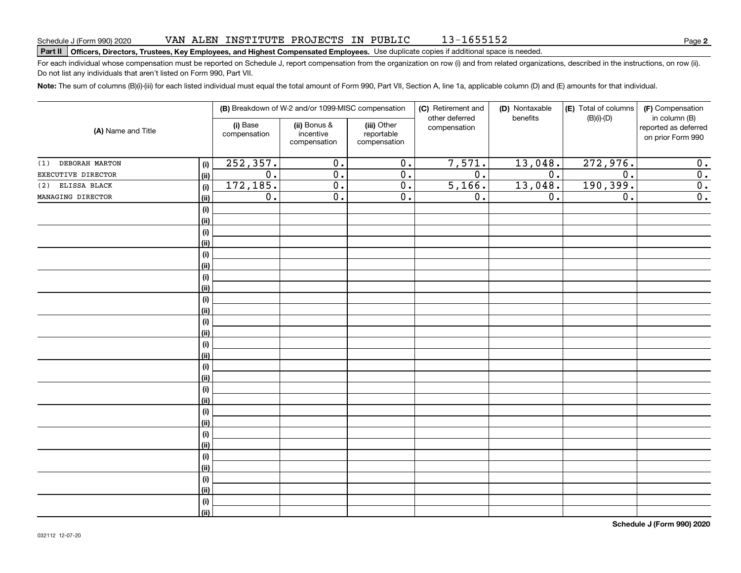# **Part II Officers, Directors, Trustees, Key Employees, and Highest Compensated Employees.**  Schedule J (Form 990) 2020 Page Use duplicate copies if additional space is needed.

For each individual whose compensation must be reported on Schedule J, report compensation from the organization on row (i) and from related organizations, described in the instructions, on row (ii). Do not list any individuals that aren't listed on Form 990, Part VII.

13-1655152

**Note:**  The sum of columns (B)(i)-(iii) for each listed individual must equal the total amount of Form 990, Part VII, Section A, line 1a, applicable column (D) and (E) amounts for that individual.

|                    |            |                          | (B) Breakdown of W-2 and/or 1099-MISC compensation |                                           | (C) Retirement and<br>other deferred | (D) Nontaxable   | (E) Total of columns | (F) Compensation                                           |
|--------------------|------------|--------------------------|----------------------------------------------------|-------------------------------------------|--------------------------------------|------------------|----------------------|------------------------------------------------------------|
| (A) Name and Title |            | (i) Base<br>compensation | (ii) Bonus &<br>incentive<br>compensation          | (iii) Other<br>reportable<br>compensation | compensation                         | benefits         | $(B)(i)-(D)$         | in column (B)<br>reported as deferred<br>on prior Form 990 |
| (1) DEBORAH MARTON | $(\sf{i})$ | 252,357.                 | $\overline{0}$ .                                   | $\overline{0}$ .                          | 7,571.                               | 13,048.          | 272,976.             | 0.                                                         |
| EXECUTIVE DIRECTOR | (ii)       | $\overline{0}$ .         | $\overline{0}$ .                                   | $\overline{0}$ .                          | $\overline{0}$ .                     | $\overline{0}$ . | 0.                   | $\overline{0}$ .                                           |
| (2) ELISSA BLACK   | $(\sf{i})$ | 172,185.                 | $\overline{0}$ .                                   | $\overline{0}$ .                          | 5,166.                               | 13,048.          | 190,399.             | $\overline{0}$ .                                           |
| MANAGING DIRECTOR  | (ii)       | $\overline{0}$ .         | $\overline{0}$ .                                   | $\overline{0}$ .                          | $\mathbf 0$ .                        | $\overline{0}$ . | $\mathbf 0$ .        | $\overline{0}$ .                                           |
|                    | (i)        |                          |                                                    |                                           |                                      |                  |                      |                                                            |
|                    | (ii)       |                          |                                                    |                                           |                                      |                  |                      |                                                            |
|                    | (i)        |                          |                                                    |                                           |                                      |                  |                      |                                                            |
|                    | (ii)       |                          |                                                    |                                           |                                      |                  |                      |                                                            |
|                    | (i)        |                          |                                                    |                                           |                                      |                  |                      |                                                            |
|                    | (ii)       |                          |                                                    |                                           |                                      |                  |                      |                                                            |
|                    | (i)        |                          |                                                    |                                           |                                      |                  |                      |                                                            |
|                    | (ii)       |                          |                                                    |                                           |                                      |                  |                      |                                                            |
|                    | (i)        |                          |                                                    |                                           |                                      |                  |                      |                                                            |
|                    | (ii)       |                          |                                                    |                                           |                                      |                  |                      |                                                            |
|                    | (i)        |                          |                                                    |                                           |                                      |                  |                      |                                                            |
|                    | (ii)       |                          |                                                    |                                           |                                      |                  |                      |                                                            |
|                    | (i)        |                          |                                                    |                                           |                                      |                  |                      |                                                            |
|                    | (ii)       |                          |                                                    |                                           |                                      |                  |                      |                                                            |
|                    | (i)        |                          |                                                    |                                           |                                      |                  |                      |                                                            |
|                    | (ii)       |                          |                                                    |                                           |                                      |                  |                      |                                                            |
|                    | (i)        |                          |                                                    |                                           |                                      |                  |                      |                                                            |
|                    | (ii)       |                          |                                                    |                                           |                                      |                  |                      |                                                            |
|                    | (i)        |                          |                                                    |                                           |                                      |                  |                      |                                                            |
|                    | (ii)       |                          |                                                    |                                           |                                      |                  |                      |                                                            |
|                    | (i)        |                          |                                                    |                                           |                                      |                  |                      |                                                            |
|                    | (ii)       |                          |                                                    |                                           |                                      |                  |                      |                                                            |
|                    | (i)        |                          |                                                    |                                           |                                      |                  |                      |                                                            |
|                    | (ii)       |                          |                                                    |                                           |                                      |                  |                      |                                                            |
|                    | (i)        |                          |                                                    |                                           |                                      |                  |                      |                                                            |
|                    | (ii)       |                          |                                                    |                                           |                                      |                  |                      |                                                            |
|                    | (i)        |                          |                                                    |                                           |                                      |                  |                      |                                                            |
|                    | (ii)       |                          |                                                    |                                           |                                      |                  |                      |                                                            |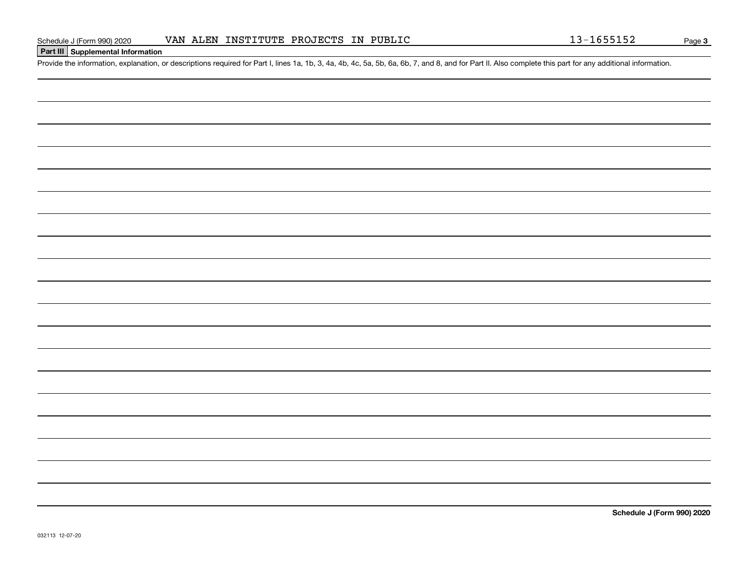### **Part III Supplemental Information**

Schedule J (Form 990) 2020 VAN ALEN INSTITUTE PROJECTS IN PUBLIC<br>Part III Supplemental Information<br>Provide the information, explanation, or descriptions required for Part I, lines 1a, 1b, 3, 4a, 4b, 4c, 5a, 5b, 6a, 6b, 7,

**Schedule J (Form 990) 2020**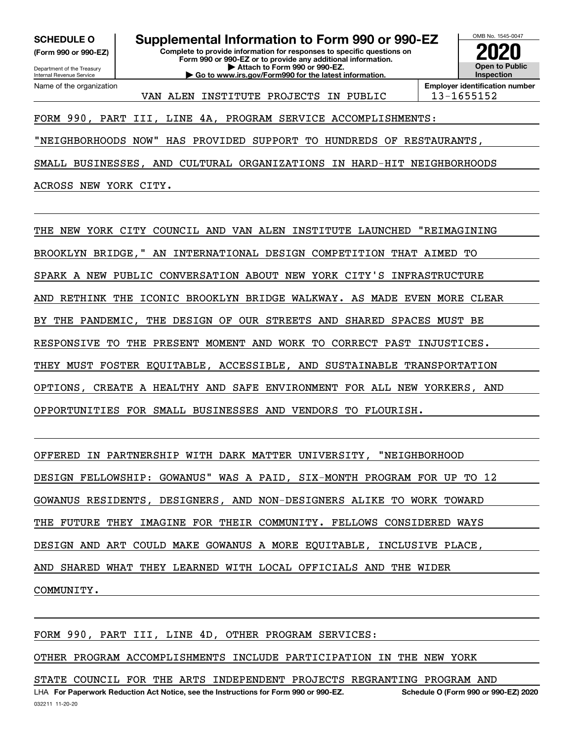**(Form 990 or 990-EZ)**

Department of the Treasury Internal Revenue Service Name of the organization

**Complete to provide information for responses to specific questions on Form 990 or 990-EZ or to provide any additional information. | Attach to Form 990 or 990-EZ. | Go to www.irs.gov/Form990 for the latest information. SCHEDULE O Supplemental Information to Form 990 or 990-EZ**



VAN ALEN INSTITUTE PROJECTS IN PUBLIC | 13-1655152

**Employer identification number**

### FORM 990, PART III, LINE 4A, PROGRAM SERVICE ACCOMPLISHMENTS:

"NEIGHBORHOODS NOW" HAS PROVIDED SUPPORT TO HUNDREDS OF RESTAURANTS,

SMALL BUSINESSES, AND CULTURAL ORGANIZATIONS IN HARD-HIT NEIGHBORHOODS

ACROSS NEW YORK CITY.

THE NEW YORK CITY COUNCIL AND VAN ALEN INSTITUTE LAUNCHED "REIMAGINING BROOKLYN BRIDGE," AN INTERNATIONAL DESIGN COMPETITION THAT AIMED TO SPARK A NEW PUBLIC CONVERSATION ABOUT NEW YORK CITY'S INFRASTRUCTURE AND RETHINK THE ICONIC BROOKLYN BRIDGE WALKWAY. AS MADE EVEN MORE CLEAR BY THE PANDEMIC, THE DESIGN OF OUR STREETS AND SHARED SPACES MUST BE RESPONSIVE TO THE PRESENT MOMENT AND WORK TO CORRECT PAST INJUSTICES. THEY MUST FOSTER EQUITABLE, ACCESSIBLE, AND SUSTAINABLE TRANSPORTATION OPTIONS, CREATE A HEALTHY AND SAFE ENVIRONMENT FOR ALL NEW YORKERS, AND OPPORTUNITIES FOR SMALL BUSINESSES AND VENDORS TO FLOURISH.

OFFERED IN PARTNERSHIP WITH DARK MATTER UNIVERSITY, "NEIGHBORHOOD

DESIGN FELLOWSHIP: GOWANUS" WAS A PAID, SIX-MONTH PROGRAM FOR UP TO 12

GOWANUS RESIDENTS, DESIGNERS, AND NON-DESIGNERS ALIKE TO WORK TOWARD

THE FUTURE THEY IMAGINE FOR THEIR COMMUNITY. FELLOWS CONSIDERED WAYS

DESIGN AND ART COULD MAKE GOWANUS A MORE EQUITABLE, INCLUSIVE PLACE,

AND SHARED WHAT THEY LEARNED WITH LOCAL OFFICIALS AND THE WIDER

COMMUNITY.

FORM 990, PART III, LINE 4D, OTHER PROGRAM SERVICES:

OTHER PROGRAM ACCOMPLISHMENTS INCLUDE PARTICIPATION IN THE NEW YORK

STATE COUNCIL FOR THE ARTS INDEPENDENT PROJECTS REGRANTING PROGRAM AND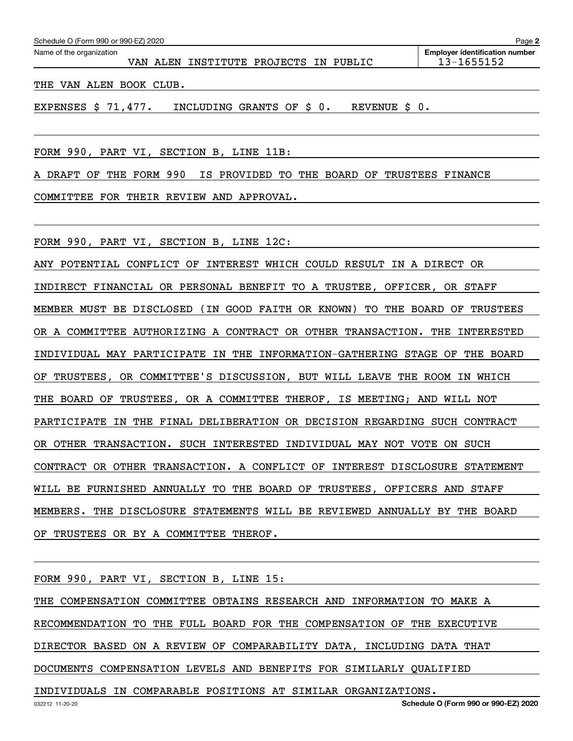| Schedule O (Form 990 or 990-EZ) 2020<br>Page 2                                                                                                                                                                                                                                                                                                                                       |                                       |  |                                       |  |  |  |  |            |  |  |  |  |  |
|--------------------------------------------------------------------------------------------------------------------------------------------------------------------------------------------------------------------------------------------------------------------------------------------------------------------------------------------------------------------------------------|---------------------------------------|--|---------------------------------------|--|--|--|--|------------|--|--|--|--|--|
| Name of the organization                                                                                                                                                                                                                                                                                                                                                             | <b>Employer identification number</b> |  |                                       |  |  |  |  |            |  |  |  |  |  |
|                                                                                                                                                                                                                                                                                                                                                                                      |                                       |  | VAN ALEN INSTITUTE PROJECTS IN PUBLIC |  |  |  |  | 13-1655152 |  |  |  |  |  |
| $\overline{1}$ $\overline{1}$ $\overline{1}$ $\overline{1}$ $\overline{1}$ $\overline{1}$ $\overline{1}$ $\overline{1}$ $\overline{1}$ $\overline{1}$ $\overline{1}$ $\overline{1}$ $\overline{1}$ $\overline{1}$ $\overline{1}$ $\overline{1}$ $\overline{1}$ $\overline{1}$ $\overline{1}$ $\overline{1}$ $\overline{1}$ $\overline{1}$ $\overline{1}$ $\overline{1}$ $\overline{$ |                                       |  |                                       |  |  |  |  |            |  |  |  |  |  |

THE VAN ALEN BOOK CLUB.

EXPENSES \$ 71,477. INCLUDING GRANTS OF \$ 0. REVENUE \$ 0.

FORM 990, PART VI, SECTION B, LINE 11B:

A DRAFT OF THE FORM 990 IS PROVIDED TO THE BOARD OF TRUSTEES FINANCE

COMMITTEE FOR THEIR REVIEW AND APPROVAL.

FORM 990, PART VI, SECTION B, LINE 12C:

ANY POTENTIAL CONFLICT OF INTEREST WHICH COULD RESULT IN A DIRECT OR INDIRECT FINANCIAL OR PERSONAL BENEFIT TO A TRUSTEE, OFFICER, OR STAFF MEMBER MUST BE DISCLOSED (IN GOOD FAITH OR KNOWN) TO THE BOARD OF TRUSTEES OR A COMMITTEE AUTHORIZING A CONTRACT OR OTHER TRANSACTION. THE INTERESTED INDIVIDUAL MAY PARTICIPATE IN THE INFORMATION-GATHERING STAGE OF THE BOARD OF TRUSTEES, OR COMMITTEE'S DISCUSSION, BUT WILL LEAVE THE ROOM IN WHICH THE BOARD OF TRUSTEES, OR A COMMITTEE THEROF, IS MEETING; AND WILL NOT PARTICIPATE IN THE FINAL DELIBERATION OR DECISION REGARDING SUCH CONTRACT OR OTHER TRANSACTION. SUCH INTERESTED INDIVIDUAL MAY NOT VOTE ON SUCH CONTRACT OR OTHER TRANSACTION. A CONFLICT OF INTEREST DISCLOSURE STATEMENT WILL BE FURNISHED ANNUALLY TO THE BOARD OF TRUSTEES, OFFICERS AND STAFF MEMBERS. THE DISCLOSURE STATEMENTS WILL BE REVIEWED ANNUALLY BY THE BOARD OF TRUSTEES OR BY A COMMITTEE THEROF.

FORM 990, PART VI, SECTION B, LINE 15:

THE COMPENSATION COMMITTEE OBTAINS RESEARCH AND INFORMATION TO MAKE A RECOMMENDATION TO THE FULL BOARD FOR THE COMPENSATION OF THE EXECUTIVE DIRECTOR BASED ON A REVIEW OF COMPARABILITY DATA, INCLUDING DATA THAT DOCUMENTS COMPENSATION LEVELS AND BENEFITS FOR SIMILARLY QUALIFIED

INDIVIDUALS IN COMPARABLE POSITIONS AT SIMILAR ORGANIZATIONS.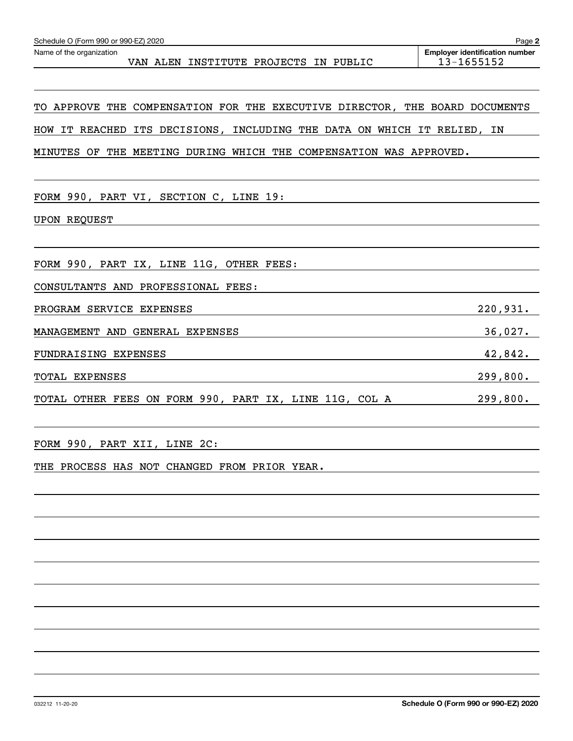| Schedule O (Form 990 or 990-EZ) 2020<br>Page 2 |  |                              |  |  |  |                                                     |  |  |  |  |
|------------------------------------------------|--|------------------------------|--|--|--|-----------------------------------------------------|--|--|--|--|
| Name of the organization<br>VAN ALEN           |  | INSTITUTE PROJECTS IN PUBLIC |  |  |  | <b>Employer identification number</b><br>13-1655152 |  |  |  |  |
|                                                |  |                              |  |  |  |                                                     |  |  |  |  |

# TO APPROVE THE COMPENSATION FOR THE EXECUTIVE DIRECTOR, THE BOARD DOCUMENTS HOW IT REACHED ITS DECISIONS, INCLUDING THE DATA ON WHICH IT RELIED, IN

MINUTES OF THE MEETING DURING WHICH THE COMPENSATION WAS APPROVED.

FORM 990, PART VI, SECTION C, LINE 19:

UPON REQUEST

FORM 990, PART IX, LINE 11G, OTHER FEES:

CONSULTANTS AND PROFESSIONAL FEES:

PROGRAM SERVICE EXPENSES 220,931.

MANAGEMENT AND GENERAL EXPENSES 36,027.

FUNDRAISING EXPENSES 42,842.

TOTAL EXPENSES 299,800.

TOTAL OTHER FEES ON FORM 990, PART IX, LINE 11G, COL A 299,800.

FORM 990, PART XII, LINE 2C:

THE PROCESS HAS NOT CHANGED FROM PRIOR YEAR.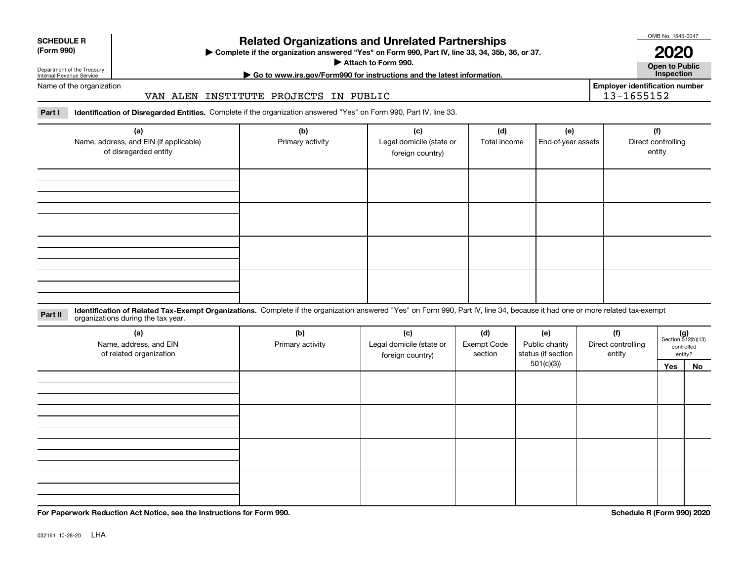| <b>SCHEDULE R</b>             |  |
|-------------------------------|--|
| $\cdots$ $\sim$<br>$\sqrt{2}$ |  |

#### **(Form 990)**

## **Related Organizations and Unrelated Partnerships**

**Complete if the organization answered "Yes" on Form 990, Part IV, line 33, 34, 35b, 36, or 37.** |

**Attach to Form 990.**  |

OMB No. 1545-0047

**Open to Public 2020**

**Employer identification number**

Department of the Treasury Internal Revenue Service

# **| Go to www.irs.gov/Form990 for instructions and the latest information. Inspection**

### Name of the organization

### VAN ALEN INSTITUTE PROJECTS IN PUBLIC

**Part I Identification of Disregarded Entities.**  Complete if the organization answered "Yes" on Form 990, Part IV, line 33.

| (a)<br>Name, address, and EIN (if applicable)<br>of disregarded entity | (b)<br>Primary activity | (c)<br>Legal domicile (state or<br>foreign country) | (d)<br>Total income | (e)<br>End-of-year assets | (f)<br>Direct controlling<br>entity |
|------------------------------------------------------------------------|-------------------------|-----------------------------------------------------|---------------------|---------------------------|-------------------------------------|
|                                                                        |                         |                                                     |                     |                           |                                     |
|                                                                        |                         |                                                     |                     |                           |                                     |
|                                                                        |                         |                                                     |                     |                           |                                     |
|                                                                        |                         |                                                     |                     |                           |                                     |

**Identification of Related Tax-Exempt Organizations.** Complete if the organization answered "Yes" on Form 990, Part IV, line 34, because it had one or more related tax-exempt **Part II** organizations during the tax year.

| (a)<br>Name, address, and EIN<br>of related organization | (b)<br>Primary activity | (c)<br>Legal domicile (state or<br>foreign country) | (d)<br><b>Exempt Code</b><br>section | (e)<br>Public charity<br>status (if section | (f)<br>Direct controlling<br>entity |     | $(g)$<br>Section 512(b)(13)<br>controlled<br>entity? |
|----------------------------------------------------------|-------------------------|-----------------------------------------------------|--------------------------------------|---------------------------------------------|-------------------------------------|-----|------------------------------------------------------|
|                                                          |                         |                                                     |                                      | 501(c)(3)                                   |                                     | Yes | No                                                   |
|                                                          |                         |                                                     |                                      |                                             |                                     |     |                                                      |
|                                                          |                         |                                                     |                                      |                                             |                                     |     |                                                      |
|                                                          |                         |                                                     |                                      |                                             |                                     |     |                                                      |
|                                                          |                         |                                                     |                                      |                                             |                                     |     |                                                      |

**For Paperwork Reduction Act Notice, see the Instructions for Form 990. Schedule R (Form 990) 2020**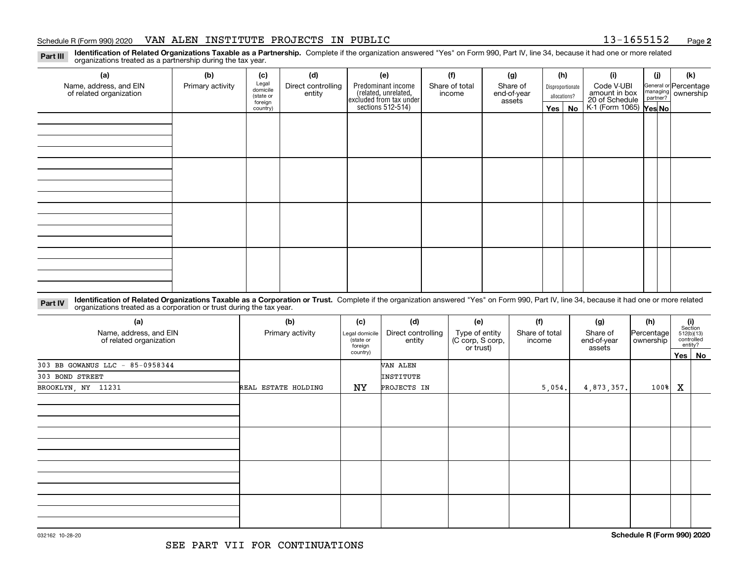#### Schedule R (Form 990) 2020 VAN ALEN INSTITUTE PROJECTS IN PUBLIC 13-1655152 <sub>Page</sub>

**2**

**Identification of Related Organizations Taxable as a Partnership.** Complete if the organization answered "Yes" on Form 990, Part IV, line 34, because it had one or more related **Part III** organizations treated as a partnership during the tax year.

| (a)                     | (b)              | (c)               | (d)                | (e)                                                                 | (f)            | (g)         |                  | (h)          | (i)                                      | (i) | (k)                                                       |
|-------------------------|------------------|-------------------|--------------------|---------------------------------------------------------------------|----------------|-------------|------------------|--------------|------------------------------------------|-----|-----------------------------------------------------------|
| Name, address, and EIN  | Primary activity | Legal<br>domicile | Direct controlling | Predominant income                                                  | Share of total | Share of    | Disproportionate |              | Code V-UBI                               |     |                                                           |
| of related organization |                  | (state or         | entity             | related, unrelated,<br>excluded from tax under<br>sections 512-514) | income         | end-of-year |                  | allocations? | amount in box                            |     | General or Percentage<br>managing<br>partner?<br>partner? |
|                         |                  | foreign           |                    |                                                                     |                | assets      |                  |              | 20 of Schedule<br>K-1 (Form 1065) Yes No |     |                                                           |
|                         |                  | country)          |                    |                                                                     |                |             | $Yes \mid$       | No           |                                          |     |                                                           |
|                         |                  |                   |                    |                                                                     |                |             |                  |              |                                          |     |                                                           |
|                         |                  |                   |                    |                                                                     |                |             |                  |              |                                          |     |                                                           |
|                         |                  |                   |                    |                                                                     |                |             |                  |              |                                          |     |                                                           |
|                         |                  |                   |                    |                                                                     |                |             |                  |              |                                          |     |                                                           |
|                         |                  |                   |                    |                                                                     |                |             |                  |              |                                          |     |                                                           |
|                         |                  |                   |                    |                                                                     |                |             |                  |              |                                          |     |                                                           |
|                         |                  |                   |                    |                                                                     |                |             |                  |              |                                          |     |                                                           |
|                         |                  |                   |                    |                                                                     |                |             |                  |              |                                          |     |                                                           |
|                         |                  |                   |                    |                                                                     |                |             |                  |              |                                          |     |                                                           |
|                         |                  |                   |                    |                                                                     |                |             |                  |              |                                          |     |                                                           |
|                         |                  |                   |                    |                                                                     |                |             |                  |              |                                          |     |                                                           |
|                         |                  |                   |                    |                                                                     |                |             |                  |              |                                          |     |                                                           |
|                         |                  |                   |                    |                                                                     |                |             |                  |              |                                          |     |                                                           |
|                         |                  |                   |                    |                                                                     |                |             |                  |              |                                          |     |                                                           |
|                         |                  |                   |                    |                                                                     |                |             |                  |              |                                          |     |                                                           |
|                         |                  |                   |                    |                                                                     |                |             |                  |              |                                          |     |                                                           |
|                         |                  |                   |                    |                                                                     |                |             |                  |              |                                          |     |                                                           |
|                         |                  |                   |                    |                                                                     |                |             |                  |              |                                          |     |                                                           |
|                         |                  |                   |                    |                                                                     |                |             |                  |              |                                          |     |                                                           |
|                         |                  |                   |                    |                                                                     |                |             |                  |              |                                          |     |                                                           |

**Identification of Related Organizations Taxable as a Corporation or Trust.** Complete if the organization answered "Yes" on Form 990, Part IV, line 34, because it had one or more related **Part IV** organizations treated as a corporation or trust during the tax year.

| (a)<br>Name, address, and EIN<br>of related organization | (b)<br>Primary activity | (c)<br>Legal domicile<br>state or<br>foreign<br>country) | (d)<br>Direct controlling<br>entity | (e)<br>Type of entity<br>(C corp, S corp,<br>or trust) | (f)<br>Share of total<br>income | (g)<br>Share of<br>end-of-year<br>assets | (h)<br>Percentage<br>ownership | $\begin{array}{c} \textbf{(i)}\\ \text{Section}\\ 512 \text{(b)} \text{(13)}\\ \text{controlled}\end{array}$ | entity? |
|----------------------------------------------------------|-------------------------|----------------------------------------------------------|-------------------------------------|--------------------------------------------------------|---------------------------------|------------------------------------------|--------------------------------|--------------------------------------------------------------------------------------------------------------|---------|
| 303 BB GOWANUS LLC - 85-0958344                          |                         |                                                          | VAN ALEN                            |                                                        |                                 |                                          |                                |                                                                                                              | Yes No  |
| 303 BOND STREET                                          |                         |                                                          | INSTITUTE                           |                                                        |                                 |                                          |                                |                                                                                                              |         |
| BROOKLYN, NY 11231                                       | REAL ESTATE HOLDING     | NY                                                       | PROJECTS IN                         |                                                        | 5,054.                          | 4,873,357.                               | $100$ <sup>8</sup>             | X                                                                                                            |         |
|                                                          |                         |                                                          |                                     |                                                        |                                 |                                          |                                |                                                                                                              |         |
|                                                          |                         |                                                          |                                     |                                                        |                                 |                                          |                                |                                                                                                              |         |
|                                                          |                         |                                                          |                                     |                                                        |                                 |                                          |                                |                                                                                                              |         |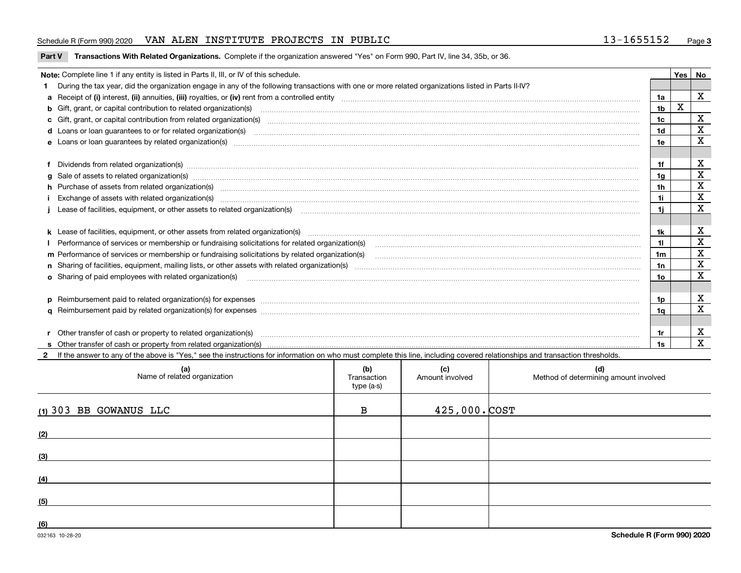#### Schedule R (Form 990) 2020 VAN ALEN INSTITUTE PROJECTS IN PUBLIC 13-1655152 <sub>Page</sub>

**Part V** T**ransactions With Related Organizations.** Complete if the organization answered "Yes" on Form 990, Part IV, line 34, 35b, or 36.

| Note: Complete line 1 if any entity is listed in Parts II, III, or IV of this schedule.                                                                                                                                        |                | <b>Yes</b> | No                      |
|--------------------------------------------------------------------------------------------------------------------------------------------------------------------------------------------------------------------------------|----------------|------------|-------------------------|
| 1 During the tax year, did the organization engage in any of the following transactions with one or more related organizations listed in Parts II-IV?                                                                          |                |            |                         |
|                                                                                                                                                                                                                                | 1a             |            | X                       |
| b Gift, grant, or capital contribution to related organization(s) material contracts and contribution to related organization(s)                                                                                               | 1 <sub>b</sub> | X          |                         |
| c Gift, grant, or capital contribution from related organization(s) manufaction(s) and contain an account of the substitution of the state or capital contribution from related organization(s) manufaction contains and conta | 1c             |            | X                       |
| <b>d</b> Loans or loan quarantees to or for related organization(s)                                                                                                                                                            | 1d             |            | $\mathbf X$             |
|                                                                                                                                                                                                                                | 1e             |            | $\overline{\mathbf{X}}$ |
|                                                                                                                                                                                                                                |                |            |                         |
|                                                                                                                                                                                                                                | 1f             |            | х                       |
|                                                                                                                                                                                                                                | 1g             |            | $\mathbf X$             |
| h Purchase of assets from related organization(s) www.assettion.com/www.assettion.com/www.assettion.com/www.assettion.com/www.assettion.com/www.assettion.com/www.assettion.com/www.assettion.com/www.assettion.com/www.assett | 1 <sub>h</sub> |            | X                       |
| Exchange of assets with related organization(s) www.assettion.com/www.assettion.com/www.assettion.com/www.assettion.com/www.assettion.com/www.assettion.com/www.assettion.com/www.assettion.com/www.assettion.com/www.assettio | 1i.            |            | X                       |
| j Lease of facilities, equipment, or other assets to related organization(s) manufactured content to the set of facilities, equipment, or other assets to related organization(s) manufactured content to the set of the set o | 11             |            | $\mathbf x$             |
|                                                                                                                                                                                                                                |                |            |                         |
|                                                                                                                                                                                                                                | 1k             |            | X                       |
|                                                                                                                                                                                                                                | 11.            |            | X                       |
| m Performance of services or membership or fundraising solicitations by related organization(s)                                                                                                                                | 1m             |            | $\mathbf X$             |
|                                                                                                                                                                                                                                | 1n             |            | $\mathbf X$             |
| <b>o</b> Sharing of paid employees with related organization(s)                                                                                                                                                                | 10             |            | X                       |
|                                                                                                                                                                                                                                |                |            |                         |
| p Reimbursement paid to related organization(s) for expenses [1111] and manufacture manufacture manufacture manufacture manufacture manufacture manufacture manufacture manufacture manufacture manufacture manufacture manufa | 1p             |            | х                       |
|                                                                                                                                                                                                                                | 1q             |            | $\mathbf x$             |
|                                                                                                                                                                                                                                |                |            |                         |
| r Other transfer of cash or property to related organization(s)                                                                                                                                                                | 1r             |            | х                       |
|                                                                                                                                                                                                                                | 1s             |            | $\mathbf X$             |
| 2 If the answer to any of the above is "Yes," see the instructions for information on who must complete this line, including covered relationships and transaction thresholds.                                                 |                |            |                         |

| (a)<br>Name of related organization | (b)<br>Transaction<br>type (a-s) | (c)<br>Amount involved | (d)<br>Method of determining amount involved |
|-------------------------------------|----------------------------------|------------------------|----------------------------------------------|
| $(1)$ 303 BB GOWANUS LLC            | в                                | $425,000.$ COST        |                                              |
| (2)                                 |                                  |                        |                                              |
| (3)                                 |                                  |                        |                                              |
| (4)                                 |                                  |                        |                                              |
| (5)                                 |                                  |                        |                                              |
| (6)                                 |                                  |                        |                                              |

 $\overline{\phantom{a}}$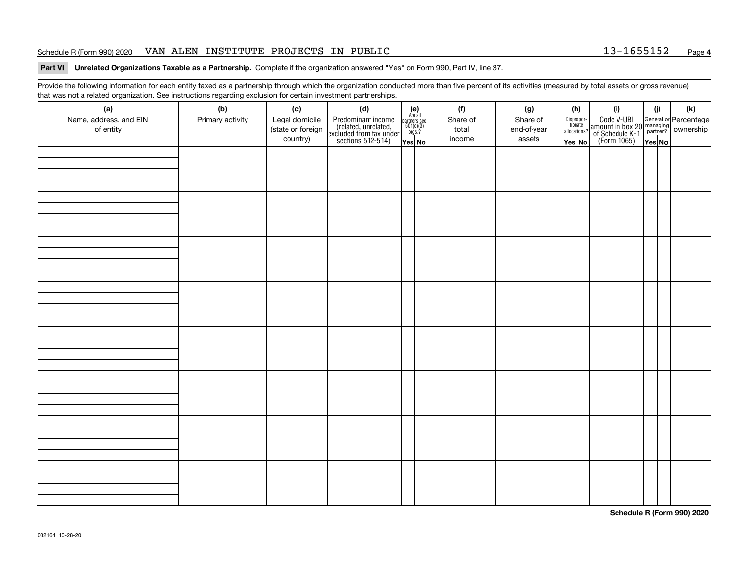#### Schedule R (Form 990) 2020 VAN ALEN INSTITUTE PROJECTS IN PUBLIC 13-1655152 <sub>Page</sub>

#### **Part VI Unrelated Organizations Taxable as a Partnership. Complete if the organization answered "Yes" on Form 990, Part IV, line 37.**

Provide the following information for each entity taxed as a partnership through which the organization conducted more than five percent of its activities (measured by total assets or gross revenue) that was not a related organization. See instructions regarding exclusion for certain investment partnerships.

| triat was not a related organization. See instructions regarding exclusion for certain investment partnerships.<br>(a) | (b)              | (c)               | (d)                                                                                        |                                                          |  | (f)      | (g)         |  | (h)                   | (i)                                                                                              | (i)   | (k) |
|------------------------------------------------------------------------------------------------------------------------|------------------|-------------------|--------------------------------------------------------------------------------------------|----------------------------------------------------------|--|----------|-------------|--|-----------------------|--------------------------------------------------------------------------------------------------|-------|-----|
| Name, address, and EIN                                                                                                 | Primary activity | Legal domicile    | Predominant income<br>(related, unrelated,<br>excluded from tax under<br>sections 512-514) | (e)<br>Are all<br>partners sec.<br>$501(c)(3)$<br>orgs.? |  | Share of | Share of    |  | Dispropor-<br>tionate | Code V-UBI<br>amount in box 20 managing<br>of Schedule K-1<br>(Form 1065)<br>$\overline{Yes}$ No |       |     |
| of entity                                                                                                              |                  | (state or foreign |                                                                                            |                                                          |  | total    | end-of-year |  | allocations?          |                                                                                                  |       |     |
|                                                                                                                        |                  | country)          |                                                                                            | $Yes$ No                                                 |  | income   | assets      |  | Yes No                |                                                                                                  | YesNO |     |
|                                                                                                                        |                  |                   |                                                                                            |                                                          |  |          |             |  |                       |                                                                                                  |       |     |
|                                                                                                                        |                  |                   |                                                                                            |                                                          |  |          |             |  |                       |                                                                                                  |       |     |
|                                                                                                                        |                  |                   |                                                                                            |                                                          |  |          |             |  |                       |                                                                                                  |       |     |
|                                                                                                                        |                  |                   |                                                                                            |                                                          |  |          |             |  |                       |                                                                                                  |       |     |
|                                                                                                                        |                  |                   |                                                                                            |                                                          |  |          |             |  |                       |                                                                                                  |       |     |
|                                                                                                                        |                  |                   |                                                                                            |                                                          |  |          |             |  |                       |                                                                                                  |       |     |
|                                                                                                                        |                  |                   |                                                                                            |                                                          |  |          |             |  |                       |                                                                                                  |       |     |
|                                                                                                                        |                  |                   |                                                                                            |                                                          |  |          |             |  |                       |                                                                                                  |       |     |
|                                                                                                                        |                  |                   |                                                                                            |                                                          |  |          |             |  |                       |                                                                                                  |       |     |
|                                                                                                                        |                  |                   |                                                                                            |                                                          |  |          |             |  |                       |                                                                                                  |       |     |
|                                                                                                                        |                  |                   |                                                                                            |                                                          |  |          |             |  |                       |                                                                                                  |       |     |
|                                                                                                                        |                  |                   |                                                                                            |                                                          |  |          |             |  |                       |                                                                                                  |       |     |
|                                                                                                                        |                  |                   |                                                                                            |                                                          |  |          |             |  |                       |                                                                                                  |       |     |
|                                                                                                                        |                  |                   |                                                                                            |                                                          |  |          |             |  |                       |                                                                                                  |       |     |
|                                                                                                                        |                  |                   |                                                                                            |                                                          |  |          |             |  |                       |                                                                                                  |       |     |
|                                                                                                                        |                  |                   |                                                                                            |                                                          |  |          |             |  |                       |                                                                                                  |       |     |
|                                                                                                                        |                  |                   |                                                                                            |                                                          |  |          |             |  |                       |                                                                                                  |       |     |
|                                                                                                                        |                  |                   |                                                                                            |                                                          |  |          |             |  |                       |                                                                                                  |       |     |
|                                                                                                                        |                  |                   |                                                                                            |                                                          |  |          |             |  |                       |                                                                                                  |       |     |
|                                                                                                                        |                  |                   |                                                                                            |                                                          |  |          |             |  |                       |                                                                                                  |       |     |
|                                                                                                                        |                  |                   |                                                                                            |                                                          |  |          |             |  |                       |                                                                                                  |       |     |
|                                                                                                                        |                  |                   |                                                                                            |                                                          |  |          |             |  |                       |                                                                                                  |       |     |
|                                                                                                                        |                  |                   |                                                                                            |                                                          |  |          |             |  |                       |                                                                                                  |       |     |
|                                                                                                                        |                  |                   |                                                                                            |                                                          |  |          |             |  |                       |                                                                                                  |       |     |
|                                                                                                                        |                  |                   |                                                                                            |                                                          |  |          |             |  |                       |                                                                                                  |       |     |
|                                                                                                                        |                  |                   |                                                                                            |                                                          |  |          |             |  |                       |                                                                                                  |       |     |
|                                                                                                                        |                  |                   |                                                                                            |                                                          |  |          |             |  |                       |                                                                                                  |       |     |
|                                                                                                                        |                  |                   |                                                                                            |                                                          |  |          |             |  |                       |                                                                                                  |       |     |
|                                                                                                                        |                  |                   |                                                                                            |                                                          |  |          |             |  |                       |                                                                                                  |       |     |
|                                                                                                                        |                  |                   |                                                                                            |                                                          |  |          |             |  |                       |                                                                                                  |       |     |
|                                                                                                                        |                  |                   |                                                                                            |                                                          |  |          |             |  |                       |                                                                                                  |       |     |
|                                                                                                                        |                  |                   |                                                                                            |                                                          |  |          |             |  |                       |                                                                                                  |       |     |
|                                                                                                                        |                  |                   |                                                                                            |                                                          |  |          |             |  |                       |                                                                                                  |       |     |
|                                                                                                                        |                  |                   |                                                                                            |                                                          |  |          |             |  |                       |                                                                                                  |       |     |

**Schedule R (Form 990) 2020**

**4**